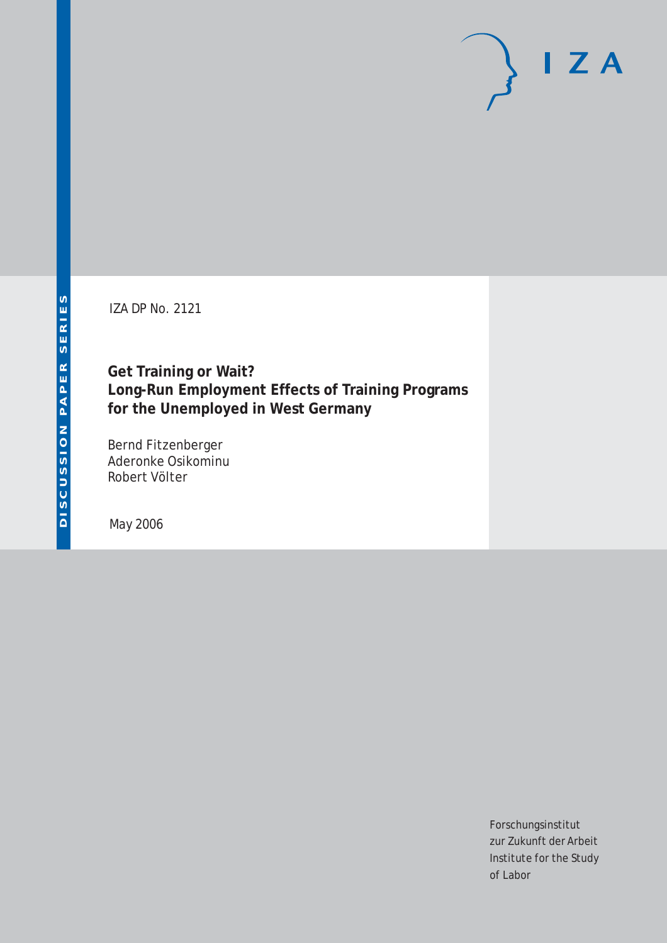IZA DP No. 2121

**Get Training or Wait? Long-Run Employment Effects of Training Programs for the Unemployed in West Germany**

Bernd Fitzenberger Aderonke Osikominu Robert Völter

May 2006

Forschungsinstitut zur Zukunft der Arbeit Institute for the Study of Labor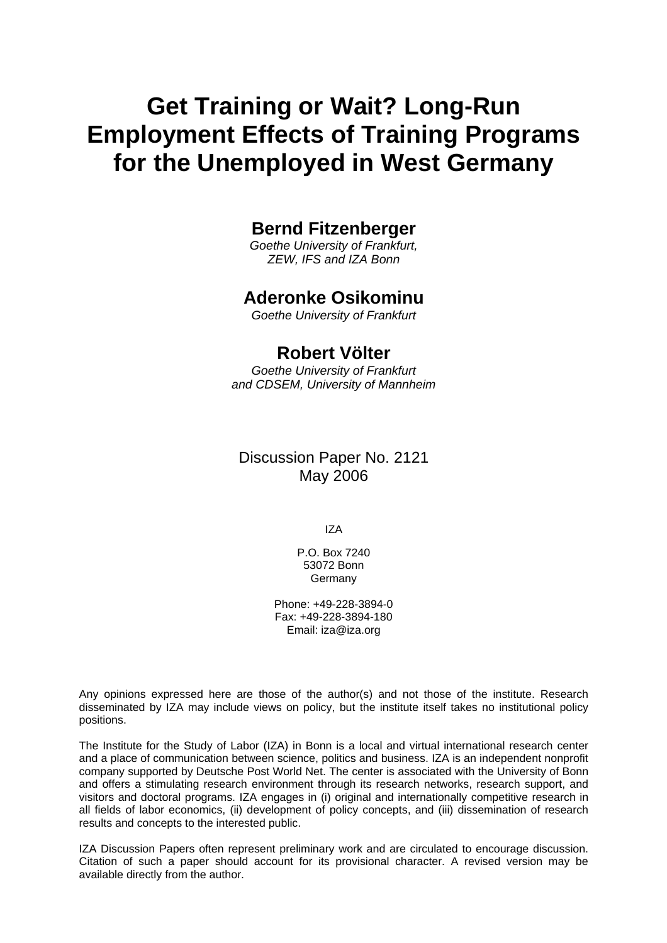# **Get Training or Wait? Long-Run Employment Effects of Training Programs for the Unemployed in West Germany**

# **Bernd Fitzenberger**

*Goethe University of Frankfurt, ZEW, IFS and IZA Bonn* 

### **Aderonke Osikominu**

*Goethe University of Frankfurt* 

### **Robert Völter**

*Goethe University of Frankfurt and CDSEM, University of Mannheim* 

### Discussion Paper No. 2121 May 2006

IZA

P.O. Box 7240 53072 Bonn Germany

Phone: +49-228-3894-0 Fax: +49-228-3894-180 Email: [iza@iza.org](mailto:iza@iza.org)

Any opinions expressed here are those of the author(s) and not those of the institute. Research disseminated by IZA may include views on policy, but the institute itself takes no institutional policy positions.

The Institute for the Study of Labor (IZA) in Bonn is a local and virtual international research center and a place of communication between science, politics and business. IZA is an independent nonprofit company supported by Deutsche Post World Net. The center is associated with the University of Bonn and offers a stimulating research environment through its research networks, research support, and visitors and doctoral programs. IZA engages in (i) original and internationally competitive research in all fields of labor economics, (ii) development of policy concepts, and (iii) dissemination of research results and concepts to the interested public.

IZA Discussion Papers often represent preliminary work and are circulated to encourage discussion. Citation of such a paper should account for its provisional character. A revised version may be available directly from the author.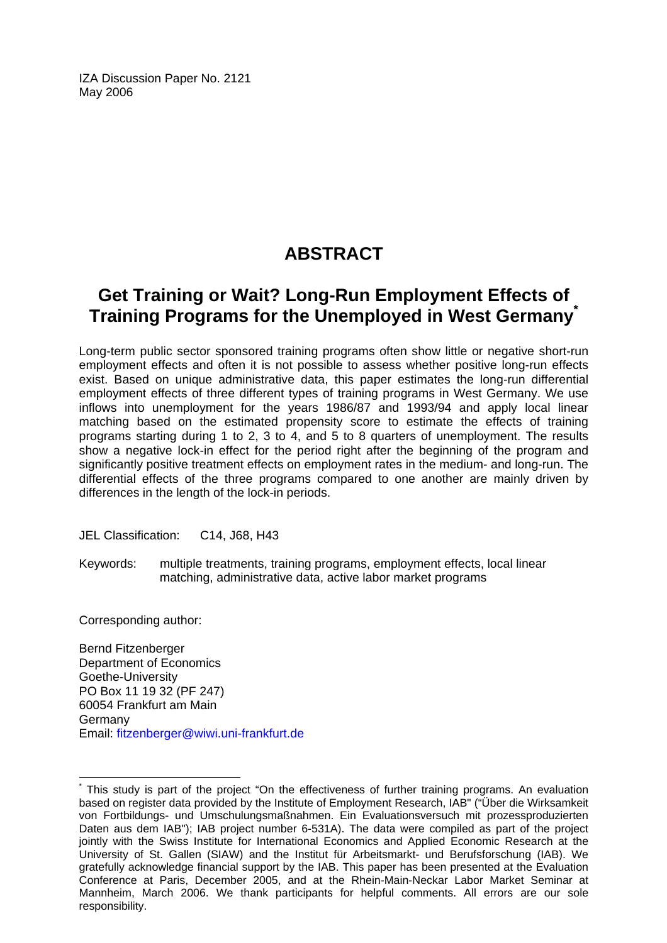IZA Discussion Paper No. 2121 May 2006

# **ABSTRACT**

# **Get Training or Wait? Long-Run Employment Effects of Training Programs for the Unemployed in West Germany[\\*](#page-2-0)**

Long-term public sector sponsored training programs often show little or negative short-run employment effects and often it is not possible to assess whether positive long-run effects exist. Based on unique administrative data, this paper estimates the long-run differential employment effects of three different types of training programs in West Germany. We use inflows into unemployment for the years 1986/87 and 1993/94 and apply local linear matching based on the estimated propensity score to estimate the effects of training programs starting during 1 to 2, 3 to 4, and 5 to 8 quarters of unemployment. The results show a negative lock-in effect for the period right after the beginning of the program and significantly positive treatment effects on employment rates in the medium- and long-run. The differential effects of the three programs compared to one another are mainly driven by differences in the length of the lock-in periods.

JEL Classification: C14, J68, H43

Keywords: multiple treatments, training programs, employment effects, local linear matching, administrative data, active labor market programs

Corresponding author:

 $\overline{a}$ 

Bernd Fitzenberger Department of Economics Goethe-University PO Box 11 19 32 (PF 247) 60054 Frankfurt am Main Germany Email: [fitzenberger@wiwi.uni-frankfurt.de](mailto:fitzenberger@wiwi.uni-frankfurt.de)

<span id="page-2-0"></span><sup>\*</sup> This study is part of the project "On the effectiveness of further training programs. An evaluation based on register data provided by the Institute of Employment Research, IAB" ("Über die Wirksamkeit von Fortbildungs- und Umschulungsmaßnahmen. Ein Evaluationsversuch mit prozessproduzierten Daten aus dem IAB"); IAB project number 6-531A). The data were compiled as part of the project jointly with the Swiss Institute for International Economics and Applied Economic Research at the University of St. Gallen (SIAW) and the Institut für Arbeitsmarkt- und Berufsforschung (IAB). We gratefully acknowledge financial support by the IAB. This paper has been presented at the Evaluation Conference at Paris, December 2005, and at the Rhein-Main-Neckar Labor Market Seminar at Mannheim, March 2006. We thank participants for helpful comments. All errors are our sole responsibility.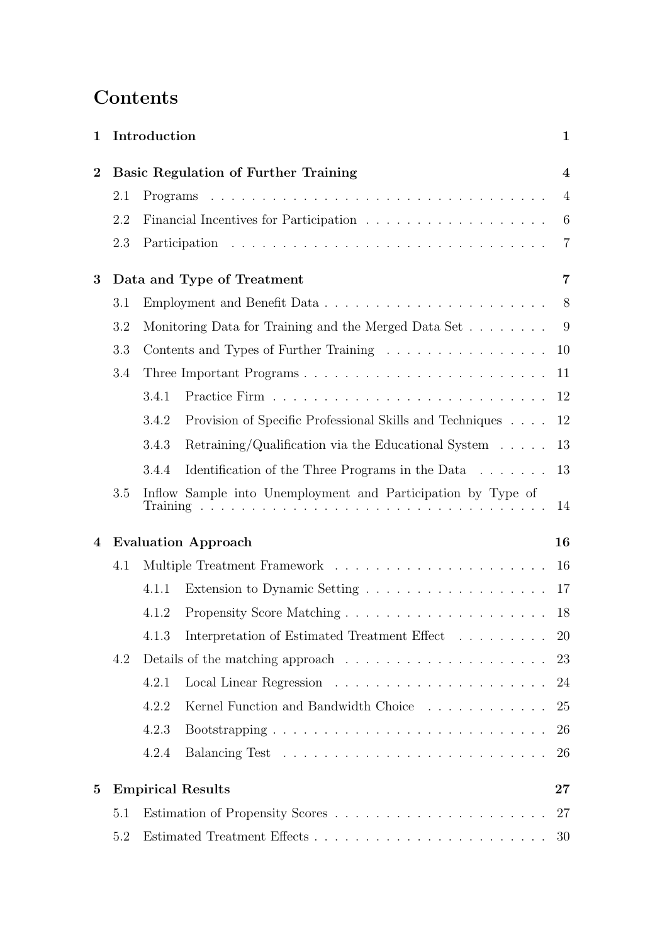# Contents

| 1              |     | Introduction    |                                                                                                                                                                                                                                                                                               | $\mathbf{1}$            |  |  |  |
|----------------|-----|-----------------|-----------------------------------------------------------------------------------------------------------------------------------------------------------------------------------------------------------------------------------------------------------------------------------------------|-------------------------|--|--|--|
| $\overline{2}$ |     |                 | <b>Basic Regulation of Further Training</b>                                                                                                                                                                                                                                                   | $\overline{\mathbf{4}}$ |  |  |  |
|                | 2.1 |                 |                                                                                                                                                                                                                                                                                               | $\overline{4}$          |  |  |  |
|                | 2.2 |                 |                                                                                                                                                                                                                                                                                               | $6\phantom{.}6$         |  |  |  |
|                | 2.3 |                 |                                                                                                                                                                                                                                                                                               | $\overline{7}$          |  |  |  |
| 3              |     |                 | Data and Type of Treatment                                                                                                                                                                                                                                                                    | 7                       |  |  |  |
|                | 3.1 |                 |                                                                                                                                                                                                                                                                                               | 8                       |  |  |  |
|                | 3.2 |                 | Monitoring Data for Training and the Merged Data Set                                                                                                                                                                                                                                          | - 9                     |  |  |  |
|                | 3.3 |                 | Contents and Types of Further Training                                                                                                                                                                                                                                                        | 10                      |  |  |  |
|                | 3.4 |                 |                                                                                                                                                                                                                                                                                               | 11                      |  |  |  |
|                |     | 3.4.1           |                                                                                                                                                                                                                                                                                               | 12                      |  |  |  |
|                |     | 3.4.2           | Provision of Specific Professional Skills and Techniques                                                                                                                                                                                                                                      | 12                      |  |  |  |
|                |     | 3.4.3           | Retraining/Qualification via the Educational System $\dots$ .                                                                                                                                                                                                                                 | 13                      |  |  |  |
|                |     | 3.4.4           | Identification of the Three Programs in the Data                                                                                                                                                                                                                                              | 13                      |  |  |  |
|                | 3.5 | <b>Training</b> | Inflow Sample into Unemployment and Participation by Type of<br>and a constitution of the constitution of the constitution of the constitution of the constitution of the constitution of the constitution of the constitution of the constitution of the constitution of the constitution of | 14                      |  |  |  |
| 4              |     |                 | <b>Evaluation Approach</b>                                                                                                                                                                                                                                                                    | 16                      |  |  |  |
|                | 4.1 | 16              |                                                                                                                                                                                                                                                                                               |                         |  |  |  |
|                |     | 4.1.1           |                                                                                                                                                                                                                                                                                               | 17                      |  |  |  |
|                |     | 4.1.2           |                                                                                                                                                                                                                                                                                               | 18                      |  |  |  |
|                |     | 4.1.3           | Interpretation of Estimated Treatment Effect                                                                                                                                                                                                                                                  | <b>20</b>               |  |  |  |
|                | 4.2 |                 | Details of the matching approach $\dots \dots \dots \dots \dots \dots \dots$                                                                                                                                                                                                                  | 23                      |  |  |  |
|                |     | 4.2.1           |                                                                                                                                                                                                                                                                                               | 24                      |  |  |  |
|                |     | 4.2.2           | Kernel Function and Bandwidth Choice                                                                                                                                                                                                                                                          | 25                      |  |  |  |
|                |     | 4.2.3           |                                                                                                                                                                                                                                                                                               | 26                      |  |  |  |
|                |     | 4.2.4           |                                                                                                                                                                                                                                                                                               | 26                      |  |  |  |
| $\mathbf{5}$   |     |                 | <b>Empirical Results</b>                                                                                                                                                                                                                                                                      | $27\,$                  |  |  |  |
|                | 5.1 |                 |                                                                                                                                                                                                                                                                                               | 27                      |  |  |  |
|                | 5.2 |                 |                                                                                                                                                                                                                                                                                               | 30                      |  |  |  |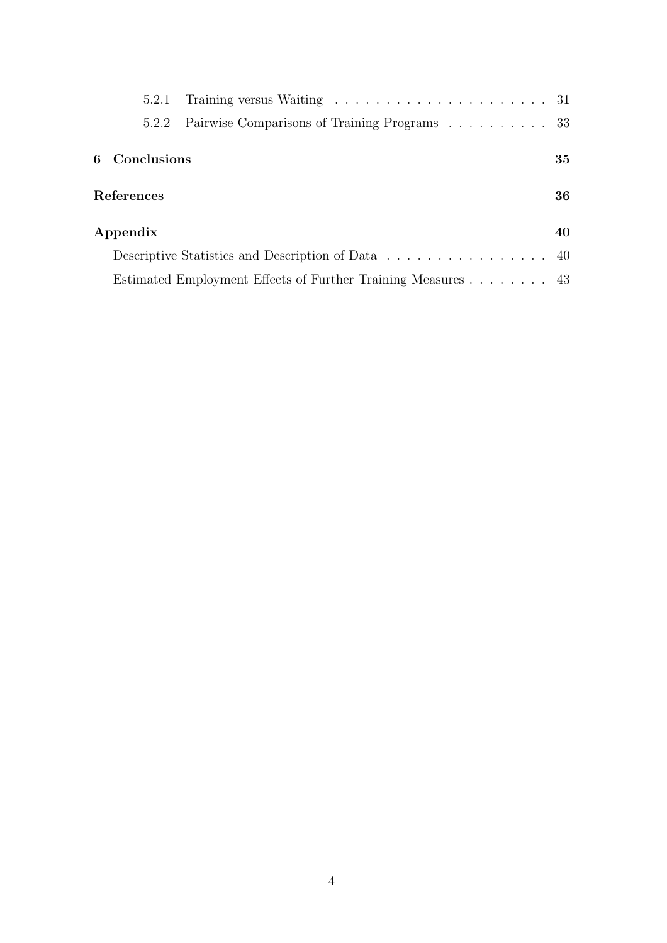| 5.2.1         | Training versus Waiting $\ldots \ldots \ldots \ldots \ldots \ldots \ldots \ldots 31$ |    |
|---------------|--------------------------------------------------------------------------------------|----|
| 5.2.2         | Pairwise Comparisons of Training Programs 33                                         |    |
| 6 Conclusions |                                                                                      | 35 |
| References    |                                                                                      | 36 |
| Appendix      |                                                                                      | 40 |
|               |                                                                                      |    |
|               | Estimated Employment Effects of Further Training Measures 43                         |    |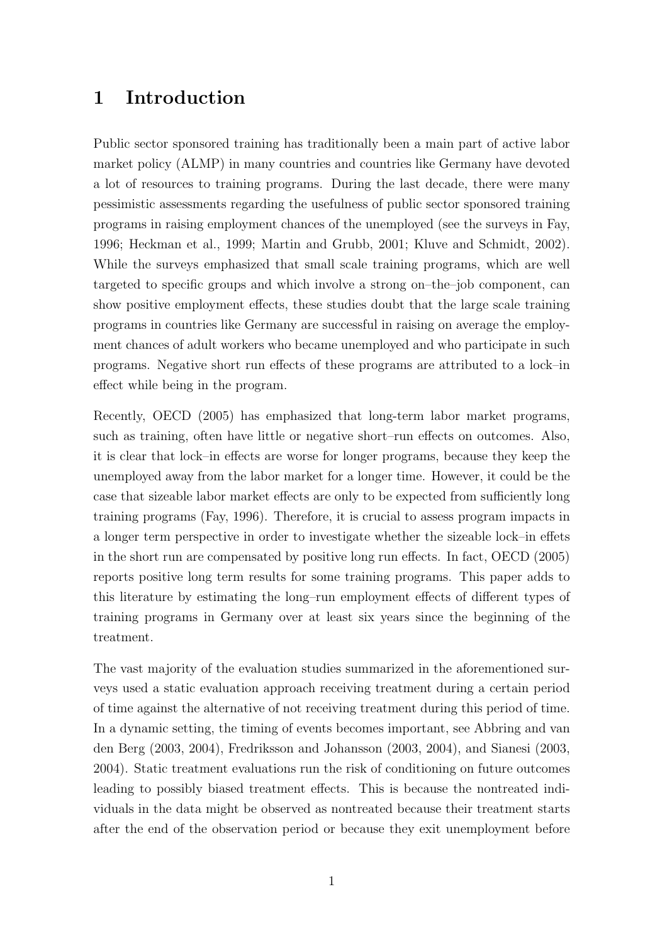# 1 Introduction

Public sector sponsored training has traditionally been a main part of active labor market policy (ALMP) in many countries and countries like Germany have devoted a lot of resources to training programs. During the last decade, there were many pessimistic assessments regarding the usefulness of public sector sponsored training programs in raising employment chances of the unemployed (see the surveys in Fay, 1996; Heckman et al., 1999; Martin and Grubb, 2001; Kluve and Schmidt, 2002). While the surveys emphasized that small scale training programs, which are well targeted to specific groups and which involve a strong on–the–job component, can show positive employment effects, these studies doubt that the large scale training programs in countries like Germany are successful in raising on average the employment chances of adult workers who became unemployed and who participate in such programs. Negative short run effects of these programs are attributed to a lock–in effect while being in the program.

Recently, OECD (2005) has emphasized that long-term labor market programs, such as training, often have little or negative short–run effects on outcomes. Also, it is clear that lock–in effects are worse for longer programs, because they keep the unemployed away from the labor market for a longer time. However, it could be the case that sizeable labor market effects are only to be expected from sufficiently long training programs (Fay, 1996). Therefore, it is crucial to assess program impacts in a longer term perspective in order to investigate whether the sizeable lock–in effets in the short run are compensated by positive long run effects. In fact, OECD (2005) reports positive long term results for some training programs. This paper adds to this literature by estimating the long–run employment effects of different types of training programs in Germany over at least six years since the beginning of the treatment.

The vast majority of the evaluation studies summarized in the aforementioned surveys used a static evaluation approach receiving treatment during a certain period of time against the alternative of not receiving treatment during this period of time. In a dynamic setting, the timing of events becomes important, see Abbring and van den Berg (2003, 2004), Fredriksson and Johansson (2003, 2004), and Sianesi (2003, 2004). Static treatment evaluations run the risk of conditioning on future outcomes leading to possibly biased treatment effects. This is because the nontreated individuals in the data might be observed as nontreated because their treatment starts after the end of the observation period or because they exit unemployment before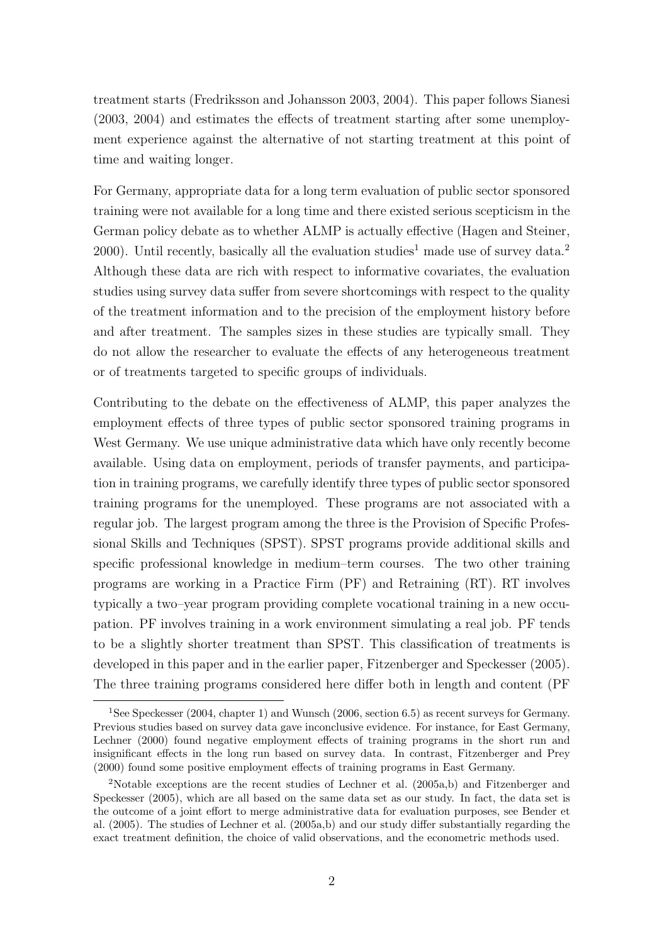treatment starts (Fredriksson and Johansson 2003, 2004). This paper follows Sianesi (2003, 2004) and estimates the effects of treatment starting after some unemployment experience against the alternative of not starting treatment at this point of time and waiting longer.

For Germany, appropriate data for a long term evaluation of public sector sponsored training were not available for a long time and there existed serious scepticism in the German policy debate as to whether ALMP is actually effective (Hagen and Steiner, 2000). Until recently, basically all the evaluation studies<sup>1</sup> made use of survey data.<sup>2</sup> Although these data are rich with respect to informative covariates, the evaluation studies using survey data suffer from severe shortcomings with respect to the quality of the treatment information and to the precision of the employment history before and after treatment. The samples sizes in these studies are typically small. They do not allow the researcher to evaluate the effects of any heterogeneous treatment or of treatments targeted to specific groups of individuals.

Contributing to the debate on the effectiveness of ALMP, this paper analyzes the employment effects of three types of public sector sponsored training programs in West Germany. We use unique administrative data which have only recently become available. Using data on employment, periods of transfer payments, and participation in training programs, we carefully identify three types of public sector sponsored training programs for the unemployed. These programs are not associated with a regular job. The largest program among the three is the Provision of Specific Professional Skills and Techniques (SPST). SPST programs provide additional skills and specific professional knowledge in medium–term courses. The two other training programs are working in a Practice Firm (PF) and Retraining (RT). RT involves typically a two–year program providing complete vocational training in a new occupation. PF involves training in a work environment simulating a real job. PF tends to be a slightly shorter treatment than SPST. This classification of treatments is developed in this paper and in the earlier paper, Fitzenberger and Speckesser (2005). The three training programs considered here differ both in length and content (PF

<sup>1</sup>See Speckesser (2004, chapter 1) and Wunsch (2006, section 6.5) as recent surveys for Germany. Previous studies based on survey data gave inconclusive evidence. For instance, for East Germany, Lechner (2000) found negative employment effects of training programs in the short run and insignificant effects in the long run based on survey data. In contrast, Fitzenberger and Prey (2000) found some positive employment effects of training programs in East Germany.

<sup>2</sup>Notable exceptions are the recent studies of Lechner et al. (2005a,b) and Fitzenberger and Speckesser (2005), which are all based on the same data set as our study. In fact, the data set is the outcome of a joint effort to merge administrative data for evaluation purposes, see Bender et al. (2005). The studies of Lechner et al. (2005a,b) and our study differ substantially regarding the exact treatment definition, the choice of valid observations, and the econometric methods used.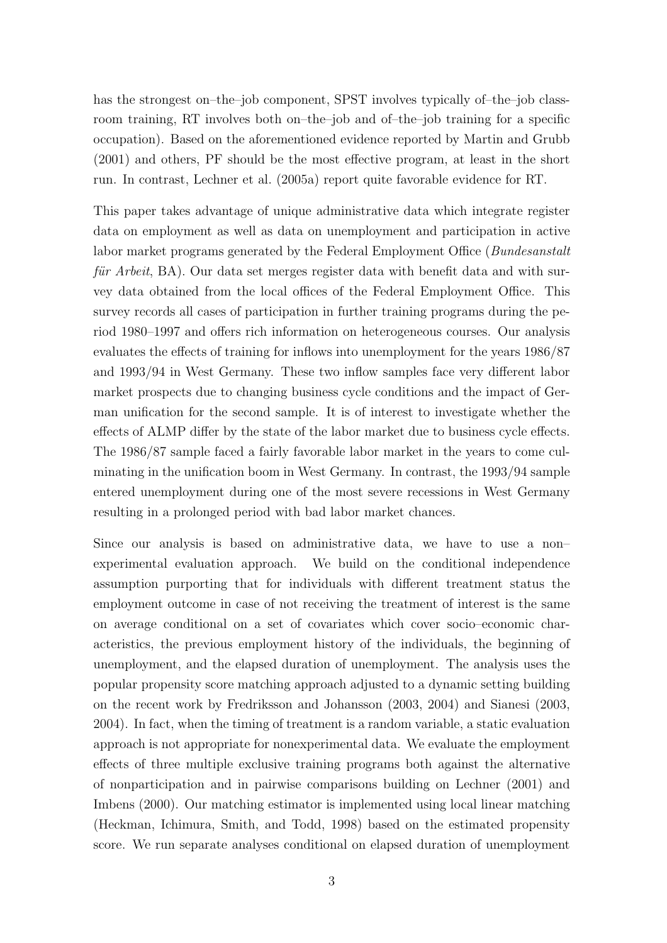has the strongest on–the–job component, SPST involves typically of–the–job classroom training, RT involves both on–the–job and of–the–job training for a specific occupation). Based on the aforementioned evidence reported by Martin and Grubb (2001) and others, PF should be the most effective program, at least in the short run. In contrast, Lechner et al. (2005a) report quite favorable evidence for RT.

This paper takes advantage of unique administrative data which integrate register data on employment as well as data on unemployment and participation in active labor market programs generated by the Federal Employment Office (*Bundesanstalt*) für Arbeit,  $BA$ ). Our data set merges register data with benefit data and with survey data obtained from the local offices of the Federal Employment Office. This survey records all cases of participation in further training programs during the period 1980–1997 and offers rich information on heterogeneous courses. Our analysis evaluates the effects of training for inflows into unemployment for the years 1986/87 and 1993/94 in West Germany. These two inflow samples face very different labor market prospects due to changing business cycle conditions and the impact of German unification for the second sample. It is of interest to investigate whether the effects of ALMP differ by the state of the labor market due to business cycle effects. The 1986/87 sample faced a fairly favorable labor market in the years to come culminating in the unification boom in West Germany. In contrast, the 1993/94 sample entered unemployment during one of the most severe recessions in West Germany resulting in a prolonged period with bad labor market chances.

Since our analysis is based on administrative data, we have to use a non– experimental evaluation approach. We build on the conditional independence assumption purporting that for individuals with different treatment status the employment outcome in case of not receiving the treatment of interest is the same on average conditional on a set of covariates which cover socio–economic characteristics, the previous employment history of the individuals, the beginning of unemployment, and the elapsed duration of unemployment. The analysis uses the popular propensity score matching approach adjusted to a dynamic setting building on the recent work by Fredriksson and Johansson (2003, 2004) and Sianesi (2003, 2004). In fact, when the timing of treatment is a random variable, a static evaluation approach is not appropriate for nonexperimental data. We evaluate the employment effects of three multiple exclusive training programs both against the alternative of nonparticipation and in pairwise comparisons building on Lechner (2001) and Imbens (2000). Our matching estimator is implemented using local linear matching (Heckman, Ichimura, Smith, and Todd, 1998) based on the estimated propensity score. We run separate analyses conditional on elapsed duration of unemployment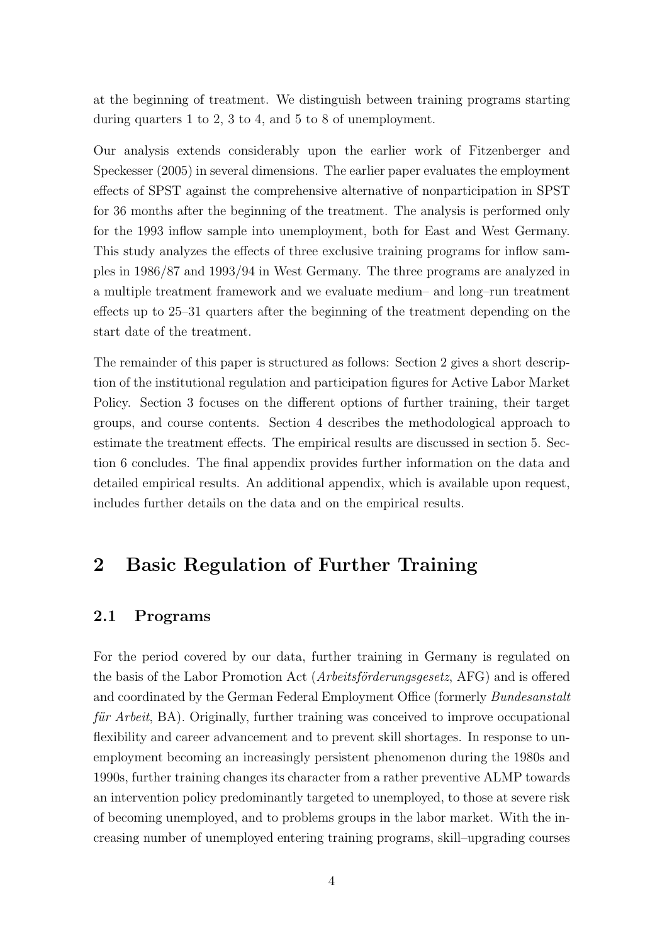at the beginning of treatment. We distinguish between training programs starting during quarters 1 to 2, 3 to 4, and 5 to 8 of unemployment.

Our analysis extends considerably upon the earlier work of Fitzenberger and Speckesser (2005) in several dimensions. The earlier paper evaluates the employment effects of SPST against the comprehensive alternative of nonparticipation in SPST for 36 months after the beginning of the treatment. The analysis is performed only for the 1993 inflow sample into unemployment, both for East and West Germany. This study analyzes the effects of three exclusive training programs for inflow samples in 1986/87 and 1993/94 in West Germany. The three programs are analyzed in a multiple treatment framework and we evaluate medium– and long–run treatment effects up to 25–31 quarters after the beginning of the treatment depending on the start date of the treatment.

The remainder of this paper is structured as follows: Section 2 gives a short description of the institutional regulation and participation figures for Active Labor Market Policy. Section 3 focuses on the different options of further training, their target groups, and course contents. Section 4 describes the methodological approach to estimate the treatment effects. The empirical results are discussed in section 5. Section 6 concludes. The final appendix provides further information on the data and detailed empirical results. An additional appendix, which is available upon request, includes further details on the data and on the empirical results.

# 2 Basic Regulation of Further Training

### 2.1 Programs

For the period covered by our data, further training in Germany is regulated on the basis of the Labor Promotion Act (Arbeitsförderungsgesetz, AFG) and is offered and coordinated by the German Federal Employment Office (formerly Bundesanstalt für Arbeit,  $BA$ ). Originally, further training was conceived to improve occupational flexibility and career advancement and to prevent skill shortages. In response to unemployment becoming an increasingly persistent phenomenon during the 1980s and 1990s, further training changes its character from a rather preventive ALMP towards an intervention policy predominantly targeted to unemployed, to those at severe risk of becoming unemployed, and to problems groups in the labor market. With the increasing number of unemployed entering training programs, skill–upgrading courses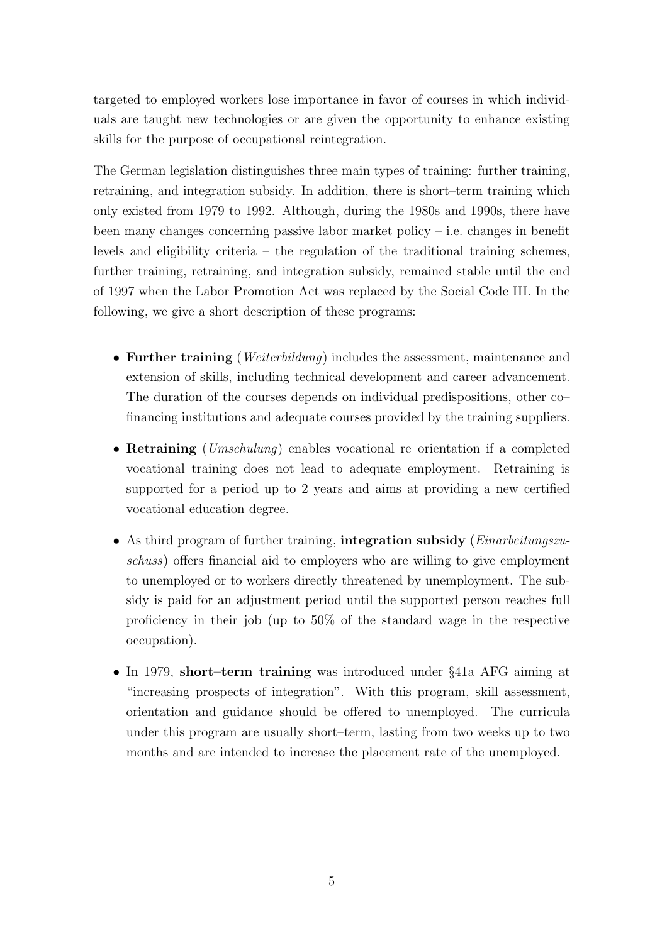targeted to employed workers lose importance in favor of courses in which individuals are taught new technologies or are given the opportunity to enhance existing skills for the purpose of occupational reintegration.

The German legislation distinguishes three main types of training: further training, retraining, and integration subsidy. In addition, there is short–term training which only existed from 1979 to 1992. Although, during the 1980s and 1990s, there have been many changes concerning passive labor market policy – i.e. changes in benefit levels and eligibility criteria – the regulation of the traditional training schemes, further training, retraining, and integration subsidy, remained stable until the end of 1997 when the Labor Promotion Act was replaced by the Social Code III. In the following, we give a short description of these programs:

- Further training (*Weiterbildung*) includes the assessment, maintenance and extension of skills, including technical development and career advancement. The duration of the courses depends on individual predispositions, other co– financing institutions and adequate courses provided by the training suppliers.
- Retraining (Umschulung) enables vocational re–orientation if a completed vocational training does not lead to adequate employment. Retraining is supported for a period up to 2 years and aims at providing a new certified vocational education degree.
- As third program of further training, integration subsidy (*Einarbeitungszu*schuss) offers financial aid to employers who are willing to give employment to unemployed or to workers directly threatened by unemployment. The subsidy is paid for an adjustment period until the supported person reaches full proficiency in their job (up to 50% of the standard wage in the respective occupation).
- In 1979, short–term training was introduced under §41a AFG aiming at "increasing prospects of integration". With this program, skill assessment, orientation and guidance should be offered to unemployed. The curricula under this program are usually short–term, lasting from two weeks up to two months and are intended to increase the placement rate of the unemployed.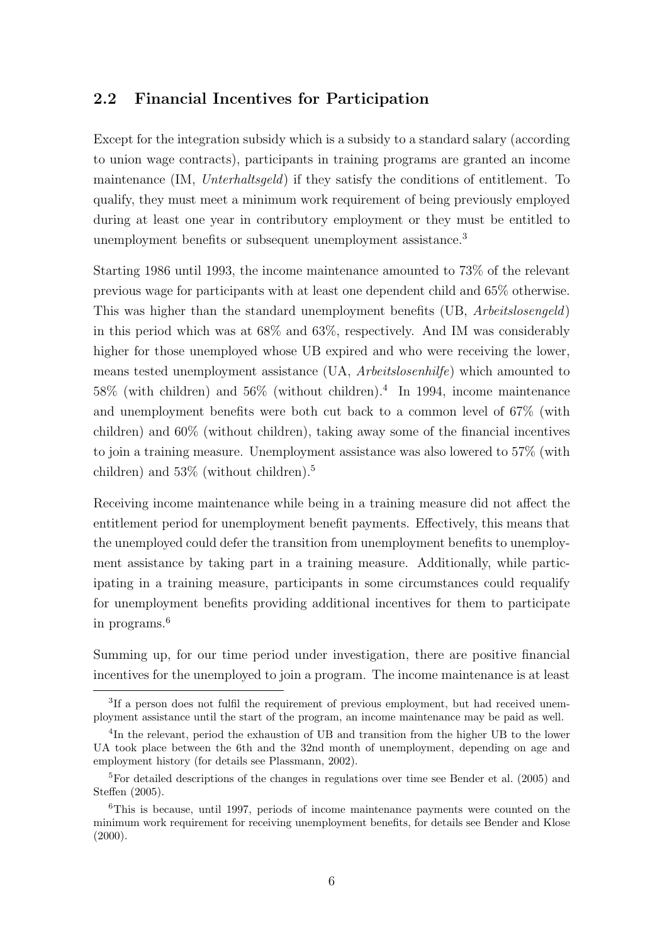### 2.2 Financial Incentives for Participation

Except for the integration subsidy which is a subsidy to a standard salary (according to union wage contracts), participants in training programs are granted an income maintenance (IM, Unterhaltsgeld) if they satisfy the conditions of entitlement. To qualify, they must meet a minimum work requirement of being previously employed during at least one year in contributory employment or they must be entitled to unemployment benefits or subsequent unemployment assistance.<sup>3</sup>

Starting 1986 until 1993, the income maintenance amounted to 73% of the relevant previous wage for participants with at least one dependent child and 65% otherwise. This was higher than the standard unemployment benefits (UB, Arbeitslosengeld) in this period which was at 68% and 63%, respectively. And IM was considerably higher for those unemployed whose UB expired and who were receiving the lower, means tested unemployment assistance (UA, Arbeitslosenhilfe) which amounted to  $58\%$  (with children) and  $56\%$  (without children).<sup>4</sup> In 1994, income maintenance and unemployment benefits were both cut back to a common level of 67% (with children) and 60% (without children), taking away some of the financial incentives to join a training measure. Unemployment assistance was also lowered to 57% (with children) and 53% (without children).<sup>5</sup>

Receiving income maintenance while being in a training measure did not affect the entitlement period for unemployment benefit payments. Effectively, this means that the unemployed could defer the transition from unemployment benefits to unemployment assistance by taking part in a training measure. Additionally, while participating in a training measure, participants in some circumstances could requalify for unemployment benefits providing additional incentives for them to participate in programs.<sup>6</sup>

Summing up, for our time period under investigation, there are positive financial incentives for the unemployed to join a program. The income maintenance is at least

<sup>&</sup>lt;sup>3</sup>If a person does not fulfil the requirement of previous employment, but had received unemployment assistance until the start of the program, an income maintenance may be paid as well.

<sup>&</sup>lt;sup>4</sup>In the relevant, period the exhaustion of UB and transition from the higher UB to the lower UA took place between the 6th and the 32nd month of unemployment, depending on age and employment history (for details see Plassmann, 2002).

<sup>&</sup>lt;sup>5</sup>For detailed descriptions of the changes in regulations over time see Bender et al. (2005) and Steffen (2005).

<sup>6</sup>This is because, until 1997, periods of income maintenance payments were counted on the minimum work requirement for receiving unemployment benefits, for details see Bender and Klose  $(2000).$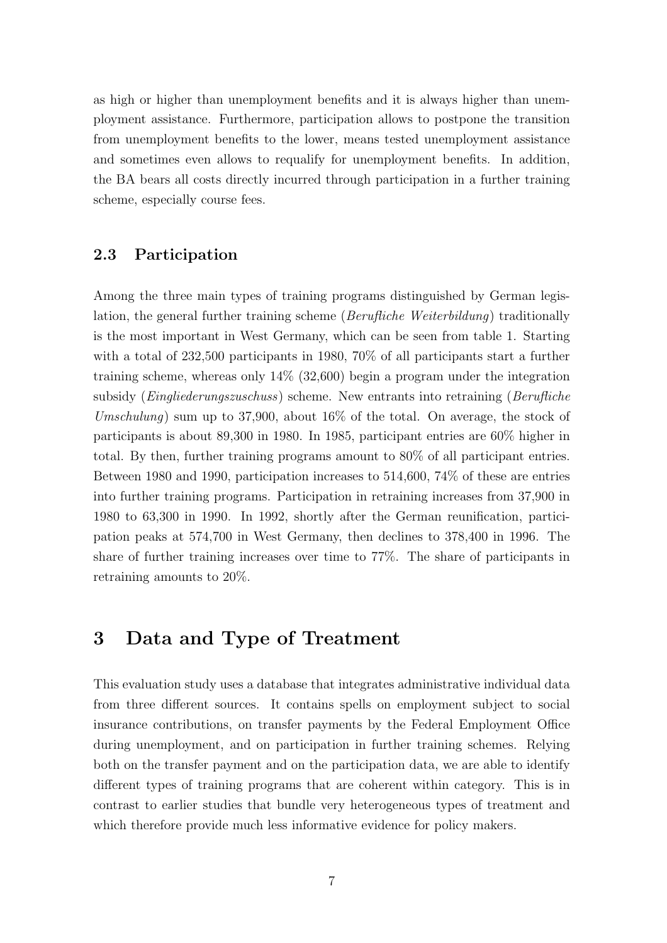as high or higher than unemployment benefits and it is always higher than unemployment assistance. Furthermore, participation allows to postpone the transition from unemployment benefits to the lower, means tested unemployment assistance and sometimes even allows to requalify for unemployment benefits. In addition, the BA bears all costs directly incurred through participation in a further training scheme, especially course fees.

### 2.3 Participation

Among the three main types of training programs distinguished by German legislation, the general further training scheme (Berufliche Weiterbildung) traditionally is the most important in West Germany, which can be seen from table 1. Starting with a total of 232,500 participants in 1980, 70% of all participants start a further training scheme, whereas only 14% (32,600) begin a program under the integration subsidy (Eingliederungszuschuss) scheme. New entrants into retraining (Berufliche Umschulung) sum up to 37,900, about  $16\%$  of the total. On average, the stock of participants is about 89,300 in 1980. In 1985, participant entries are 60% higher in total. By then, further training programs amount to 80% of all participant entries. Between 1980 and 1990, participation increases to 514,600, 74% of these are entries into further training programs. Participation in retraining increases from 37,900 in 1980 to 63,300 in 1990. In 1992, shortly after the German reunification, participation peaks at 574,700 in West Germany, then declines to 378,400 in 1996. The share of further training increases over time to 77%. The share of participants in retraining amounts to 20%.

# 3 Data and Type of Treatment

This evaluation study uses a database that integrates administrative individual data from three different sources. It contains spells on employment subject to social insurance contributions, on transfer payments by the Federal Employment Office during unemployment, and on participation in further training schemes. Relying both on the transfer payment and on the participation data, we are able to identify different types of training programs that are coherent within category. This is in contrast to earlier studies that bundle very heterogeneous types of treatment and which therefore provide much less informative evidence for policy makers.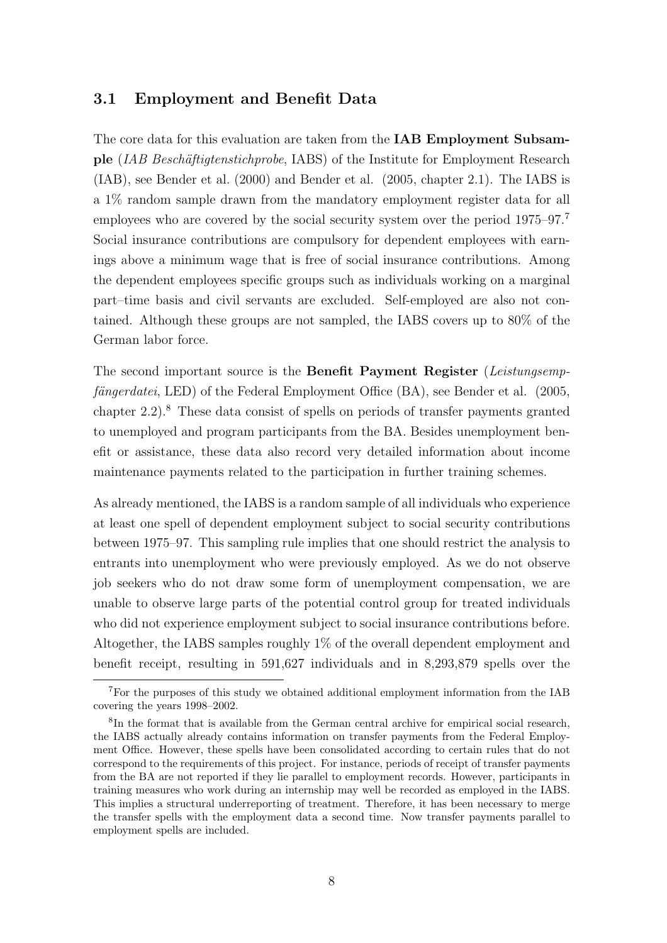### 3.1 Employment and Benefit Data

The core data for this evaluation are taken from the **IAB Employment Subsam**ple *(IAB Beschäftigtenstichprobe*, IABS) of the Institute for Employment Research (IAB), see Bender et al. (2000) and Bender et al. (2005, chapter 2.1). The IABS is a 1% random sample drawn from the mandatory employment register data for all employees who are covered by the social security system over the period 1975–97.<sup>7</sup> Social insurance contributions are compulsory for dependent employees with earnings above a minimum wage that is free of social insurance contributions. Among the dependent employees specific groups such as individuals working on a marginal part–time basis and civil servants are excluded. Self-employed are also not contained. Although these groups are not sampled, the IABS covers up to 80% of the German labor force.

The second important source is the **Benefit Payment Register** (Leistungsemp $f{\ddot{a}}ngerdatei, LED)$  of the Federal Employment Office (BA), see Bender et al. (2005, chapter  $2.2$ ).<sup>8</sup> These data consist of spells on periods of transfer payments granted to unemployed and program participants from the BA. Besides unemployment benefit or assistance, these data also record very detailed information about income maintenance payments related to the participation in further training schemes.

As already mentioned, the IABS is a random sample of all individuals who experience at least one spell of dependent employment subject to social security contributions between 1975–97. This sampling rule implies that one should restrict the analysis to entrants into unemployment who were previously employed. As we do not observe job seekers who do not draw some form of unemployment compensation, we are unable to observe large parts of the potential control group for treated individuals who did not experience employment subject to social insurance contributions before. Altogether, the IABS samples roughly 1% of the overall dependent employment and benefit receipt, resulting in 591,627 individuals and in 8,293,879 spells over the

<sup>7</sup>For the purposes of this study we obtained additional employment information from the IAB covering the years 1998–2002.

<sup>&</sup>lt;sup>8</sup>In the format that is available from the German central archive for empirical social research, the IABS actually already contains information on transfer payments from the Federal Employment Office. However, these spells have been consolidated according to certain rules that do not correspond to the requirements of this project. For instance, periods of receipt of transfer payments from the BA are not reported if they lie parallel to employment records. However, participants in training measures who work during an internship may well be recorded as employed in the IABS. This implies a structural underreporting of treatment. Therefore, it has been necessary to merge the transfer spells with the employment data a second time. Now transfer payments parallel to employment spells are included.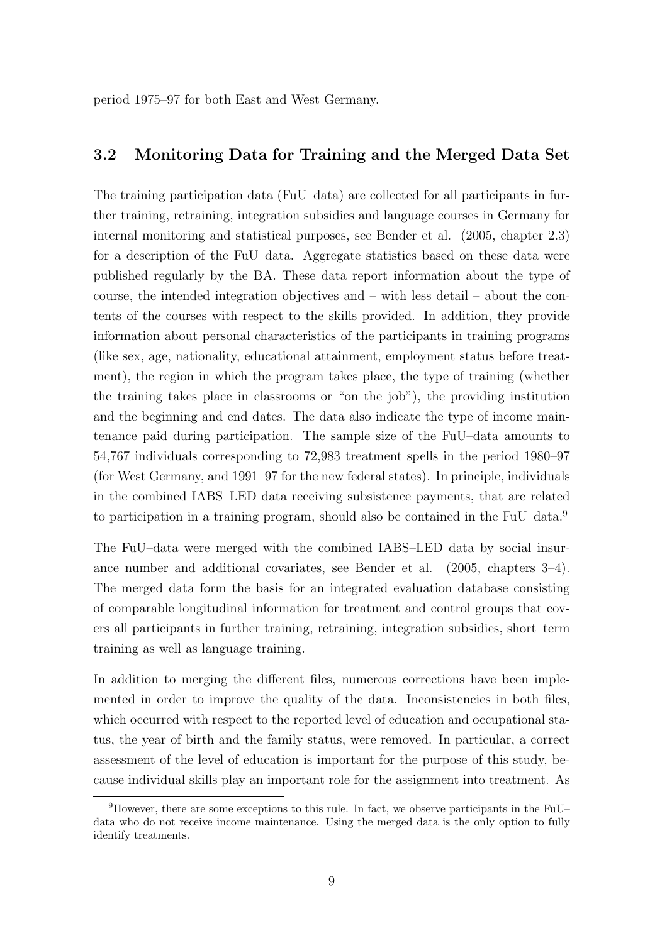period 1975–97 for both East and West Germany.

### 3.2 Monitoring Data for Training and the Merged Data Set

The training participation data (FuU–data) are collected for all participants in further training, retraining, integration subsidies and language courses in Germany for internal monitoring and statistical purposes, see Bender et al. (2005, chapter 2.3) for a description of the FuU–data. Aggregate statistics based on these data were published regularly by the BA. These data report information about the type of course, the intended integration objectives and – with less detail – about the contents of the courses with respect to the skills provided. In addition, they provide information about personal characteristics of the participants in training programs (like sex, age, nationality, educational attainment, employment status before treatment), the region in which the program takes place, the type of training (whether the training takes place in classrooms or "on the job"), the providing institution and the beginning and end dates. The data also indicate the type of income maintenance paid during participation. The sample size of the FuU–data amounts to 54,767 individuals corresponding to 72,983 treatment spells in the period 1980–97 (for West Germany, and 1991–97 for the new federal states). In principle, individuals in the combined IABS–LED data receiving subsistence payments, that are related to participation in a training program, should also be contained in the FuU–data.<sup>9</sup>

The FuU–data were merged with the combined IABS–LED data by social insurance number and additional covariates, see Bender et al. (2005, chapters 3–4). The merged data form the basis for an integrated evaluation database consisting of comparable longitudinal information for treatment and control groups that covers all participants in further training, retraining, integration subsidies, short–term training as well as language training.

In addition to merging the different files, numerous corrections have been implemented in order to improve the quality of the data. Inconsistencies in both files, which occurred with respect to the reported level of education and occupational status, the year of birth and the family status, were removed. In particular, a correct assessment of the level of education is important for the purpose of this study, because individual skills play an important role for the assignment into treatment. As

<sup>9</sup>However, there are some exceptions to this rule. In fact, we observe participants in the FuU– data who do not receive income maintenance. Using the merged data is the only option to fully identify treatments.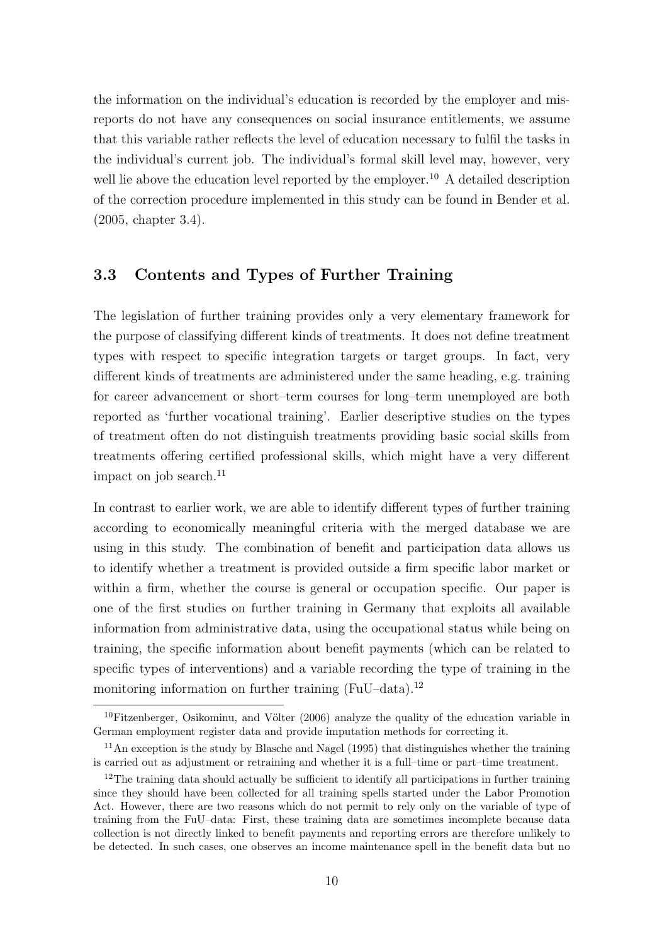the information on the individual's education is recorded by the employer and misreports do not have any consequences on social insurance entitlements, we assume that this variable rather reflects the level of education necessary to fulfil the tasks in the individual's current job. The individual's formal skill level may, however, very well lie above the education level reported by the employer.<sup>10</sup> A detailed description of the correction procedure implemented in this study can be found in Bender et al. (2005, chapter 3.4).

### 3.3 Contents and Types of Further Training

The legislation of further training provides only a very elementary framework for the purpose of classifying different kinds of treatments. It does not define treatment types with respect to specific integration targets or target groups. In fact, very different kinds of treatments are administered under the same heading, e.g. training for career advancement or short–term courses for long–term unemployed are both reported as 'further vocational training'. Earlier descriptive studies on the types of treatment often do not distinguish treatments providing basic social skills from treatments offering certified professional skills, which might have a very different impact on job search. $^{11}$ 

In contrast to earlier work, we are able to identify different types of further training according to economically meaningful criteria with the merged database we are using in this study. The combination of benefit and participation data allows us to identify whether a treatment is provided outside a firm specific labor market or within a firm, whether the course is general or occupation specific. Our paper is one of the first studies on further training in Germany that exploits all available information from administrative data, using the occupational status while being on training, the specific information about benefit payments (which can be related to specific types of interventions) and a variable recording the type of training in the monitoring information on further training  $(FuU-data).<sup>12</sup>$ 

 $10$ Fitzenberger, Osikominu, and Völter (2006) analyze the quality of the education variable in German employment register data and provide imputation methods for correcting it.

<sup>&</sup>lt;sup>11</sup>An exception is the study by Blasche and Nagel (1995) that distinguishes whether the training is carried out as adjustment or retraining and whether it is a full–time or part–time treatment.

 $12$ The training data should actually be sufficient to identify all participations in further training since they should have been collected for all training spells started under the Labor Promotion Act. However, there are two reasons which do not permit to rely only on the variable of type of training from the FuU–data: First, these training data are sometimes incomplete because data collection is not directly linked to benefit payments and reporting errors are therefore unlikely to be detected. In such cases, one observes an income maintenance spell in the benefit data but no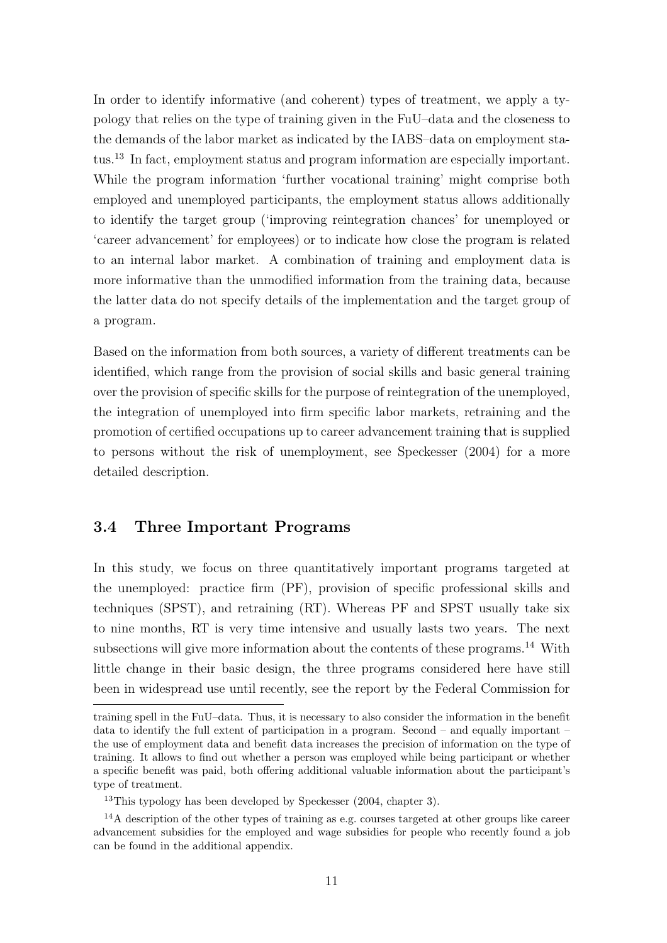In order to identify informative (and coherent) types of treatment, we apply a typology that relies on the type of training given in the FuU–data and the closeness to the demands of the labor market as indicated by the IABS–data on employment status.<sup>13</sup> In fact, employment status and program information are especially important. While the program information 'further vocational training' might comprise both employed and unemployed participants, the employment status allows additionally to identify the target group ('improving reintegration chances' for unemployed or 'career advancement' for employees) or to indicate how close the program is related to an internal labor market. A combination of training and employment data is more informative than the unmodified information from the training data, because the latter data do not specify details of the implementation and the target group of a program.

Based on the information from both sources, a variety of different treatments can be identified, which range from the provision of social skills and basic general training over the provision of specific skills for the purpose of reintegration of the unemployed, the integration of unemployed into firm specific labor markets, retraining and the promotion of certified occupations up to career advancement training that is supplied to persons without the risk of unemployment, see Speckesser (2004) for a more detailed description.

### 3.4 Three Important Programs

In this study, we focus on three quantitatively important programs targeted at the unemployed: practice firm (PF), provision of specific professional skills and techniques (SPST), and retraining (RT). Whereas PF and SPST usually take six to nine months, RT is very time intensive and usually lasts two years. The next subsections will give more information about the contents of these programs.<sup>14</sup> With little change in their basic design, the three programs considered here have still been in widespread use until recently, see the report by the Federal Commission for

training spell in the FuU–data. Thus, it is necessary to also consider the information in the benefit data to identify the full extent of participation in a program. Second – and equally important – the use of employment data and benefit data increases the precision of information on the type of training. It allows to find out whether a person was employed while being participant or whether a specific benefit was paid, both offering additional valuable information about the participant's type of treatment.

 $13$ This typology has been developed by Speckesser (2004, chapter 3).

<sup>&</sup>lt;sup>14</sup>A description of the other types of training as e.g. courses targeted at other groups like career advancement subsidies for the employed and wage subsidies for people who recently found a job can be found in the additional appendix.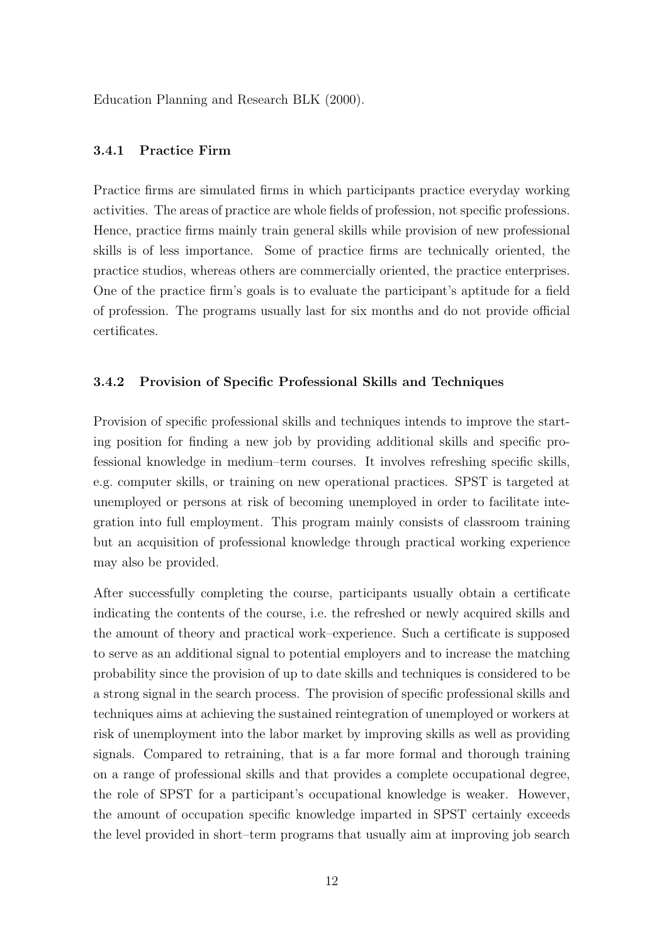Education Planning and Research BLK (2000).

#### 3.4.1 Practice Firm

Practice firms are simulated firms in which participants practice everyday working activities. The areas of practice are whole fields of profession, not specific professions. Hence, practice firms mainly train general skills while provision of new professional skills is of less importance. Some of practice firms are technically oriented, the practice studios, whereas others are commercially oriented, the practice enterprises. One of the practice firm's goals is to evaluate the participant's aptitude for a field of profession. The programs usually last for six months and do not provide official certificates.

#### 3.4.2 Provision of Specific Professional Skills and Techniques

Provision of specific professional skills and techniques intends to improve the starting position for finding a new job by providing additional skills and specific professional knowledge in medium–term courses. It involves refreshing specific skills, e.g. computer skills, or training on new operational practices. SPST is targeted at unemployed or persons at risk of becoming unemployed in order to facilitate integration into full employment. This program mainly consists of classroom training but an acquisition of professional knowledge through practical working experience may also be provided.

After successfully completing the course, participants usually obtain a certificate indicating the contents of the course, i.e. the refreshed or newly acquired skills and the amount of theory and practical work–experience. Such a certificate is supposed to serve as an additional signal to potential employers and to increase the matching probability since the provision of up to date skills and techniques is considered to be a strong signal in the search process. The provision of specific professional skills and techniques aims at achieving the sustained reintegration of unemployed or workers at risk of unemployment into the labor market by improving skills as well as providing signals. Compared to retraining, that is a far more formal and thorough training on a range of professional skills and that provides a complete occupational degree, the role of SPST for a participant's occupational knowledge is weaker. However, the amount of occupation specific knowledge imparted in SPST certainly exceeds the level provided in short–term programs that usually aim at improving job search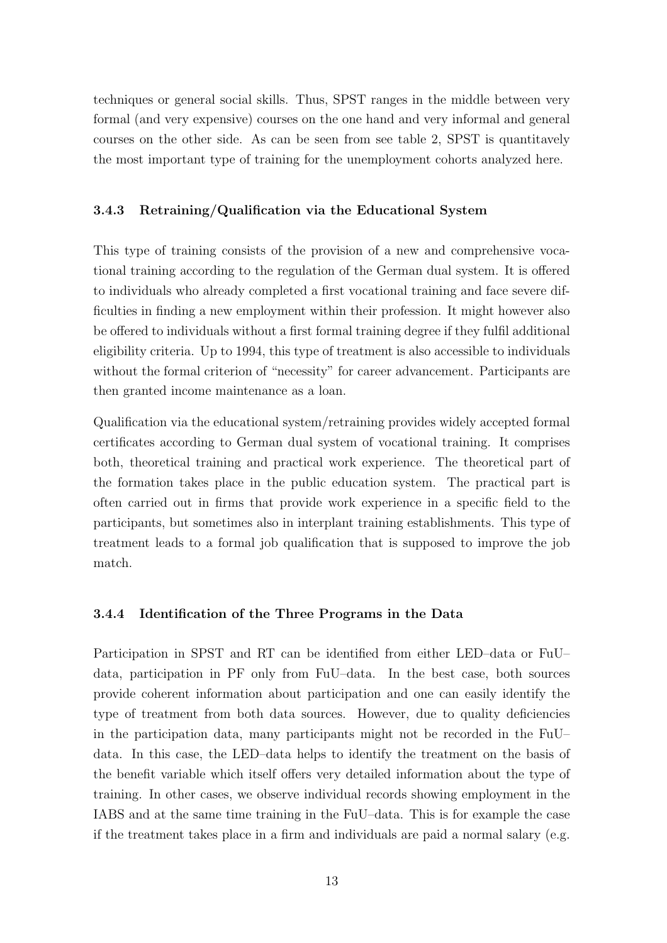techniques or general social skills. Thus, SPST ranges in the middle between very formal (and very expensive) courses on the one hand and very informal and general courses on the other side. As can be seen from see table 2, SPST is quantitavely the most important type of training for the unemployment cohorts analyzed here.

#### 3.4.3 Retraining/Qualification via the Educational System

This type of training consists of the provision of a new and comprehensive vocational training according to the regulation of the German dual system. It is offered to individuals who already completed a first vocational training and face severe difficulties in finding a new employment within their profession. It might however also be offered to individuals without a first formal training degree if they fulfil additional eligibility criteria. Up to 1994, this type of treatment is also accessible to individuals without the formal criterion of "necessity" for career advancement. Participants are then granted income maintenance as a loan.

Qualification via the educational system/retraining provides widely accepted formal certificates according to German dual system of vocational training. It comprises both, theoretical training and practical work experience. The theoretical part of the formation takes place in the public education system. The practical part is often carried out in firms that provide work experience in a specific field to the participants, but sometimes also in interplant training establishments. This type of treatment leads to a formal job qualification that is supposed to improve the job match.

#### 3.4.4 Identification of the Three Programs in the Data

Participation in SPST and RT can be identified from either LED–data or FuU– data, participation in PF only from FuU–data. In the best case, both sources provide coherent information about participation and one can easily identify the type of treatment from both data sources. However, due to quality deficiencies in the participation data, many participants might not be recorded in the FuU– data. In this case, the LED–data helps to identify the treatment on the basis of the benefit variable which itself offers very detailed information about the type of training. In other cases, we observe individual records showing employment in the IABS and at the same time training in the FuU–data. This is for example the case if the treatment takes place in a firm and individuals are paid a normal salary (e.g.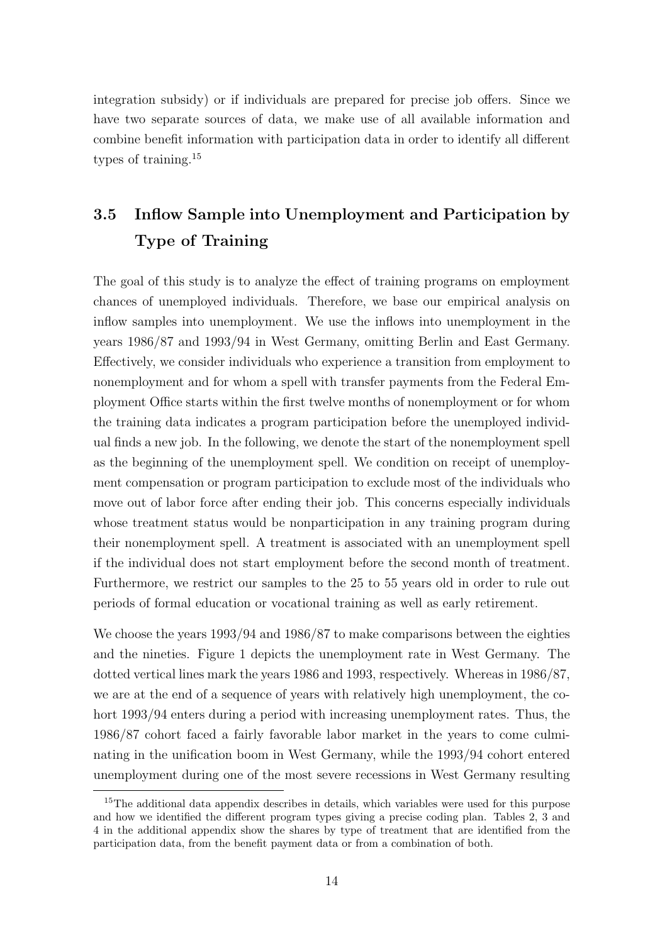integration subsidy) or if individuals are prepared for precise job offers. Since we have two separate sources of data, we make use of all available information and combine benefit information with participation data in order to identify all different types of training.<sup>15</sup>

# 3.5 Inflow Sample into Unemployment and Participation by Type of Training

The goal of this study is to analyze the effect of training programs on employment chances of unemployed individuals. Therefore, we base our empirical analysis on inflow samples into unemployment. We use the inflows into unemployment in the years 1986/87 and 1993/94 in West Germany, omitting Berlin and East Germany. Effectively, we consider individuals who experience a transition from employment to nonemployment and for whom a spell with transfer payments from the Federal Employment Office starts within the first twelve months of nonemployment or for whom the training data indicates a program participation before the unemployed individual finds a new job. In the following, we denote the start of the nonemployment spell as the beginning of the unemployment spell. We condition on receipt of unemployment compensation or program participation to exclude most of the individuals who move out of labor force after ending their job. This concerns especially individuals whose treatment status would be nonparticipation in any training program during their nonemployment spell. A treatment is associated with an unemployment spell if the individual does not start employment before the second month of treatment. Furthermore, we restrict our samples to the 25 to 55 years old in order to rule out periods of formal education or vocational training as well as early retirement.

We choose the years  $1993/94$  and  $1986/87$  to make comparisons between the eighties and the nineties. Figure 1 depicts the unemployment rate in West Germany. The dotted vertical lines mark the years 1986 and 1993, respectively. Whereas in 1986/87, we are at the end of a sequence of years with relatively high unemployment, the cohort 1993/94 enters during a period with increasing unemployment rates. Thus, the 1986/87 cohort faced a fairly favorable labor market in the years to come culminating in the unification boom in West Germany, while the 1993/94 cohort entered unemployment during one of the most severe recessions in West Germany resulting

<sup>&</sup>lt;sup>15</sup>The additional data appendix describes in details, which variables were used for this purpose and how we identified the different program types giving a precise coding plan. Tables 2, 3 and 4 in the additional appendix show the shares by type of treatment that are identified from the participation data, from the benefit payment data or from a combination of both.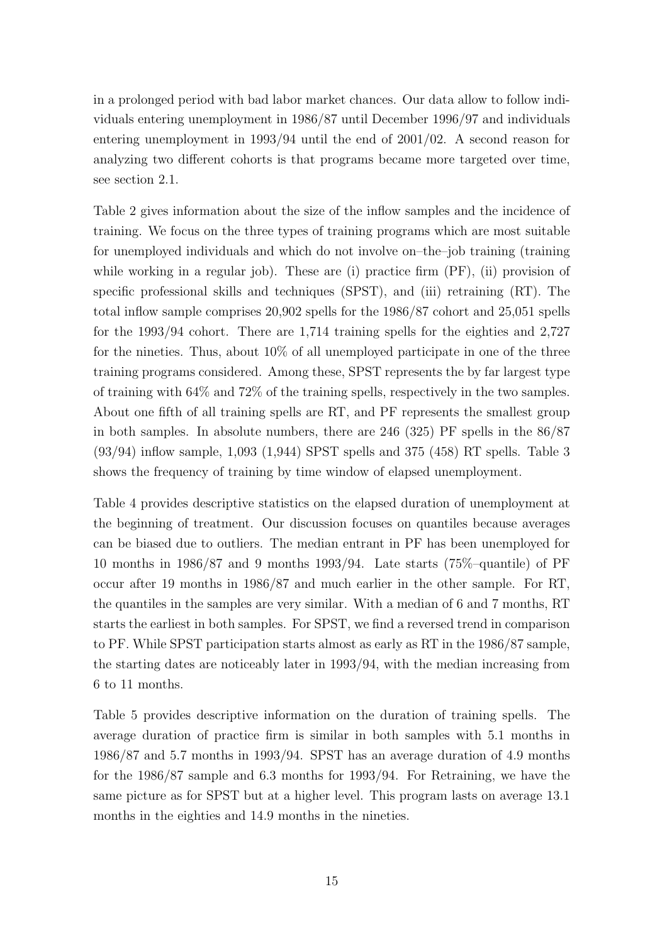in a prolonged period with bad labor market chances. Our data allow to follow individuals entering unemployment in 1986/87 until December 1996/97 and individuals entering unemployment in 1993/94 until the end of 2001/02. A second reason for analyzing two different cohorts is that programs became more targeted over time, see section 2.1.

Table 2 gives information about the size of the inflow samples and the incidence of training. We focus on the three types of training programs which are most suitable for unemployed individuals and which do not involve on–the–job training (training while working in a regular job). These are (i) practice firm  $(PF)$ , (ii) provision of specific professional skills and techniques (SPST), and (iii) retraining (RT). The total inflow sample comprises 20,902 spells for the 1986/87 cohort and 25,051 spells for the 1993/94 cohort. There are 1,714 training spells for the eighties and 2,727 for the nineties. Thus, about 10% of all unemployed participate in one of the three training programs considered. Among these, SPST represents the by far largest type of training with 64% and 72% of the training spells, respectively in the two samples. About one fifth of all training spells are RT, and PF represents the smallest group in both samples. In absolute numbers, there are 246 (325) PF spells in the 86/87 (93/94) inflow sample, 1,093 (1,944) SPST spells and 375 (458) RT spells. Table 3 shows the frequency of training by time window of elapsed unemployment.

Table 4 provides descriptive statistics on the elapsed duration of unemployment at the beginning of treatment. Our discussion focuses on quantiles because averages can be biased due to outliers. The median entrant in PF has been unemployed for 10 months in 1986/87 and 9 months 1993/94. Late starts (75%–quantile) of PF occur after 19 months in 1986/87 and much earlier in the other sample. For RT, the quantiles in the samples are very similar. With a median of 6 and 7 months, RT starts the earliest in both samples. For SPST, we find a reversed trend in comparison to PF. While SPST participation starts almost as early as RT in the 1986/87 sample, the starting dates are noticeably later in 1993/94, with the median increasing from 6 to 11 months.

Table 5 provides descriptive information on the duration of training spells. The average duration of practice firm is similar in both samples with 5.1 months in 1986/87 and 5.7 months in 1993/94. SPST has an average duration of 4.9 months for the 1986/87 sample and 6.3 months for 1993/94. For Retraining, we have the same picture as for SPST but at a higher level. This program lasts on average 13.1 months in the eighties and 14.9 months in the nineties.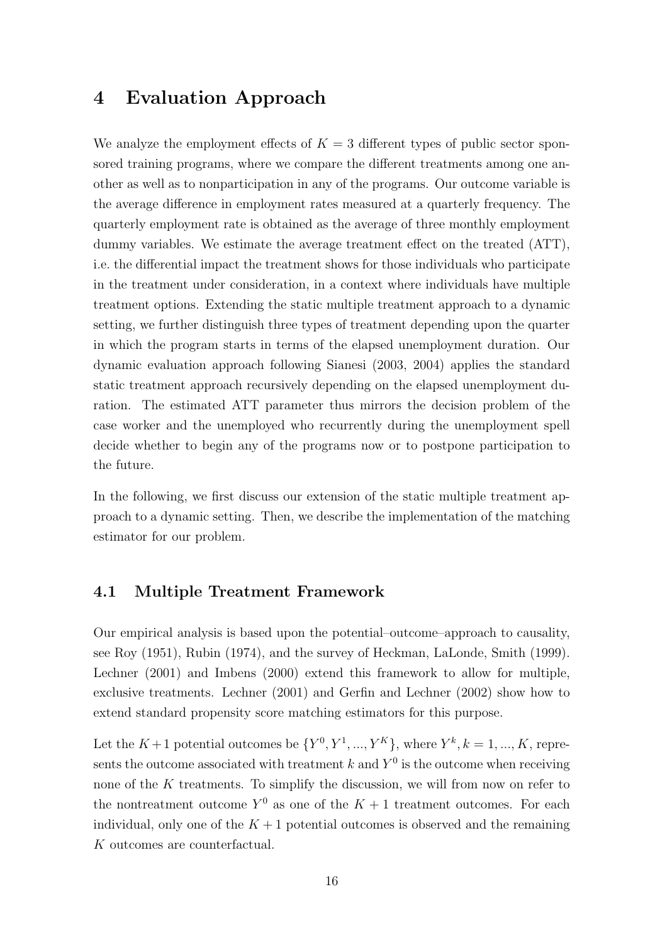# 4 Evaluation Approach

We analyze the employment effects of  $K = 3$  different types of public sector sponsored training programs, where we compare the different treatments among one another as well as to nonparticipation in any of the programs. Our outcome variable is the average difference in employment rates measured at a quarterly frequency. The quarterly employment rate is obtained as the average of three monthly employment dummy variables. We estimate the average treatment effect on the treated (ATT), i.e. the differential impact the treatment shows for those individuals who participate in the treatment under consideration, in a context where individuals have multiple treatment options. Extending the static multiple treatment approach to a dynamic setting, we further distinguish three types of treatment depending upon the quarter in which the program starts in terms of the elapsed unemployment duration. Our dynamic evaluation approach following Sianesi (2003, 2004) applies the standard static treatment approach recursively depending on the elapsed unemployment duration. The estimated ATT parameter thus mirrors the decision problem of the case worker and the unemployed who recurrently during the unemployment spell decide whether to begin any of the programs now or to postpone participation to the future.

In the following, we first discuss our extension of the static multiple treatment approach to a dynamic setting. Then, we describe the implementation of the matching estimator for our problem.

### 4.1 Multiple Treatment Framework

Our empirical analysis is based upon the potential–outcome–approach to causality, see Roy (1951), Rubin (1974), and the survey of Heckman, LaLonde, Smith (1999). Lechner (2001) and Imbens (2000) extend this framework to allow for multiple, exclusive treatments. Lechner (2001) and Gerfin and Lechner (2002) show how to extend standard propensity score matching estimators for this purpose.

Let the  $K+1$  potential outcomes be  $\{Y^0, Y^1, ..., Y^K\}$ , where  $Y^k, k = 1, ..., K$ , represents the outcome associated with treatment k and  $Y^0$  is the outcome when receiving none of the K treatments. To simplify the discussion, we will from now on refer to the nontreatment outcome  $Y^0$  as one of the  $K+1$  treatment outcomes. For each individual, only one of the  $K + 1$  potential outcomes is observed and the remaining K outcomes are counterfactual.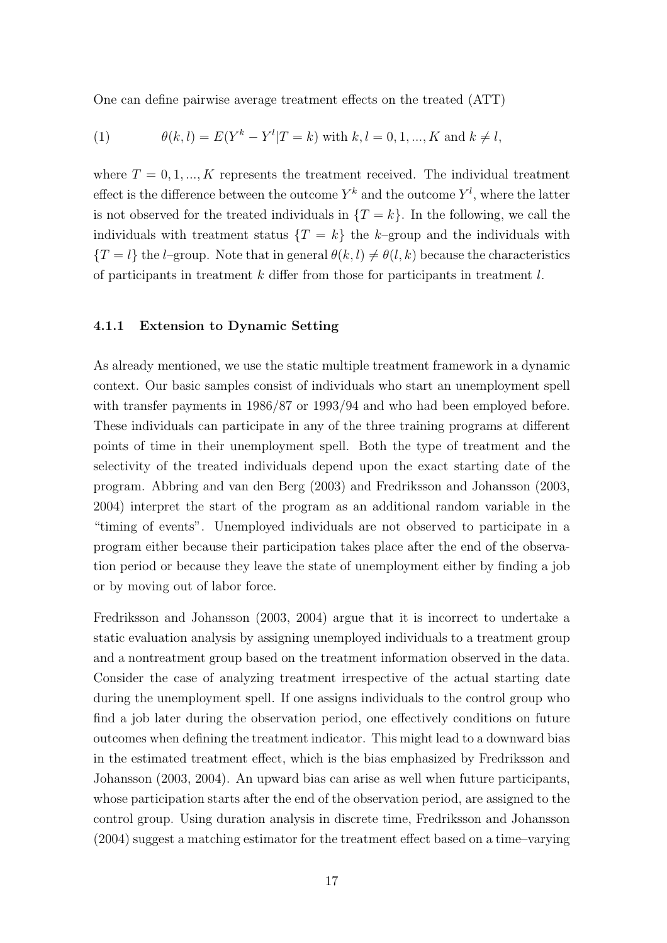One can define pairwise average treatment effects on the treated (ATT)

(1) 
$$
\theta(k,l) = E(Y^k - Y^l | T = k) \text{ with } k, l = 0, 1, ..., K \text{ and } k \neq l,
$$

where  $T = 0, 1, ..., K$  represents the treatment received. The individual treatment effect is the difference between the outcome  $Y^k$  and the outcome  $Y^l$ , where the latter is not observed for the treated individuals in  $\{T = k\}$ . In the following, we call the individuals with treatment status  $\{T = k\}$  the k-group and the individuals with  ${T = l}$  the *l*–group. Note that in general  $\theta(k, l) \neq \theta(l, k)$  because the characteristics of participants in treatment  $k$  differ from those for participants in treatment  $l$ .

#### 4.1.1 Extension to Dynamic Setting

As already mentioned, we use the static multiple treatment framework in a dynamic context. Our basic samples consist of individuals who start an unemployment spell with transfer payments in  $1986/87$  or  $1993/94$  and who had been employed before. These individuals can participate in any of the three training programs at different points of time in their unemployment spell. Both the type of treatment and the selectivity of the treated individuals depend upon the exact starting date of the program. Abbring and van den Berg (2003) and Fredriksson and Johansson (2003, 2004) interpret the start of the program as an additional random variable in the "timing of events". Unemployed individuals are not observed to participate in a program either because their participation takes place after the end of the observation period or because they leave the state of unemployment either by finding a job or by moving out of labor force.

Fredriksson and Johansson (2003, 2004) argue that it is incorrect to undertake a static evaluation analysis by assigning unemployed individuals to a treatment group and a nontreatment group based on the treatment information observed in the data. Consider the case of analyzing treatment irrespective of the actual starting date during the unemployment spell. If one assigns individuals to the control group who find a job later during the observation period, one effectively conditions on future outcomes when defining the treatment indicator. This might lead to a downward bias in the estimated treatment effect, which is the bias emphasized by Fredriksson and Johansson (2003, 2004). An upward bias can arise as well when future participants, whose participation starts after the end of the observation period, are assigned to the control group. Using duration analysis in discrete time, Fredriksson and Johansson (2004) suggest a matching estimator for the treatment effect based on a time–varying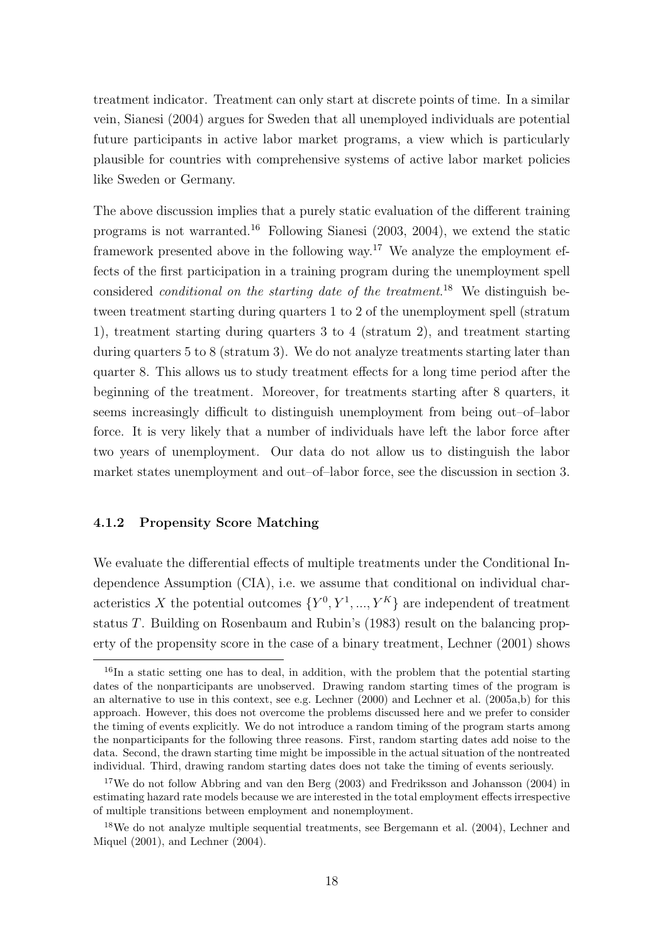treatment indicator. Treatment can only start at discrete points of time. In a similar vein, Sianesi (2004) argues for Sweden that all unemployed individuals are potential future participants in active labor market programs, a view which is particularly plausible for countries with comprehensive systems of active labor market policies like Sweden or Germany.

The above discussion implies that a purely static evaluation of the different training programs is not warranted.<sup>16</sup> Following Sianesi (2003, 2004), we extend the static framework presented above in the following way.<sup>17</sup> We analyze the employment effects of the first participation in a training program during the unemployment spell considered *conditional on the starting date of the treatment*.<sup>18</sup> We distinguish between treatment starting during quarters 1 to 2 of the unemployment spell (stratum 1), treatment starting during quarters 3 to 4 (stratum 2), and treatment starting during quarters 5 to 8 (stratum 3). We do not analyze treatments starting later than quarter 8. This allows us to study treatment effects for a long time period after the beginning of the treatment. Moreover, for treatments starting after 8 quarters, it seems increasingly difficult to distinguish unemployment from being out–of–labor force. It is very likely that a number of individuals have left the labor force after two years of unemployment. Our data do not allow us to distinguish the labor market states unemployment and out–of–labor force, see the discussion in section 3.

#### 4.1.2 Propensity Score Matching

We evaluate the differential effects of multiple treatments under the Conditional Independence Assumption (CIA), i.e. we assume that conditional on individual characteristics X the potential outcomes  ${Y^0, Y^1, ..., Y^K}$  are independent of treatment status T. Building on Rosenbaum and Rubin's (1983) result on the balancing property of the propensity score in the case of a binary treatment, Lechner (2001) shows

 $^{16}$ In a static setting one has to deal, in addition, with the problem that the potential starting dates of the nonparticipants are unobserved. Drawing random starting times of the program is an alternative to use in this context, see e.g. Lechner (2000) and Lechner et al. (2005a,b) for this approach. However, this does not overcome the problems discussed here and we prefer to consider the timing of events explicitly. We do not introduce a random timing of the program starts among the nonparticipants for the following three reasons. First, random starting dates add noise to the data. Second, the drawn starting time might be impossible in the actual situation of the nontreated individual. Third, drawing random starting dates does not take the timing of events seriously.

<sup>&</sup>lt;sup>17</sup>We do not follow Abbring and van den Berg (2003) and Fredriksson and Johansson (2004) in estimating hazard rate models because we are interested in the total employment effects irrespective of multiple transitions between employment and nonemployment.

<sup>&</sup>lt;sup>18</sup>We do not analyze multiple sequential treatments, see Bergemann et al. (2004), Lechner and Miquel (2001), and Lechner (2004).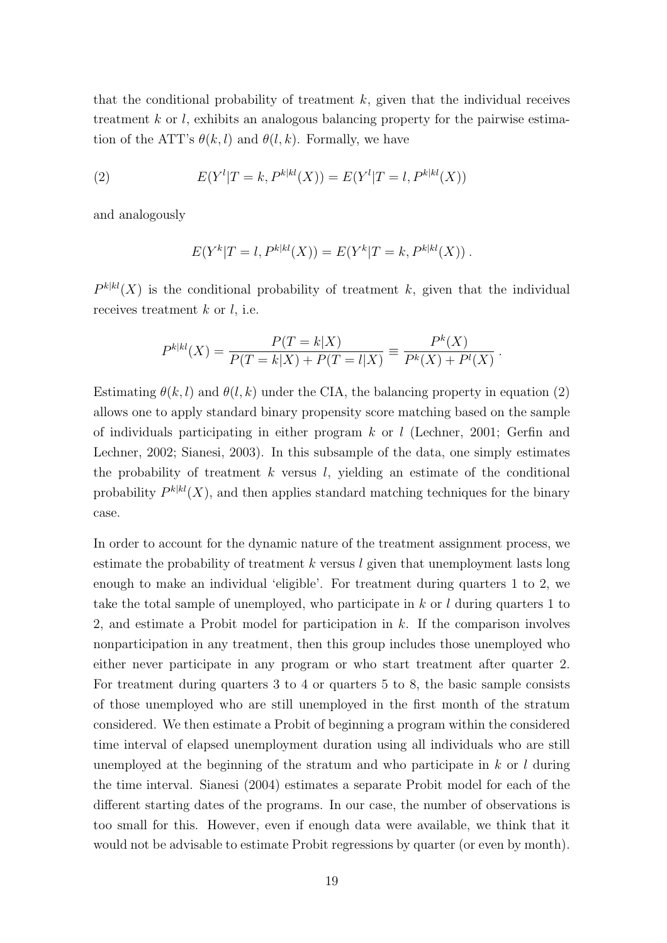that the conditional probability of treatment  $k$ , given that the individual receives treatment  $k$  or  $l$ , exhibits an analogous balancing property for the pairwise estimation of the ATT's  $\theta(k, l)$  and  $\theta(l, k)$ . Formally, we have

(2) 
$$
E(Y^l | T = k, P^{k|kl}(X)) = E(Y^l | T = l, P^{k|kl}(X))
$$

and analogously

$$
E(Y^{k}|T = l, P^{k|kl}(X)) = E(Y^{k}|T = k, P^{k|kl}(X)).
$$

 $P^{k|kl}(X)$  is the conditional probability of treatment k, given that the individual receives treatment  $k$  or  $l$ , i.e.

$$
P^{k|kl}(X) = \frac{P(T = k|X)}{P(T = k|X) + P(T = l|X)} \equiv \frac{P^k(X)}{P^k(X) + P^l(X)}
$$

.

Estimating  $\theta(k, l)$  and  $\theta(l, k)$  under the CIA, the balancing property in equation (2) allows one to apply standard binary propensity score matching based on the sample of individuals participating in either program  $k$  or l (Lechner, 2001; Gerfin and Lechner, 2002; Sianesi, 2003). In this subsample of the data, one simply estimates the probability of treatment  $k$  versus  $l$ , yielding an estimate of the conditional probability  $P^{k|kl}(X)$ , and then applies standard matching techniques for the binary case.

In order to account for the dynamic nature of the treatment assignment process, we estimate the probability of treatment  $k$  versus  $l$  given that unemployment lasts long enough to make an individual 'eligible'. For treatment during quarters 1 to 2, we take the total sample of unemployed, who participate in  $k$  or l during quarters 1 to 2, and estimate a Probit model for participation in  $k$ . If the comparison involves nonparticipation in any treatment, then this group includes those unemployed who either never participate in any program or who start treatment after quarter 2. For treatment during quarters 3 to 4 or quarters 5 to 8, the basic sample consists of those unemployed who are still unemployed in the first month of the stratum considered. We then estimate a Probit of beginning a program within the considered time interval of elapsed unemployment duration using all individuals who are still unemployed at the beginning of the stratum and who participate in  $k$  or  $l$  during the time interval. Sianesi (2004) estimates a separate Probit model for each of the different starting dates of the programs. In our case, the number of observations is too small for this. However, even if enough data were available, we think that it would not be advisable to estimate Probit regressions by quarter (or even by month).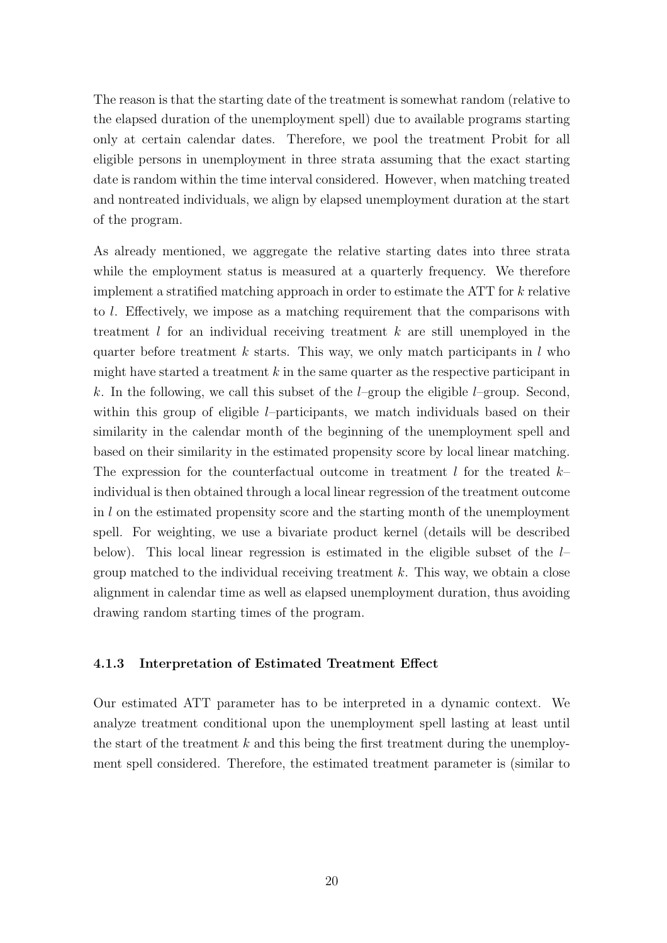The reason is that the starting date of the treatment is somewhat random (relative to the elapsed duration of the unemployment spell) due to available programs starting only at certain calendar dates. Therefore, we pool the treatment Probit for all eligible persons in unemployment in three strata assuming that the exact starting date is random within the time interval considered. However, when matching treated and nontreated individuals, we align by elapsed unemployment duration at the start of the program.

As already mentioned, we aggregate the relative starting dates into three strata while the employment status is measured at a quarterly frequency. We therefore implement a stratified matching approach in order to estimate the ATT for  $k$  relative to l. Effectively, we impose as a matching requirement that the comparisons with treatment  $l$  for an individual receiving treatment  $k$  are still unemployed in the quarter before treatment  $k$  starts. This way, we only match participants in  $l$  who might have started a treatment  $k$  in the same quarter as the respective participant in k. In the following, we call this subset of the  $l$ –group the eligible  $l$ –group. Second, within this group of eligible *l*–participants, we match individuals based on their similarity in the calendar month of the beginning of the unemployment spell and based on their similarity in the estimated propensity score by local linear matching. The expression for the counterfactual outcome in treatment l for the treated  $k$ individual is then obtained through a local linear regression of the treatment outcome in l on the estimated propensity score and the starting month of the unemployment spell. For weighting, we use a bivariate product kernel (details will be described below). This local linear regression is estimated in the eligible subset of the  $l$ group matched to the individual receiving treatment  $k$ . This way, we obtain a close alignment in calendar time as well as elapsed unemployment duration, thus avoiding drawing random starting times of the program.

#### 4.1.3 Interpretation of Estimated Treatment Effect

Our estimated ATT parameter has to be interpreted in a dynamic context. We analyze treatment conditional upon the unemployment spell lasting at least until the start of the treatment  $k$  and this being the first treatment during the unemployment spell considered. Therefore, the estimated treatment parameter is (similar to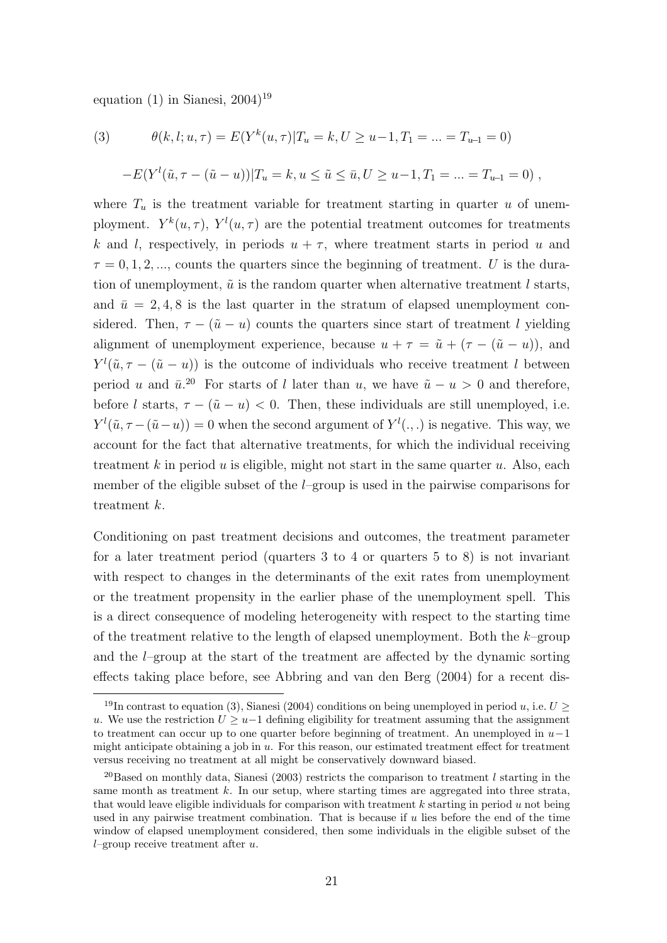equation  $(1)$  in Sianesi,  $2004$ <sup>19</sup>

(3) 
$$
\theta(k, l; u, \tau) = E(Y^{k}(u, \tau))T_{u} = k, U \ge u - 1, T_{1} = ... = T_{u-1} = 0)
$$

$$
-E(Y^{l}(\tilde{u}, \tau - (\tilde{u} - u))|T_{u} = k, u \le \tilde{u} \le \bar{u}, U \ge u - 1, T_{1} = ... = T_{u-1} = 0),
$$

where  $T_u$  is the treatment variable for treatment starting in quarter u of unemployment.  $Y^k(u, \tau)$ ,  $Y^l(u, \tau)$  are the potential treatment outcomes for treatments k and l, respectively, in periods  $u + \tau$ , where treatment starts in period u and  $\tau = 0, 1, 2, \dots$ , counts the quarters since the beginning of treatment. U is the duration of unemployment,  $\tilde{u}$  is the random quarter when alternative treatment l starts, and  $\bar{u} = 2, 4, 8$  is the last quarter in the stratum of elapsed unemployment considered. Then,  $\tau - (\tilde{u} - u)$  counts the quarters since start of treatment l yielding alignment of unemployment experience, because  $u + \tau = \tilde{u} + (\tau - (\tilde{u} - u))$ , and  $Y^{l}(\tilde{u}, \tau - (\tilde{u} - u))$  is the outcome of individuals who receive treatment l between period u and  $\bar{u}^{20}$ . For starts of l later than u, we have  $\tilde{u} - u > 0$  and therefore, before l starts,  $\tau - (\tilde{u} - u) < 0$ . Then, these individuals are still unemployed, i.e.  $Y^{l}(\tilde{u}, \tau - (\tilde{u} - u)) = 0$  when the second argument of  $Y^{l}(\cdot, \cdot)$  is negative. This way, we account for the fact that alternative treatments, for which the individual receiving treatment k in period u is eligible, might not start in the same quarter  $u$ . Also, each member of the eligible subset of the  $l$ –group is used in the pairwise comparisons for treatment k.

Conditioning on past treatment decisions and outcomes, the treatment parameter for a later treatment period (quarters 3 to 4 or quarters 5 to 8) is not invariant with respect to changes in the determinants of the exit rates from unemployment or the treatment propensity in the earlier phase of the unemployment spell. This is a direct consequence of modeling heterogeneity with respect to the starting time of the treatment relative to the length of elapsed unemployment. Both the  $k$ –group and the l–group at the start of the treatment are affected by the dynamic sorting effects taking place before, see Abbring and van den Berg (2004) for a recent dis-

<sup>&</sup>lt;sup>19</sup>In contrast to equation (3), Sianesi (2004) conditions on being unemployed in period u, i.e.  $U \geq$ u. We use the restriction  $U \geq u-1$  defining eligibility for treatment assuming that the assignment to treatment can occur up to one quarter before beginning of treatment. An unemployed in  $u-1$ might anticipate obtaining a job in  $u$ . For this reason, our estimated treatment effect for treatment versus receiving no treatment at all might be conservatively downward biased.

<sup>&</sup>lt;sup>20</sup>Based on monthly data, Sianesi (2003) restricts the comparison to treatment  $l$  starting in the same month as treatment  $k$ . In our setup, where starting times are aggregated into three strata, that would leave eligible individuals for comparison with treatment  $k$  starting in period  $u$  not being used in any pairwise treatment combination. That is because if  $u$  lies before the end of the time window of elapsed unemployment considered, then some individuals in the eligible subset of the l–group receive treatment after  $u$ .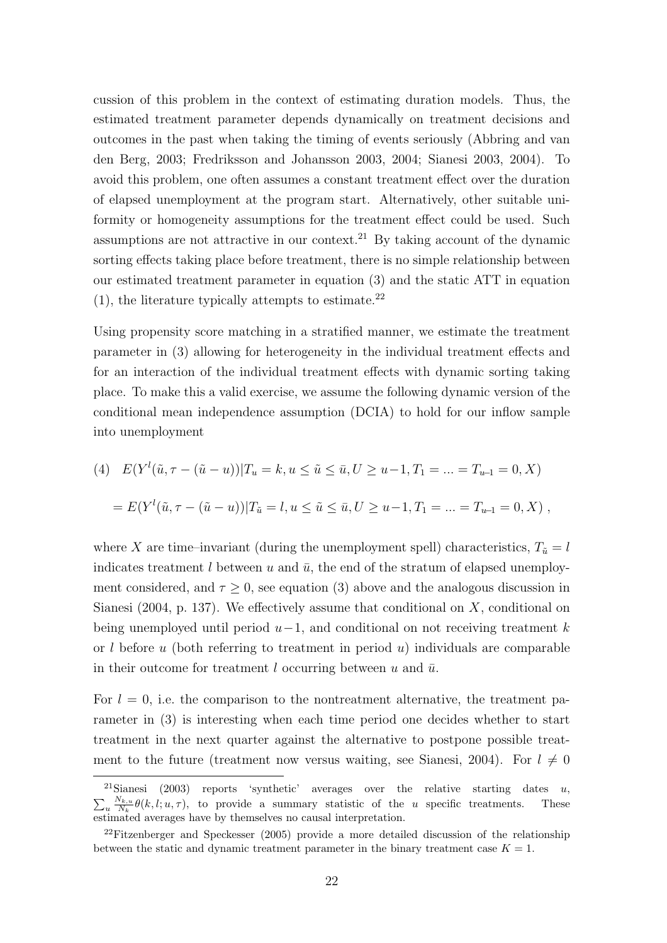cussion of this problem in the context of estimating duration models. Thus, the estimated treatment parameter depends dynamically on treatment decisions and outcomes in the past when taking the timing of events seriously (Abbring and van den Berg, 2003; Fredriksson and Johansson 2003, 2004; Sianesi 2003, 2004). To avoid this problem, one often assumes a constant treatment effect over the duration of elapsed unemployment at the program start. Alternatively, other suitable uniformity or homogeneity assumptions for the treatment effect could be used. Such assumptions are not attractive in our context.<sup>21</sup> By taking account of the dynamic sorting effects taking place before treatment, there is no simple relationship between our estimated treatment parameter in equation (3) and the static ATT in equation  $(1)$ , the literature typically attempts to estimate.<sup>22</sup>

Using propensity score matching in a stratified manner, we estimate the treatment parameter in (3) allowing for heterogeneity in the individual treatment effects and for an interaction of the individual treatment effects with dynamic sorting taking place. To make this a valid exercise, we assume the following dynamic version of the conditional mean independence assumption (DCIA) to hold for our inflow sample into unemployment

(4) 
$$
E(Y^l(\tilde{u}, \tau - (\tilde{u} - u)) | T_u = k, u \le \tilde{u} \le \bar{u}, U \ge u - 1, T_1 = ... = T_{u-1} = 0, X)
$$
  
=  $E(Y^l(\tilde{u}, \tau - (\tilde{u} - u)) | T_{\tilde{u}} = l, u \le \tilde{u} \le \bar{u}, U \ge u - 1, T_1 = ... = T_{u-1} = 0, X)$ ,

where X are time–invariant (during the unemployment spell) characteristics,  $T_{\tilde{u}} = l$ indicates treatment  $l$  between  $u$  and  $\bar{u}$ , the end of the stratum of elapsed unemployment considered, and  $\tau \geq 0$ , see equation (3) above and the analogous discussion in Sianesi (2004, p. 137). We effectively assume that conditional on  $X$ , conditional on being unemployed until period  $u-1$ , and conditional on not receiving treatment k or l before u (both referring to treatment in period u) individuals are comparable in their outcome for treatment l occurring between u and  $\bar{u}$ .

For  $l = 0$ , i.e. the comparison to the nontreatment alternative, the treatment parameter in (3) is interesting when each time period one decides whether to start treatment in the next quarter against the alternative to postpone possible treatment to the future (treatment now versus waiting, see Sianesi, 2004). For  $l \neq 0$ 

<sup>&</sup>lt;sup>21</sup>Sianesi (2003) reports 'synthetic' averages over the relative starting dates u,  $\frac{N_{k,u}}{N} \theta(k, l; u, \tau)$ , to provide a summary statistic of the u specific treatments. These  $u \frac{N_{k,u}}{N_k}$  $\frac{N_{k,u}}{N_k} \theta(k,l;u,\tau)$ , to provide a summary statistic of the u specific treatments. These estimated averages have by themselves no causal interpretation.

<sup>&</sup>lt;sup>22</sup>Fitzenberger and Speckesser  $(2005)$  provide a more detailed discussion of the relationship between the static and dynamic treatment parameter in the binary treatment case  $K = 1$ .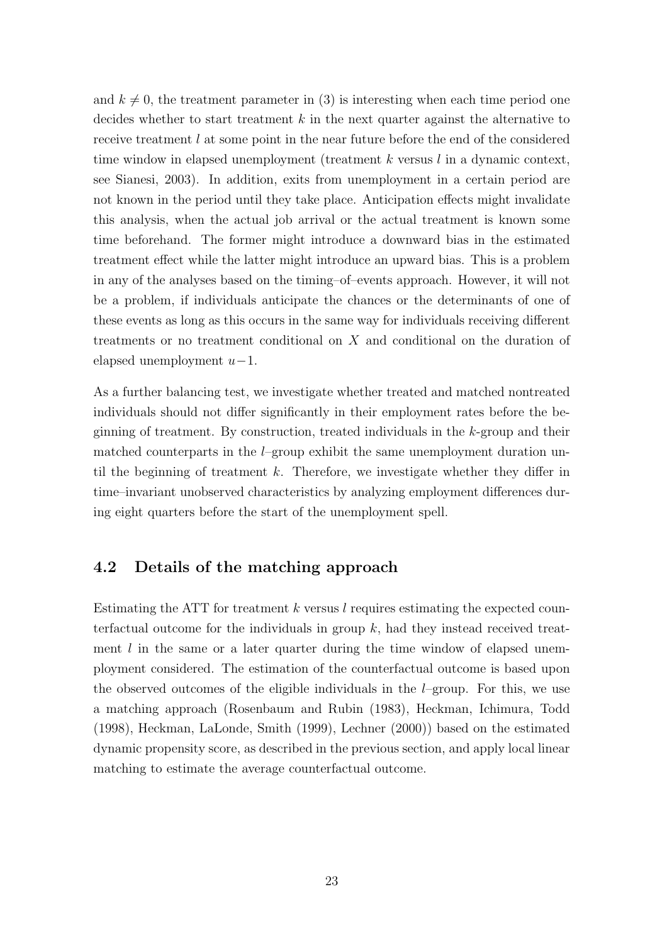and  $k \neq 0$ , the treatment parameter in (3) is interesting when each time period one decides whether to start treatment  $k$  in the next quarter against the alternative to receive treatment *l* at some point in the near future before the end of the considered time window in elapsed unemployment (treatment  $k$  versus  $l$  in a dynamic context, see Sianesi, 2003). In addition, exits from unemployment in a certain period are not known in the period until they take place. Anticipation effects might invalidate this analysis, when the actual job arrival or the actual treatment is known some time beforehand. The former might introduce a downward bias in the estimated treatment effect while the latter might introduce an upward bias. This is a problem in any of the analyses based on the timing–of–events approach. However, it will not be a problem, if individuals anticipate the chances or the determinants of one of these events as long as this occurs in the same way for individuals receiving different treatments or no treatment conditional on X and conditional on the duration of elapsed unemployment  $u-1$ .

As a further balancing test, we investigate whether treated and matched nontreated individuals should not differ significantly in their employment rates before the beginning of treatment. By construction, treated individuals in the k-group and their matched counterparts in the  $l$ –group exhibit the same unemployment duration until the beginning of treatment  $k$ . Therefore, we investigate whether they differ in time–invariant unobserved characteristics by analyzing employment differences during eight quarters before the start of the unemployment spell.

#### 4.2 Details of the matching approach

Estimating the ATT for treatment  $k$  versus l requires estimating the expected counterfactual outcome for the individuals in group  $k$ , had they instead received treatment  $l$  in the same or a later quarter during the time window of elapsed unemployment considered. The estimation of the counterfactual outcome is based upon the observed outcomes of the eligible individuals in the  $l$ –group. For this, we use a matching approach (Rosenbaum and Rubin (1983), Heckman, Ichimura, Todd (1998), Heckman, LaLonde, Smith (1999), Lechner (2000)) based on the estimated dynamic propensity score, as described in the previous section, and apply local linear matching to estimate the average counterfactual outcome.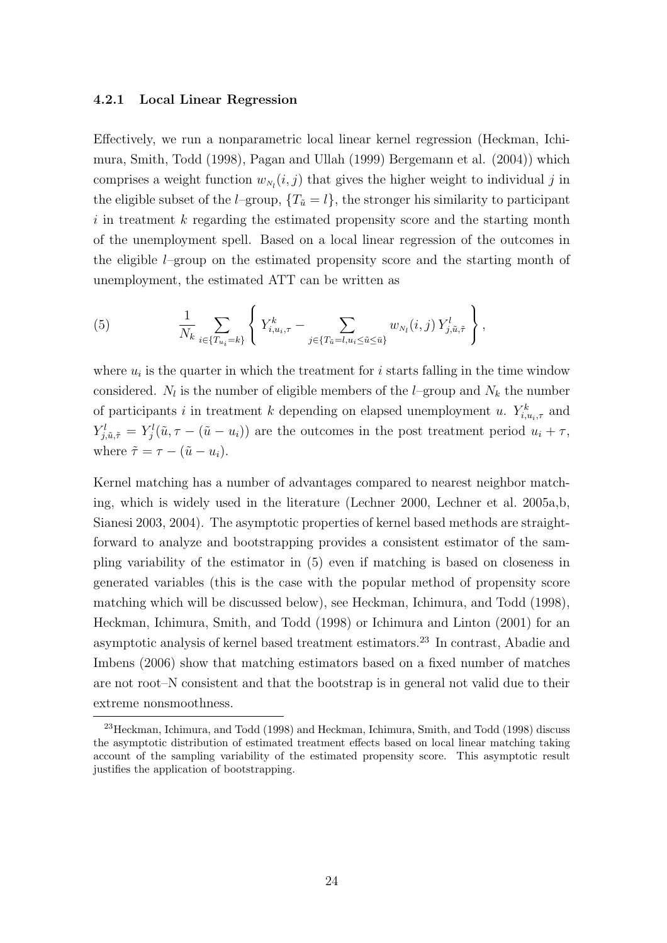#### 4.2.1 Local Linear Regression

Effectively, we run a nonparametric local linear kernel regression (Heckman, Ichimura, Smith, Todd (1998), Pagan and Ullah (1999) Bergemann et al. (2004)) which comprises a weight function  $w_{N_l}(i, j)$  that gives the higher weight to individual j in the eligible subset of the *l*–group,  $\{T_{\tilde{u}} = l\}$ , the stronger his similarity to participant i in treatment k regarding the estimated propensity score and the starting month of the unemployment spell. Based on a local linear regression of the outcomes in the eligible l–group on the estimated propensity score and the starting month of unemployment, the estimated ATT can be written as

(5) 
$$
\frac{1}{N_k} \sum_{i \in \{T_{u_i} = k\}} \left\{ Y_{i, u_i, \tau}^k - \sum_{j \in \{T_{\tilde{u}} = l, u_i \leq \tilde{u} \leq \bar{u}\}} w_{N_l}(i, j) Y_{j, \tilde{u}, \tilde{\tau}}^l \right\},
$$

where  $u_i$  is the quarter in which the treatment for i starts falling in the time window considered.  $N_l$  is the number of eligible members of the *l*–group and  $N_k$  the number of participants i in treatment k depending on elapsed unemployment u.  $Y_{i,u_i,\tau}^k$  and  $Y_{j,\tilde{u},\tilde{\tau}}^l = Y_j^l(\tilde{u}, \tau - (\tilde{u} - u_i))$  are the outcomes in the post treatment period  $u_i + \tau$ , where  $\tilde{\tau} = \tau - (\tilde{u} - u_i)$ .

Kernel matching has a number of advantages compared to nearest neighbor matching, which is widely used in the literature (Lechner 2000, Lechner et al. 2005a,b, Sianesi 2003, 2004). The asymptotic properties of kernel based methods are straightforward to analyze and bootstrapping provides a consistent estimator of the sampling variability of the estimator in (5) even if matching is based on closeness in generated variables (this is the case with the popular method of propensity score matching which will be discussed below), see Heckman, Ichimura, and Todd (1998), Heckman, Ichimura, Smith, and Todd (1998) or Ichimura and Linton (2001) for an asymptotic analysis of kernel based treatment estimators.<sup>23</sup> In contrast, Abadie and Imbens (2006) show that matching estimators based on a fixed number of matches are not root–N consistent and that the bootstrap is in general not valid due to their extreme nonsmoothness.

<sup>&</sup>lt;sup>23</sup> Heckman, Ichimura, and Todd (1998) and Heckman, Ichimura, Smith, and Todd (1998) discuss the asymptotic distribution of estimated treatment effects based on local linear matching taking account of the sampling variability of the estimated propensity score. This asymptotic result justifies the application of bootstrapping.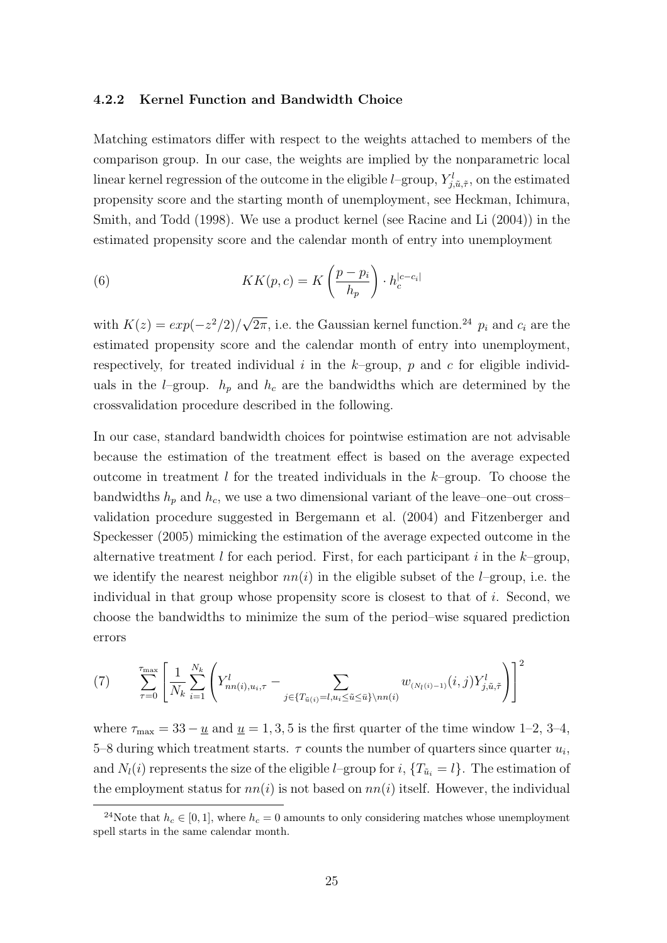#### 4.2.2 Kernel Function and Bandwidth Choice

Matching estimators differ with respect to the weights attached to members of the comparison group. In our case, the weights are implied by the nonparametric local linear kernel regression of the outcome in the eligible *l*-group,  $Y_{j,\tilde{u},\tilde{\tau}}^l$ , on the estimated propensity score and the starting month of unemployment, see Heckman, Ichimura, Smith, and Todd (1998). We use a product kernel (see Racine and Li (2004)) in the estimated propensity score and the calendar month of entry into unemployment

(6) 
$$
KK(p, c) = K\left(\frac{p - p_i}{h_p}\right) \cdot h_c^{|c - c_i|}
$$

with  $K(z) = exp(-z^2/2)$ √  $\overline{2\pi}$ , i.e. the Gaussian kernel function.<sup>24</sup>  $p_i$  and  $c_i$  are the estimated propensity score and the calendar month of entry into unemployment, respectively, for treated individual i in the  $k$ -group, p and c for eligible individuals in the *l*–group.  $h_p$  and  $h_c$  are the bandwidths which are determined by the crossvalidation procedure described in the following.

In our case, standard bandwidth choices for pointwise estimation are not advisable because the estimation of the treatment effect is based on the average expected outcome in treatment l for the treated individuals in the  $k$ –group. To choose the bandwidths  $h_p$  and  $h_c$ , we use a two dimensional variant of the leave–one–out cross– validation procedure suggested in Bergemann et al. (2004) and Fitzenberger and Speckesser (2005) mimicking the estimation of the average expected outcome in the alternative treatment l for each period. First, for each participant i in the k–group, we identify the nearest neighbor  $nn(i)$  in the eligible subset of the *l*–group, i.e. the individual in that group whose propensity score is closest to that of  $i$ . Second, we choose the bandwidths to minimize the sum of the period–wise squared prediction errors

(7) 
$$
\sum_{\tau=0}^{\tau_{\max}} \left[ \frac{1}{N_k} \sum_{i=1}^{N_k} \left( Y_{nn(i),u_i,\tau}^l - \sum_{j \in \{T_{\tilde{u}(i)} = l, u_i \leq \tilde{u} \leq \tilde{u}\} \setminus nn(i)} w_{(N_l(i)-1)}(i,j) Y_{j,\tilde{u},\tilde{\tau}}^l \right) \right]^2
$$

where  $\tau_{\text{max}} = 33 - \underline{u}$  and  $\underline{u} = 1, 3, 5$  is the first quarter of the time window 1–2, 3–4, 5–8 during which treatment starts.  $\tau$  counts the number of quarters since quarter  $u_i$ , and  $N_l(i)$  represents the size of the eligible *l*–group for i,  $\{T_{\tilde{u}_i} = l\}$ . The estimation of the employment status for  $nn(i)$  is not based on  $nn(i)$  itself. However, the individual

<sup>&</sup>lt;sup>24</sup>Note that  $h_c \in [0, 1]$ , where  $h_c = 0$  amounts to only considering matches whose unemployment spell starts in the same calendar month.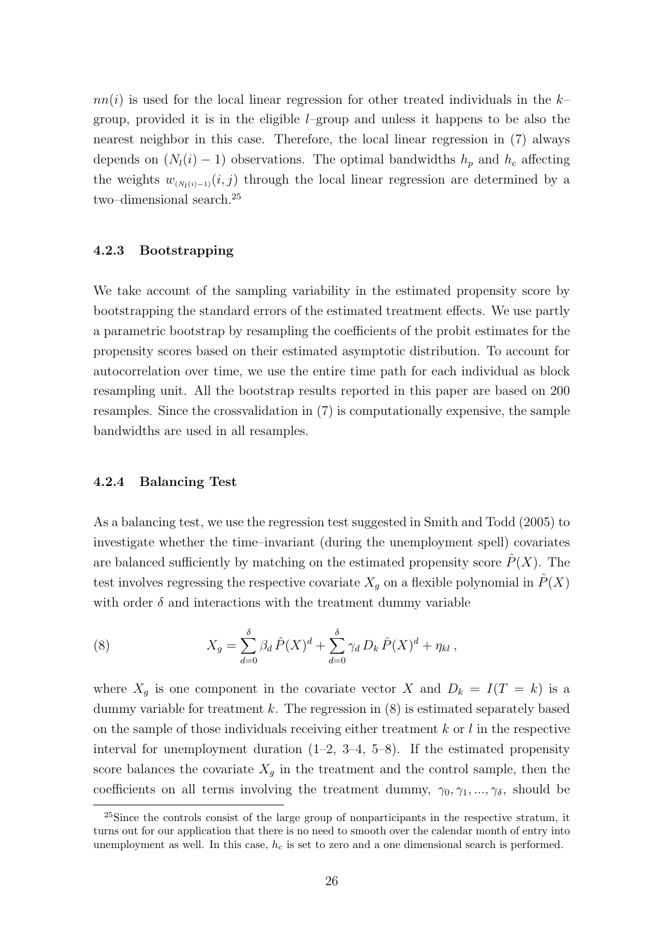$nn(i)$  is used for the local linear regression for other treated individuals in the  $k$ group, provided it is in the eligible  $l$ –group and unless it happens to be also the nearest neighbor in this case. Therefore, the local linear regression in (7) always depends on  $(N_l(i) - 1)$  observations. The optimal bandwidths  $h_p$  and  $h_c$  affecting the weights  $w_{(N_l(i)-1)}(i,j)$  through the local linear regression are determined by a two–dimensional search.<sup>25</sup>

#### 4.2.3 Bootstrapping

We take account of the sampling variability in the estimated propensity score by bootstrapping the standard errors of the estimated treatment effects. We use partly a parametric bootstrap by resampling the coefficients of the probit estimates for the propensity scores based on their estimated asymptotic distribution. To account for autocorrelation over time, we use the entire time path for each individual as block resampling unit. All the bootstrap results reported in this paper are based on 200 resamples. Since the crossvalidation in (7) is computationally expensive, the sample bandwidths are used in all resamples.

#### 4.2.4 Balancing Test

As a balancing test, we use the regression test suggested in Smith and Todd (2005) to investigate whether the time–invariant (during the unemployment spell) covariates are balanced sufficiently by matching on the estimated propensity score  $\hat{P}(X)$ . The test involves regressing the respective covariate  $X_q$  on a flexible polynomial in  $\tilde{P}(X)$ with order  $\delta$  and interactions with the treatment dummy variable

(8) 
$$
X_g = \sum_{d=0}^{\delta} \beta_d \,\hat{P}(X)^d + \sum_{d=0}^{\delta} \gamma_d \, D_k \,\hat{P}(X)^d + \eta_{kl} \,,
$$

where  $X_g$  is one component in the covariate vector X and  $D_k = I(T = k)$  is a dummy variable for treatment  $k$ . The regression in  $(8)$  is estimated separately based on the sample of those individuals receiving either treatment  $k$  or  $l$  in the respective interval for unemployment duration  $(1-2, 3-4, 5-8)$ . If the estimated propensity score balances the covariate  $X_q$  in the treatment and the control sample, then the coefficients on all terms involving the treatment dummy,  $\gamma_0, \gamma_1, ..., \gamma_\delta$ , should be

 $^{25}$ Since the controls consist of the large group of nonparticipants in the respective stratum, it turns out for our application that there is no need to smooth over the calendar month of entry into unemployment as well. In this case,  $h_c$  is set to zero and a one dimensional search is performed.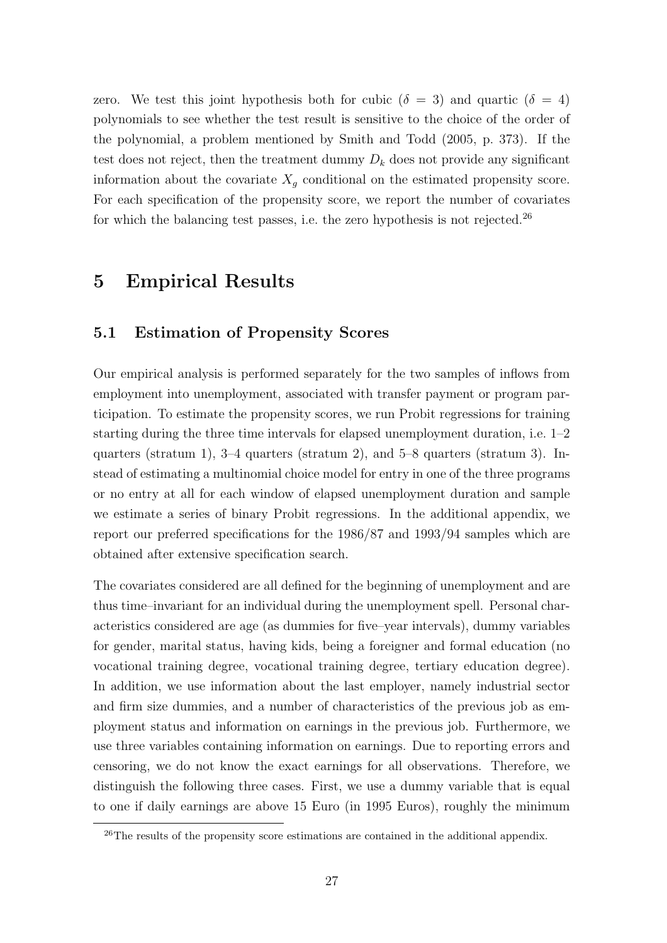zero. We test this joint hypothesis both for cubic ( $\delta = 3$ ) and quartic ( $\delta = 4$ ) polynomials to see whether the test result is sensitive to the choice of the order of the polynomial, a problem mentioned by Smith and Todd (2005, p. 373). If the test does not reject, then the treatment dummy  $D_k$  does not provide any significant information about the covariate  $X_g$  conditional on the estimated propensity score. For each specification of the propensity score, we report the number of covariates for which the balancing test passes, i.e. the zero hypothesis is not rejected.<sup>26</sup>

# 5 Empirical Results

### 5.1 Estimation of Propensity Scores

Our empirical analysis is performed separately for the two samples of inflows from employment into unemployment, associated with transfer payment or program participation. To estimate the propensity scores, we run Probit regressions for training starting during the three time intervals for elapsed unemployment duration, i.e. 1–2 quarters (stratum 1), 3–4 quarters (stratum 2), and 5–8 quarters (stratum 3). Instead of estimating a multinomial choice model for entry in one of the three programs or no entry at all for each window of elapsed unemployment duration and sample we estimate a series of binary Probit regressions. In the additional appendix, we report our preferred specifications for the 1986/87 and 1993/94 samples which are obtained after extensive specification search.

The covariates considered are all defined for the beginning of unemployment and are thus time–invariant for an individual during the unemployment spell. Personal characteristics considered are age (as dummies for five–year intervals), dummy variables for gender, marital status, having kids, being a foreigner and formal education (no vocational training degree, vocational training degree, tertiary education degree). In addition, we use information about the last employer, namely industrial sector and firm size dummies, and a number of characteristics of the previous job as employment status and information on earnings in the previous job. Furthermore, we use three variables containing information on earnings. Due to reporting errors and censoring, we do not know the exact earnings for all observations. Therefore, we distinguish the following three cases. First, we use a dummy variable that is equal to one if daily earnings are above 15 Euro (in 1995 Euros), roughly the minimum

<sup>&</sup>lt;sup>26</sup>The results of the propensity score estimations are contained in the additional appendix.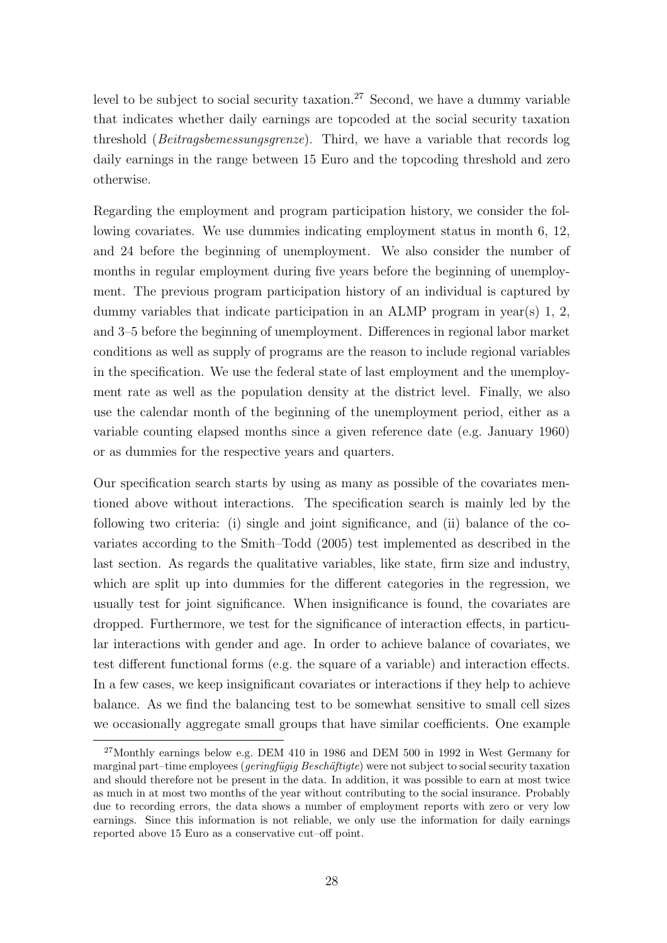level to be subject to social security taxation.<sup>27</sup> Second, we have a dummy variable that indicates whether daily earnings are topcoded at the social security taxation threshold (Beitragsbemessungsgrenze). Third, we have a variable that records log daily earnings in the range between 15 Euro and the topcoding threshold and zero otherwise.

Regarding the employment and program participation history, we consider the following covariates. We use dummies indicating employment status in month 6, 12, and 24 before the beginning of unemployment. We also consider the number of months in regular employment during five years before the beginning of unemployment. The previous program participation history of an individual is captured by dummy variables that indicate participation in an ALMP program in year(s) 1, 2, and 3–5 before the beginning of unemployment. Differences in regional labor market conditions as well as supply of programs are the reason to include regional variables in the specification. We use the federal state of last employment and the unemployment rate as well as the population density at the district level. Finally, we also use the calendar month of the beginning of the unemployment period, either as a variable counting elapsed months since a given reference date (e.g. January 1960) or as dummies for the respective years and quarters.

Our specification search starts by using as many as possible of the covariates mentioned above without interactions. The specification search is mainly led by the following two criteria: (i) single and joint significance, and (ii) balance of the covariates according to the Smith–Todd (2005) test implemented as described in the last section. As regards the qualitative variables, like state, firm size and industry, which are split up into dummies for the different categories in the regression, we usually test for joint significance. When insignificance is found, the covariates are dropped. Furthermore, we test for the significance of interaction effects, in particular interactions with gender and age. In order to achieve balance of covariates, we test different functional forms (e.g. the square of a variable) and interaction effects. In a few cases, we keep insignificant covariates or interactions if they help to achieve balance. As we find the balancing test to be somewhat sensitive to small cell sizes we occasionally aggregate small groups that have similar coefficients. One example

<sup>27</sup>Monthly earnings below e.g. DEM 410 in 1986 and DEM 500 in 1992 in West Germany for marginal part–time employees (*geringfügig Beschäftigte*) were not subject to social security taxation and should therefore not be present in the data. In addition, it was possible to earn at most twice as much in at most two months of the year without contributing to the social insurance. Probably due to recording errors, the data shows a number of employment reports with zero or very low earnings. Since this information is not reliable, we only use the information for daily earnings reported above 15 Euro as a conservative cut–off point.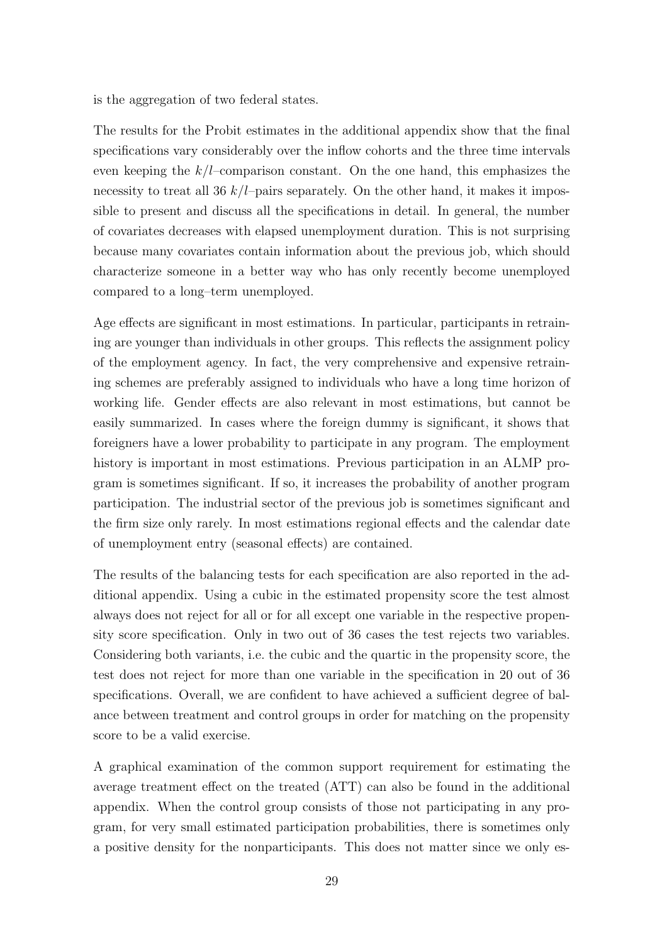is the aggregation of two federal states.

The results for the Probit estimates in the additional appendix show that the final specifications vary considerably over the inflow cohorts and the three time intervals even keeping the  $k/l$ -comparison constant. On the one hand, this emphasizes the necessity to treat all 36  $k/l$ –pairs separately. On the other hand, it makes it impossible to present and discuss all the specifications in detail. In general, the number of covariates decreases with elapsed unemployment duration. This is not surprising because many covariates contain information about the previous job, which should characterize someone in a better way who has only recently become unemployed compared to a long–term unemployed.

Age effects are significant in most estimations. In particular, participants in retraining are younger than individuals in other groups. This reflects the assignment policy of the employment agency. In fact, the very comprehensive and expensive retraining schemes are preferably assigned to individuals who have a long time horizon of working life. Gender effects are also relevant in most estimations, but cannot be easily summarized. In cases where the foreign dummy is significant, it shows that foreigners have a lower probability to participate in any program. The employment history is important in most estimations. Previous participation in an ALMP program is sometimes significant. If so, it increases the probability of another program participation. The industrial sector of the previous job is sometimes significant and the firm size only rarely. In most estimations regional effects and the calendar date of unemployment entry (seasonal effects) are contained.

The results of the balancing tests for each specification are also reported in the additional appendix. Using a cubic in the estimated propensity score the test almost always does not reject for all or for all except one variable in the respective propensity score specification. Only in two out of 36 cases the test rejects two variables. Considering both variants, i.e. the cubic and the quartic in the propensity score, the test does not reject for more than one variable in the specification in 20 out of 36 specifications. Overall, we are confident to have achieved a sufficient degree of balance between treatment and control groups in order for matching on the propensity score to be a valid exercise.

A graphical examination of the common support requirement for estimating the average treatment effect on the treated (ATT) can also be found in the additional appendix. When the control group consists of those not participating in any program, for very small estimated participation probabilities, there is sometimes only a positive density for the nonparticipants. This does not matter since we only es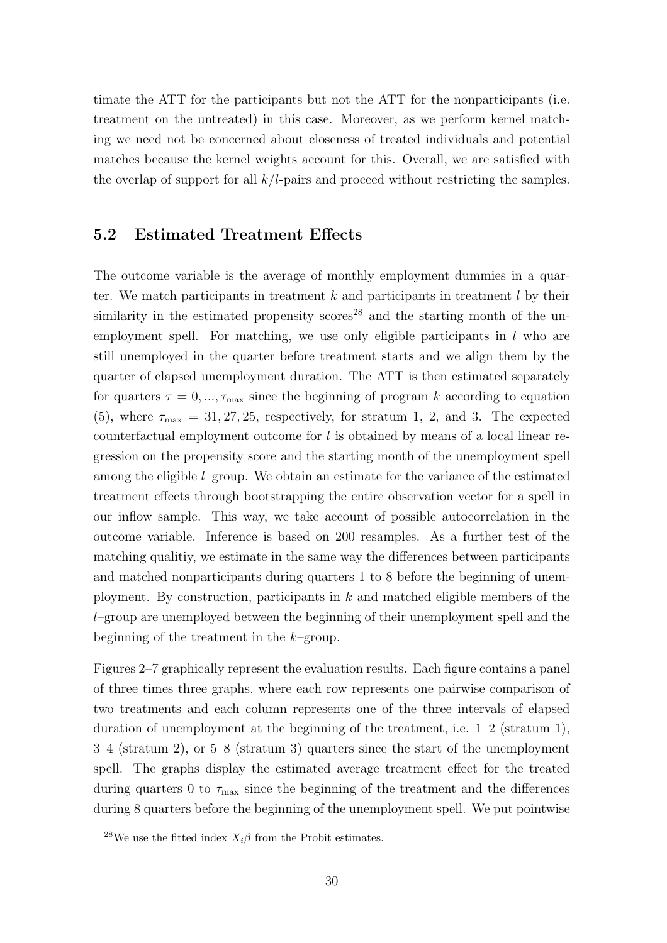timate the ATT for the participants but not the ATT for the nonparticipants (i.e. treatment on the untreated) in this case. Moreover, as we perform kernel matching we need not be concerned about closeness of treated individuals and potential matches because the kernel weights account for this. Overall, we are satisfied with the overlap of support for all  $k/l$ -pairs and proceed without restricting the samples.

### 5.2 Estimated Treatment Effects

The outcome variable is the average of monthly employment dummies in a quarter. We match participants in treatment  $k$  and participants in treatment  $l$  by their similarity in the estimated propensity scores<sup>28</sup> and the starting month of the unemployment spell. For matching, we use only eligible participants in  $l$  who are still unemployed in the quarter before treatment starts and we align them by the quarter of elapsed unemployment duration. The ATT is then estimated separately for quarters  $\tau = 0, \ldots, \tau_{\text{max}}$  since the beginning of program k according to equation (5), where  $\tau_{\text{max}} = 31, 27, 25$ , respectively, for stratum 1, 2, and 3. The expected counterfactual employment outcome for  $l$  is obtained by means of a local linear regression on the propensity score and the starting month of the unemployment spell among the eligible  $l$ –group. We obtain an estimate for the variance of the estimated treatment effects through bootstrapping the entire observation vector for a spell in our inflow sample. This way, we take account of possible autocorrelation in the outcome variable. Inference is based on 200 resamples. As a further test of the matching qualitiy, we estimate in the same way the differences between participants and matched nonparticipants during quarters 1 to 8 before the beginning of unemployment. By construction, participants in  $k$  and matched eligible members of the l–group are unemployed between the beginning of their unemployment spell and the beginning of the treatment in the  $k$ -group.

Figures 2–7 graphically represent the evaluation results. Each figure contains a panel of three times three graphs, where each row represents one pairwise comparison of two treatments and each column represents one of the three intervals of elapsed duration of unemployment at the beginning of the treatment, i.e.  $1-2$  (stratum 1), 3–4 (stratum 2), or 5–8 (stratum 3) quarters since the start of the unemployment spell. The graphs display the estimated average treatment effect for the treated during quarters 0 to  $\tau_{\text{max}}$  since the beginning of the treatment and the differences during 8 quarters before the beginning of the unemployment spell. We put pointwise

<sup>&</sup>lt;sup>28</sup>We use the fitted index  $X_i\beta$  from the Probit estimates.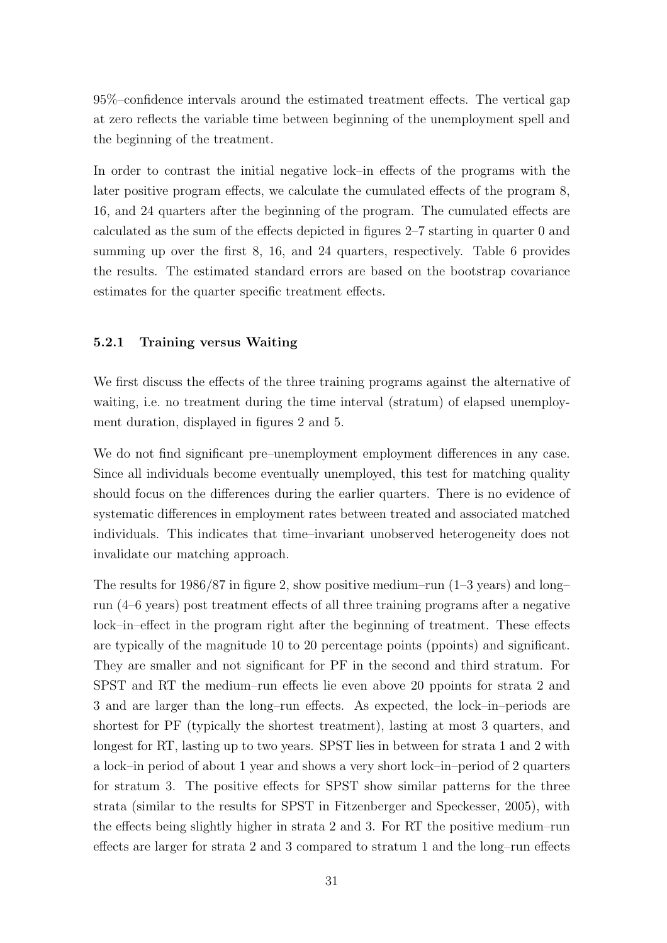95%–confidence intervals around the estimated treatment effects. The vertical gap at zero reflects the variable time between beginning of the unemployment spell and the beginning of the treatment.

In order to contrast the initial negative lock–in effects of the programs with the later positive program effects, we calculate the cumulated effects of the program 8, 16, and 24 quarters after the beginning of the program. The cumulated effects are calculated as the sum of the effects depicted in figures 2–7 starting in quarter 0 and summing up over the first 8, 16, and 24 quarters, respectively. Table 6 provides the results. The estimated standard errors are based on the bootstrap covariance estimates for the quarter specific treatment effects.

#### 5.2.1 Training versus Waiting

We first discuss the effects of the three training programs against the alternative of waiting, i.e. no treatment during the time interval (stratum) of elapsed unemployment duration, displayed in figures 2 and 5.

We do not find significant pre–unemployment employment differences in any case. Since all individuals become eventually unemployed, this test for matching quality should focus on the differences during the earlier quarters. There is no evidence of systematic differences in employment rates between treated and associated matched individuals. This indicates that time–invariant unobserved heterogeneity does not invalidate our matching approach.

The results for 1986/87 in figure 2, show positive medium–run  $(1-3 \text{ years})$  and long– run (4–6 years) post treatment effects of all three training programs after a negative lock–in–effect in the program right after the beginning of treatment. These effects are typically of the magnitude 10 to 20 percentage points (ppoints) and significant. They are smaller and not significant for PF in the second and third stratum. For SPST and RT the medium–run effects lie even above 20 ppoints for strata 2 and 3 and are larger than the long–run effects. As expected, the lock–in–periods are shortest for PF (typically the shortest treatment), lasting at most 3 quarters, and longest for RT, lasting up to two years. SPST lies in between for strata 1 and 2 with a lock–in period of about 1 year and shows a very short lock–in–period of 2 quarters for stratum 3. The positive effects for SPST show similar patterns for the three strata (similar to the results for SPST in Fitzenberger and Speckesser, 2005), with the effects being slightly higher in strata 2 and 3. For RT the positive medium–run effects are larger for strata 2 and 3 compared to stratum 1 and the long–run effects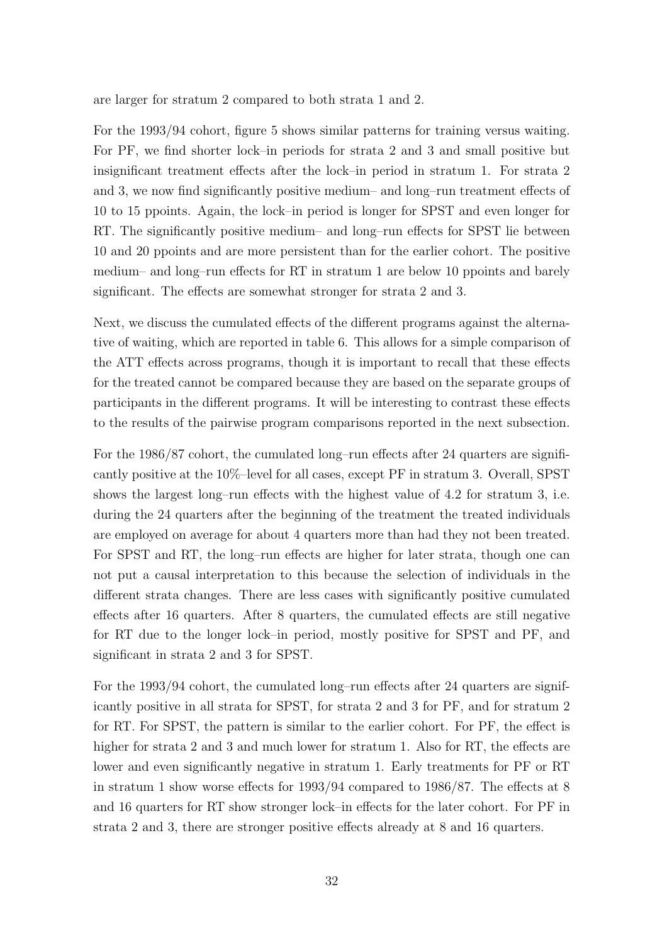are larger for stratum 2 compared to both strata 1 and 2.

For the 1993/94 cohort, figure 5 shows similar patterns for training versus waiting. For PF, we find shorter lock–in periods for strata 2 and 3 and small positive but insignificant treatment effects after the lock–in period in stratum 1. For strata 2 and 3, we now find significantly positive medium– and long–run treatment effects of 10 to 15 ppoints. Again, the lock–in period is longer for SPST and even longer for RT. The significantly positive medium– and long–run effects for SPST lie between 10 and 20 ppoints and are more persistent than for the earlier cohort. The positive medium– and long–run effects for RT in stratum 1 are below 10 ppoints and barely significant. The effects are somewhat stronger for strata 2 and 3.

Next, we discuss the cumulated effects of the different programs against the alternative of waiting, which are reported in table 6. This allows for a simple comparison of the ATT effects across programs, though it is important to recall that these effects for the treated cannot be compared because they are based on the separate groups of participants in the different programs. It will be interesting to contrast these effects to the results of the pairwise program comparisons reported in the next subsection.

For the 1986/87 cohort, the cumulated long–run effects after 24 quarters are significantly positive at the 10%–level for all cases, except PF in stratum 3. Overall, SPST shows the largest long–run effects with the highest value of 4.2 for stratum 3, i.e. during the 24 quarters after the beginning of the treatment the treated individuals are employed on average for about 4 quarters more than had they not been treated. For SPST and RT, the long–run effects are higher for later strata, though one can not put a causal interpretation to this because the selection of individuals in the different strata changes. There are less cases with significantly positive cumulated effects after 16 quarters. After 8 quarters, the cumulated effects are still negative for RT due to the longer lock–in period, mostly positive for SPST and PF, and significant in strata 2 and 3 for SPST.

For the 1993/94 cohort, the cumulated long–run effects after 24 quarters are significantly positive in all strata for SPST, for strata 2 and 3 for PF, and for stratum 2 for RT. For SPST, the pattern is similar to the earlier cohort. For PF, the effect is higher for strata 2 and 3 and much lower for stratum 1. Also for RT, the effects are lower and even significantly negative in stratum 1. Early treatments for PF or RT in stratum 1 show worse effects for 1993/94 compared to 1986/87. The effects at 8 and 16 quarters for RT show stronger lock–in effects for the later cohort. For PF in strata 2 and 3, there are stronger positive effects already at 8 and 16 quarters.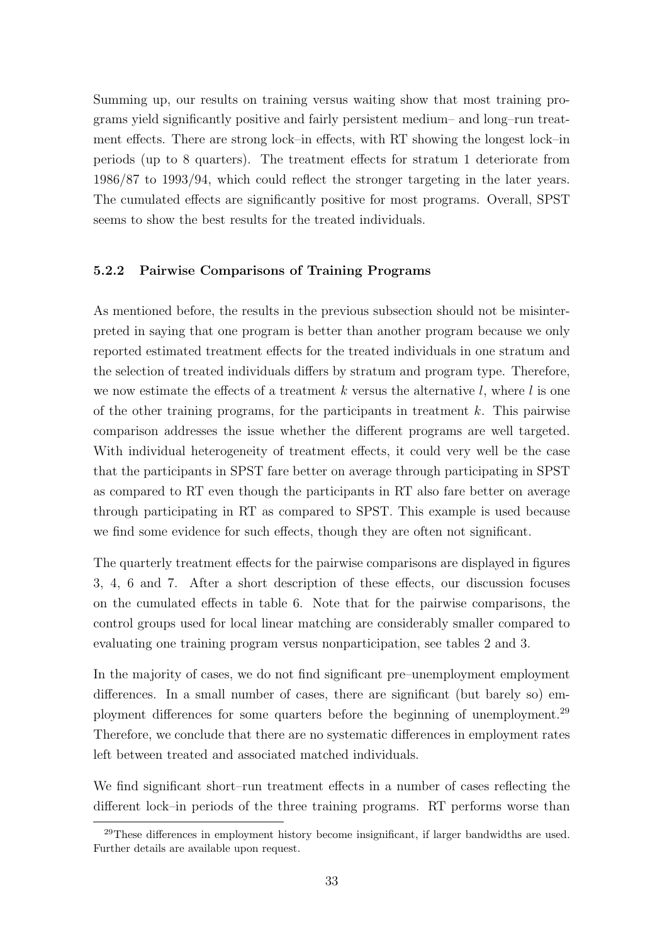Summing up, our results on training versus waiting show that most training programs yield significantly positive and fairly persistent medium– and long–run treatment effects. There are strong lock–in effects, with RT showing the longest lock–in periods (up to 8 quarters). The treatment effects for stratum 1 deteriorate from 1986/87 to 1993/94, which could reflect the stronger targeting in the later years. The cumulated effects are significantly positive for most programs. Overall, SPST seems to show the best results for the treated individuals.

#### 5.2.2 Pairwise Comparisons of Training Programs

As mentioned before, the results in the previous subsection should not be misinterpreted in saying that one program is better than another program because we only reported estimated treatment effects for the treated individuals in one stratum and the selection of treated individuals differs by stratum and program type. Therefore, we now estimate the effects of a treatment  $k$  versus the alternative  $l$ , where  $l$  is one of the other training programs, for the participants in treatment  $k$ . This pairwise comparison addresses the issue whether the different programs are well targeted. With individual heterogeneity of treatment effects, it could very well be the case that the participants in SPST fare better on average through participating in SPST as compared to RT even though the participants in RT also fare better on average through participating in RT as compared to SPST. This example is used because we find some evidence for such effects, though they are often not significant.

The quarterly treatment effects for the pairwise comparisons are displayed in figures 3, 4, 6 and 7. After a short description of these effects, our discussion focuses on the cumulated effects in table 6. Note that for the pairwise comparisons, the control groups used for local linear matching are considerably smaller compared to evaluating one training program versus nonparticipation, see tables 2 and 3.

In the majority of cases, we do not find significant pre–unemployment employment differences. In a small number of cases, there are significant (but barely so) employment differences for some quarters before the beginning of unemployment.<sup>29</sup> Therefore, we conclude that there are no systematic differences in employment rates left between treated and associated matched individuals.

We find significant short–run treatment effects in a number of cases reflecting the different lock–in periods of the three training programs. RT performs worse than

 $29$ These differences in employment history become insignificant, if larger bandwidths are used. Further details are available upon request.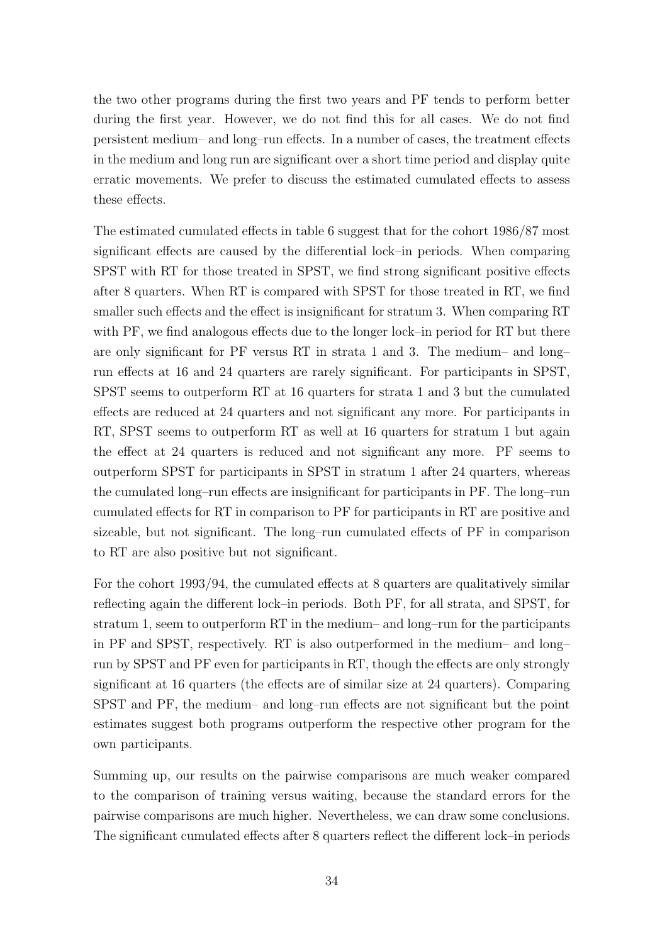the two other programs during the first two years and PF tends to perform better during the first year. However, we do not find this for all cases. We do not find persistent medium– and long–run effects. In a number of cases, the treatment effects in the medium and long run are significant over a short time period and display quite erratic movements. We prefer to discuss the estimated cumulated effects to assess these effects.

The estimated cumulated effects in table 6 suggest that for the cohort 1986/87 most significant effects are caused by the differential lock–in periods. When comparing SPST with RT for those treated in SPST, we find strong significant positive effects after 8 quarters. When RT is compared with SPST for those treated in RT, we find smaller such effects and the effect is insignificant for stratum 3. When comparing RT with PF, we find analogous effects due to the longer lock–in period for RT but there are only significant for PF versus RT in strata 1 and 3. The medium– and long– run effects at 16 and 24 quarters are rarely significant. For participants in SPST, SPST seems to outperform RT at 16 quarters for strata 1 and 3 but the cumulated effects are reduced at 24 quarters and not significant any more. For participants in RT, SPST seems to outperform RT as well at 16 quarters for stratum 1 but again the effect at 24 quarters is reduced and not significant any more. PF seems to outperform SPST for participants in SPST in stratum 1 after 24 quarters, whereas the cumulated long–run effects are insignificant for participants in PF. The long–run cumulated effects for RT in comparison to PF for participants in RT are positive and sizeable, but not significant. The long–run cumulated effects of PF in comparison to RT are also positive but not significant.

For the cohort 1993/94, the cumulated effects at 8 quarters are qualitatively similar reflecting again the different lock–in periods. Both PF, for all strata, and SPST, for stratum 1, seem to outperform RT in the medium– and long–run for the participants in PF and SPST, respectively. RT is also outperformed in the medium– and long– run by SPST and PF even for participants in RT, though the effects are only strongly significant at 16 quarters (the effects are of similar size at 24 quarters). Comparing SPST and PF, the medium– and long–run effects are not significant but the point estimates suggest both programs outperform the respective other program for the own participants.

Summing up, our results on the pairwise comparisons are much weaker compared to the comparison of training versus waiting, because the standard errors for the pairwise comparisons are much higher. Nevertheless, we can draw some conclusions. The significant cumulated effects after 8 quarters reflect the different lock–in periods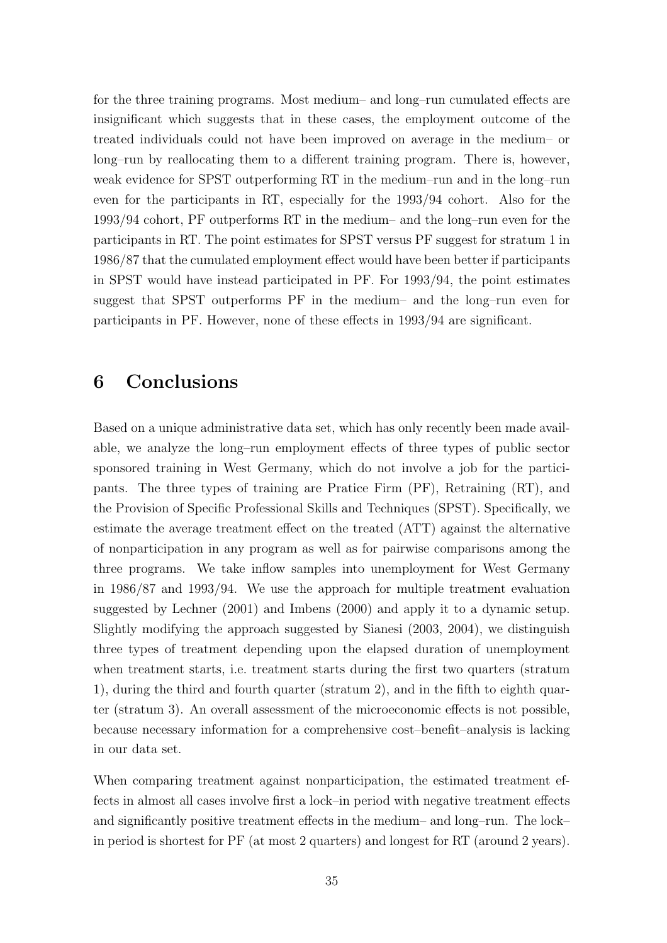for the three training programs. Most medium– and long–run cumulated effects are insignificant which suggests that in these cases, the employment outcome of the treated individuals could not have been improved on average in the medium– or long–run by reallocating them to a different training program. There is, however, weak evidence for SPST outperforming RT in the medium–run and in the long–run even for the participants in RT, especially for the 1993/94 cohort. Also for the 1993/94 cohort, PF outperforms RT in the medium– and the long–run even for the participants in RT. The point estimates for SPST versus PF suggest for stratum 1 in 1986/87 that the cumulated employment effect would have been better if participants in SPST would have instead participated in PF. For 1993/94, the point estimates suggest that SPST outperforms PF in the medium– and the long–run even for participants in PF. However, none of these effects in 1993/94 are significant.

### 6 Conclusions

Based on a unique administrative data set, which has only recently been made available, we analyze the long–run employment effects of three types of public sector sponsored training in West Germany, which do not involve a job for the participants. The three types of training are Pratice Firm (PF), Retraining (RT), and the Provision of Specific Professional Skills and Techniques (SPST). Specifically, we estimate the average treatment effect on the treated (ATT) against the alternative of nonparticipation in any program as well as for pairwise comparisons among the three programs. We take inflow samples into unemployment for West Germany in 1986/87 and 1993/94. We use the approach for multiple treatment evaluation suggested by Lechner (2001) and Imbens (2000) and apply it to a dynamic setup. Slightly modifying the approach suggested by Sianesi (2003, 2004), we distinguish three types of treatment depending upon the elapsed duration of unemployment when treatment starts, i.e. treatment starts during the first two quarters (stratum 1), during the third and fourth quarter (stratum 2), and in the fifth to eighth quarter (stratum 3). An overall assessment of the microeconomic effects is not possible, because necessary information for a comprehensive cost–benefit–analysis is lacking in our data set.

When comparing treatment against nonparticipation, the estimated treatment effects in almost all cases involve first a lock–in period with negative treatment effects and significantly positive treatment effects in the medium– and long–run. The lock– in period is shortest for PF (at most 2 quarters) and longest for RT (around 2 years).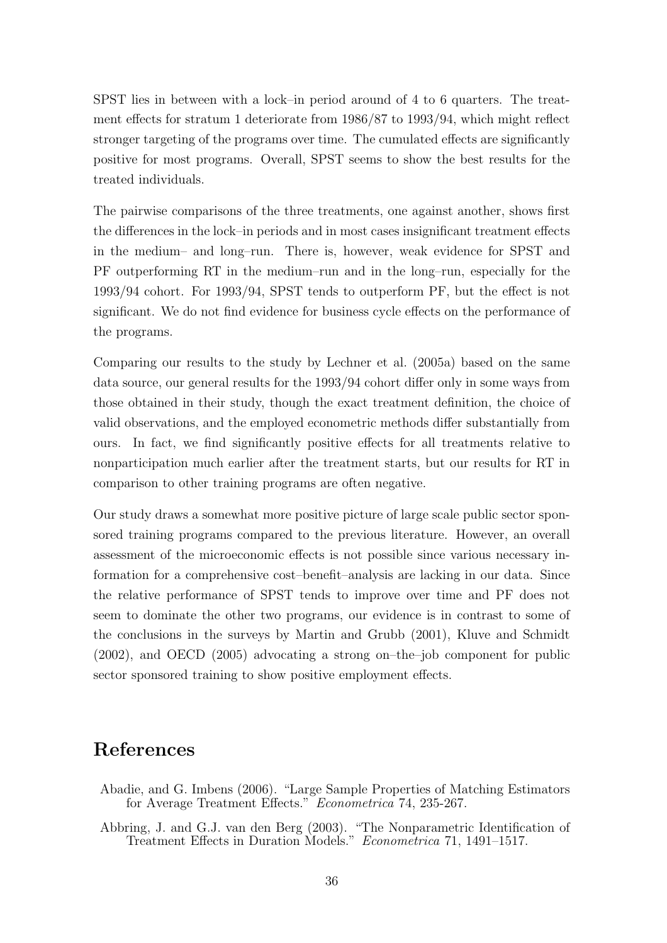SPST lies in between with a lock–in period around of 4 to 6 quarters. The treatment effects for stratum 1 deteriorate from 1986/87 to 1993/94, which might reflect stronger targeting of the programs over time. The cumulated effects are significantly positive for most programs. Overall, SPST seems to show the best results for the treated individuals.

The pairwise comparisons of the three treatments, one against another, shows first the differences in the lock–in periods and in most cases insignificant treatment effects in the medium– and long–run. There is, however, weak evidence for SPST and PF outperforming RT in the medium–run and in the long–run, especially for the 1993/94 cohort. For 1993/94, SPST tends to outperform PF, but the effect is not significant. We do not find evidence for business cycle effects on the performance of the programs.

Comparing our results to the study by Lechner et al. (2005a) based on the same data source, our general results for the 1993/94 cohort differ only in some ways from those obtained in their study, though the exact treatment definition, the choice of valid observations, and the employed econometric methods differ substantially from ours. In fact, we find significantly positive effects for all treatments relative to nonparticipation much earlier after the treatment starts, but our results for RT in comparison to other training programs are often negative.

Our study draws a somewhat more positive picture of large scale public sector sponsored training programs compared to the previous literature. However, an overall assessment of the microeconomic effects is not possible since various necessary information for a comprehensive cost–benefit–analysis are lacking in our data. Since the relative performance of SPST tends to improve over time and PF does not seem to dominate the other two programs, our evidence is in contrast to some of the conclusions in the surveys by Martin and Grubb (2001), Kluve and Schmidt (2002), and OECD (2005) advocating a strong on–the–job component for public sector sponsored training to show positive employment effects.

# References

- Abadie, and G. Imbens (2006). "Large Sample Properties of Matching Estimators for Average Treatment Effects." Econometrica 74, 235-267.
- Abbring, J. and G.J. van den Berg (2003). "The Nonparametric Identification of Treatment Effects in Duration Models." Econometrica 71, 1491–1517.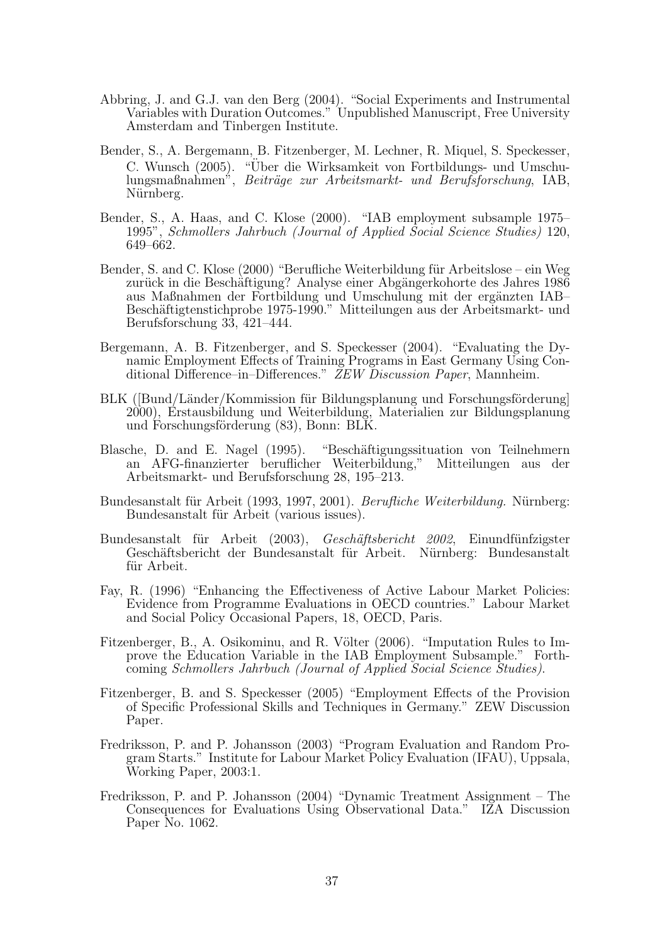- Abbring, J. and G.J. van den Berg (2004). "Social Experiments and Instrumental Variables with Duration Outcomes." Unpublished Manuscript, Free University Amsterdam and Tinbergen Institute.
- Bender, S., A. Bergemann, B. Fitzenberger, M. Lechner, R. Miquel, S. Speckesser, C. Wunsch (2005). "Uber die Wirksamkeit von Fortbildungs- und Umschu- ¨ lungsmaßnahmen", Beiträge zur Arbeitsmarkt- und Berufsforschung, IAB, Nürnberg.
- Bender, S., A. Haas, and C. Klose (2000). "IAB employment subsample 1975– 1995", Schmollers Jahrbuch (Journal of Applied Social Science Studies) 120, 649–662.
- Bender, S. and C. Klose (2000) "Berufliche Weiterbildung für Arbeitslose ein Weg zurück in die Beschäftigung? Analyse einer Abgängerkohorte des Jahres 1986 aus Maßnahmen der Fortbildung und Umschulung mit der ergänzten IAB– Beschäftigtenstichprobe 1975-1990." Mitteilungen aus der Arbeitsmarkt- und Berufsforschung 33, 421–444.
- Bergemann, A. B. Fitzenberger, and S. Speckesser (2004). "Evaluating the Dynamic Employment Effects of Training Programs in East Germany Using Conditional Difference–in–Differences." ZEW Discussion Paper, Mannheim.
- BLK ([Bund/Länder/Kommission für Bildungsplanung und Forschungsförderung] 2000), Erstausbildung und Weiterbildung, Materialien zur Bildungsplanung und Forschungsförderung  $(83)$ , Bonn: BLK.
- Blasche, D. and E. Nagel (1995). "Beschäftigungssituation von Teilnehmern an AFG-finanzierter beruflicher Weiterbildung," Mitteilungen aus der Arbeitsmarkt- und Berufsforschung 28, 195–213.
- Bundesanstalt für Arbeit (1993, 1997, 2001). Berufliche Weiterbildung. Nürnberg: Bundesanstalt für Arbeit (various issues).
- Bundesanstalt für Arbeit (2003), Geschäftsbericht 2002, Einundfünfzigster Geschäftsbericht der Bundesanstalt für Arbeit. Nürnberg: Bundesanstalt für Arbeit.
- Fay, R. (1996) "Enhancing the Effectiveness of Active Labour Market Policies: Evidence from Programme Evaluations in OECD countries." Labour Market and Social Policy Occasional Papers, 18, OECD, Paris.
- Fitzenberger, B., A. Osikominu, and R. Völter (2006). "Imputation Rules to Improve the Education Variable in the IAB Employment Subsample." Forthcoming Schmollers Jahrbuch (Journal of Applied Social Science Studies).
- Fitzenberger, B. and S. Speckesser (2005) "Employment Effects of the Provision of Specific Professional Skills and Techniques in Germany." ZEW Discussion Paper.
- Fredriksson, P. and P. Johansson (2003) "Program Evaluation and Random Program Starts." Institute for Labour Market Policy Evaluation (IFAU), Uppsala, Working Paper, 2003:1.
- Fredriksson, P. and P. Johansson (2004) "Dynamic Treatment Assignment The Consequences for Evaluations Using Observational Data." IZA Discussion Paper No. 1062.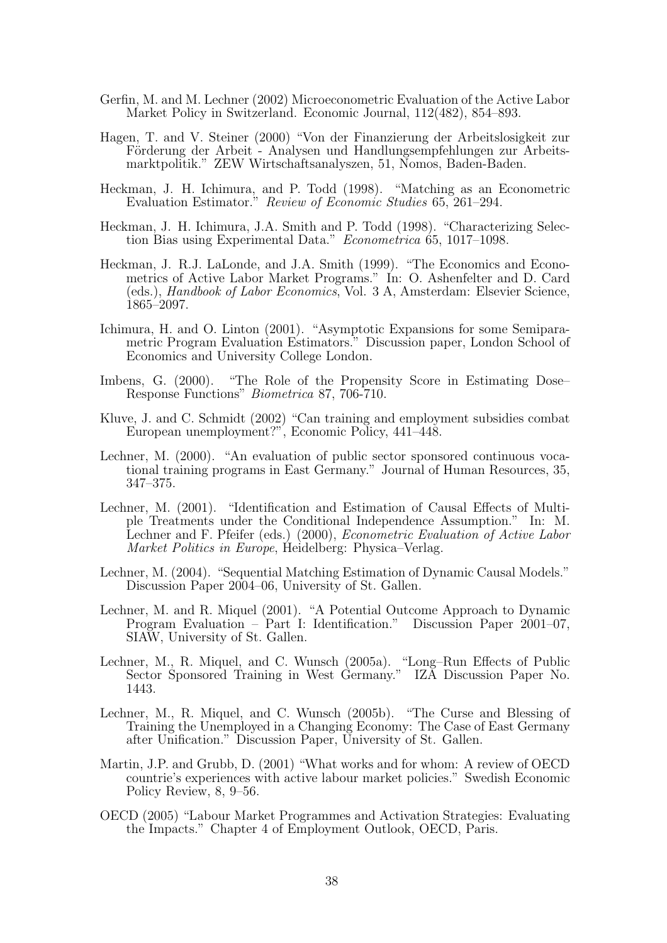- Gerfin, M. and M. Lechner (2002) Microeconometric Evaluation of the Active Labor Market Policy in Switzerland. Economic Journal, 112(482), 854–893.
- Hagen, T. and V. Steiner (2000) "Von der Finanzierung der Arbeitslosigkeit zur Förderung der Arbeit - Analysen und Handlungsempfehlungen zur Arbeitsmarktpolitik." ZEW Wirtschaftsanalyszen, 51, Nomos, Baden-Baden.
- Heckman, J. H. Ichimura, and P. Todd (1998). "Matching as an Econometric Evaluation Estimator." Review of Economic Studies 65, 261–294.
- Heckman, J. H. Ichimura, J.A. Smith and P. Todd (1998). "Characterizing Selection Bias using Experimental Data." Econometrica 65, 1017–1098.
- Heckman, J. R.J. LaLonde, and J.A. Smith (1999). "The Economics and Econometrics of Active Labor Market Programs." In: O. Ashenfelter and D. Card (eds.), Handbook of Labor Economics, Vol. 3 A, Amsterdam: Elsevier Science, 1865–2097.
- Ichimura, H. and O. Linton (2001). "Asymptotic Expansions for some Semiparametric Program Evaluation Estimators." Discussion paper, London School of Economics and University College London.
- Imbens, G. (2000). "The Role of the Propensity Score in Estimating Dose-Response Functions" Biometrica 87, 706-710.
- Kluve, J. and C. Schmidt (2002) "Can training and employment subsidies combat European unemployment?", Economic Policy, 441–448.
- Lechner, M. (2000). "An evaluation of public sector sponsored continuous vocational training programs in East Germany." Journal of Human Resources, 35, 347–375.
- Lechner, M. (2001). "Identification and Estimation of Causal Effects of Multiple Treatments under the Conditional Independence Assumption." In: M. Lechner and F. Pfeifer (eds.) (2000), *Econometric Evaluation of Active Labor* Market Politics in Europe, Heidelberg: Physica–Verlag.
- Lechner, M. (2004). "Sequential Matching Estimation of Dynamic Causal Models." Discussion Paper 2004–06, University of St. Gallen.
- Lechner, M. and R. Miquel (2001). "A Potential Outcome Approach to Dynamic Program Evaluation – Part I: Identification." Discussion Paper 2001–07, SIAW, University of St. Gallen.
- Lechner, M., R. Miquel, and C. Wunsch (2005a). "Long–Run Effects of Public Sector Sponsored Training in West Germany." IZA Discussion Paper No. 1443.
- Lechner, M., R. Miquel, and C. Wunsch (2005b). "The Curse and Blessing of Training the Unemployed in a Changing Economy: The Case of East Germany after Unification." Discussion Paper, University of St. Gallen.
- Martin, J.P. and Grubb, D. (2001) "What works and for whom: A review of OECD countrie's experiences with active labour market policies." Swedish Economic Policy Review, 8, 9–56.
- OECD (2005) "Labour Market Programmes and Activation Strategies: Evaluating the Impacts." Chapter 4 of Employment Outlook, OECD, Paris.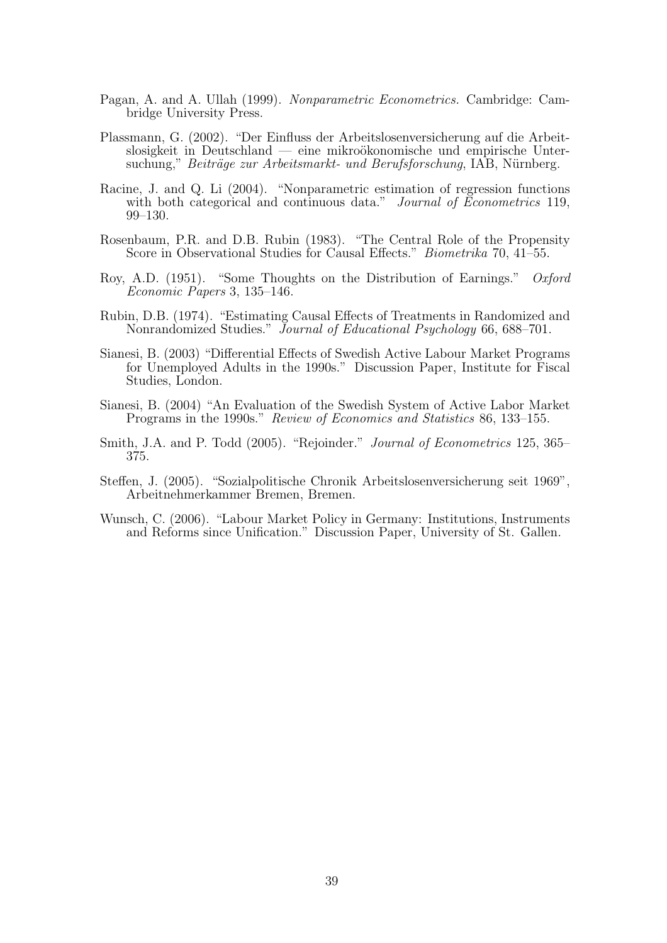- Pagan, A. and A. Ullah (1999). Nonparametric Econometrics. Cambridge: Cambridge University Press.
- Plassmann, G. (2002). "Der Einfluss der Arbeitslosenversicherung auf die Arbeit $s$ losigkeit in Deutschland — eine mikroökonomische und empirische Untersuchung," Beiträge zur Arbeitsmarkt- und Berufsforschung, IAB, Nürnberg.
- Racine, J. and Q. Li (2004). "Nonparametric estimation of regression functions with both categorical and continuous data." Journal of Econometrics 119, 99–130.
- Rosenbaum, P.R. and D.B. Rubin (1983). "The Central Role of the Propensity Score in Observational Studies for Causal Effects." *Biometrika* 70, 41–55.
- Roy, A.D. (1951). "Some Thoughts on the Distribution of Earnings." Oxford Economic Papers 3, 135–146.
- Rubin, D.B. (1974). "Estimating Causal Effects of Treatments in Randomized and Nonrandomized Studies." Journal of Educational Psychology 66, 688–701.
- Sianesi, B. (2003) "Differential Effects of Swedish Active Labour Market Programs for Unemployed Adults in the 1990s." Discussion Paper, Institute for Fiscal Studies, London.
- Sianesi, B. (2004) "An Evaluation of the Swedish System of Active Labor Market Programs in the 1990s." Review of Economics and Statistics 86, 133–155.
- Smith, J.A. and P. Todd (2005). "Rejoinder." *Journal of Econometrics* 125, 365– 375.
- Steffen, J. (2005). "Sozialpolitische Chronik Arbeitslosenversicherung seit 1969", Arbeitnehmerkammer Bremen, Bremen.
- Wunsch, C. (2006). "Labour Market Policy in Germany: Institutions, Instruments and Reforms since Unification." Discussion Paper, University of St. Gallen.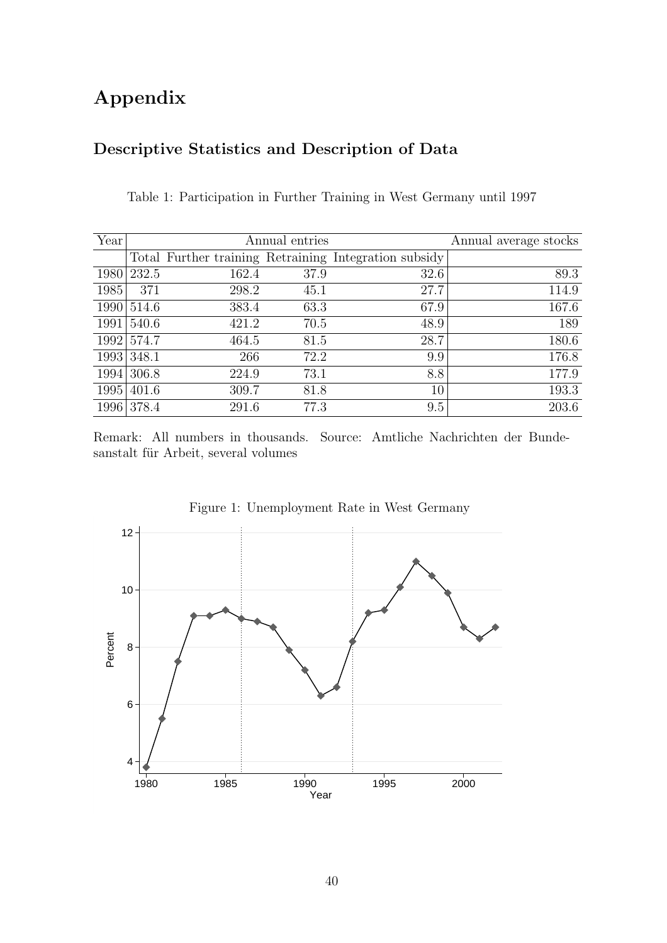# Appendix

# Descriptive Statistics and Description of Data

| Year |       |       | Annual entries |                                                       | Annual average stocks |
|------|-------|-------|----------------|-------------------------------------------------------|-----------------------|
|      |       |       |                | Total Further training Retraining Integration subsidy |                       |
| 1980 | 232.5 | 162.4 | 37.9           | 32.6                                                  | 89.3                  |
| 1985 | 371   | 298.2 | 45.1           | 27.7                                                  | 114.9                 |
| 1990 | 514.6 | 383.4 | 63.3           | 67.9                                                  | 167.6                 |
| 1991 | 540.6 | 421.2 | 70.5           | 48.9                                                  | 189                   |
| 1992 | 574.7 | 464.5 | 81.5           | 28.7                                                  | 180.6                 |
| 1993 | 348.1 | 266   | 72.2           | 9.9                                                   | 176.8                 |
| 1994 | 306.8 | 224.9 | 73.1           | 8.8                                                   | 177.9                 |
| 1995 | 401.6 | 309.7 | 81.8           | 10                                                    | 193.3                 |
| 1996 | 378.4 | 291.6 | 77.3           | 9.5                                                   | 203.6                 |

Table 1: Participation in Further Training in West Germany until 1997

Remark: All numbers in thousands. Source: Amtliche Nachrichten der Bundesanstalt für Arbeit, several volumes



Figure 1: Unemployment Rate in West Germany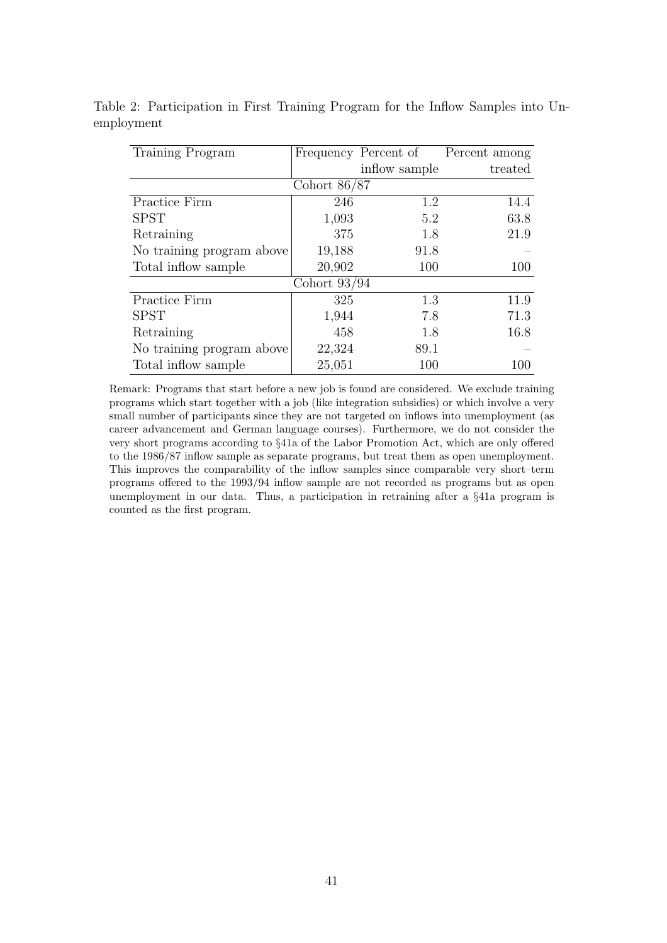| Training Program          |                | Frequency Percent of | Percent among |  |  |
|---------------------------|----------------|----------------------|---------------|--|--|
|                           |                | inflow sample        | treated       |  |  |
|                           | Cohort $86/87$ |                      |               |  |  |
| Practice Firm             | 246            | 1.2                  | 14.4          |  |  |
| <b>SPST</b>               | 1,093          | 5.2                  | 63.8          |  |  |
| Retraining                | 375            | 1.8                  | 21.9          |  |  |
| No training program above | 19,188         | 91.8                 |               |  |  |
| Total inflow sample       | 20,902         | 100                  | 100           |  |  |
| Cohort $93/94$            |                |                      |               |  |  |
| Practice Firm             | 325            | 1.3                  | 11.9          |  |  |
| <b>SPST</b>               | 1,944          | 7.8                  | 71.3          |  |  |
| Retraining                | 458            | 1.8                  | 16.8          |  |  |
| No training program above | 22,324         | 89.1                 |               |  |  |
| Total inflow sample       | 25,051         | 100                  | 100           |  |  |

Table 2: Participation in First Training Program for the Inflow Samples into Unemployment

Remark: Programs that start before a new job is found are considered. We exclude training programs which start together with a job (like integration subsidies) or which involve a very small number of participants since they are not targeted on inflows into unemployment (as career advancement and German language courses). Furthermore, we do not consider the very short programs according to §41a of the Labor Promotion Act, which are only offered to the 1986/87 inflow sample as separate programs, but treat them as open unemployment. This improves the comparability of the inflow samples since comparable very short–term programs offered to the 1993/94 inflow sample are not recorded as programs but as open unemployment in our data. Thus, a participation in retraining after a §41a program is counted as the first program.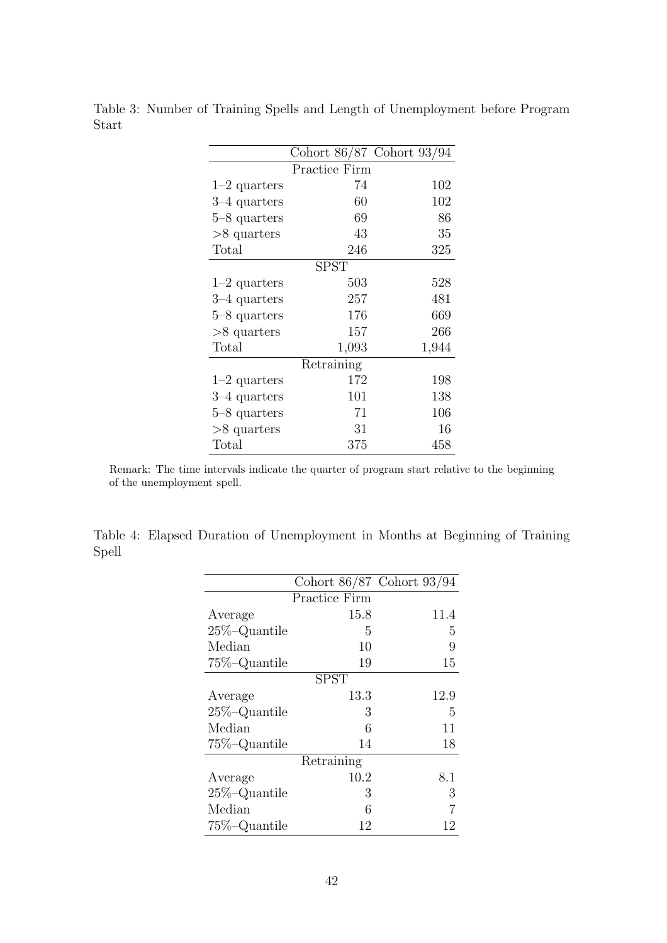|                | Cohort 86/87 Cohort 93/94 |       |
|----------------|---------------------------|-------|
|                | Practice Firm             |       |
| $1-2$ quarters | 74                        | 102   |
| $3-4$ quarters | 60                        | 102   |
| $5-8$ quarters | 69                        | 86    |
| $>8$ quarters  | 43                        | 35    |
| Total          | 246                       | 325   |
|                | <b>SPST</b>               |       |
| $1-2$ quarters | 503                       | 528   |
| $3-4$ quarters | 257                       | 481   |
| 5–8 quarters   | 176                       | 669   |
| $>8$ quarters  | 157                       | 266   |
| $\text{Total}$ | 1,093                     | 1,944 |
|                | Retraining                |       |
| $1-2$ quarters | 172                       | 198   |
| 3–4 quarters   | 101                       | 138   |
| 5–8 quarters   | 71                        | 106   |
| $>8$ quarters  | 31                        | 16    |
| Total          | 375                       | 458   |

Table 3: Number of Training Spells and Length of Unemployment before Program Start

Remark: The time intervals indicate the quarter of program start relative to the beginning of the unemployment spell.

Table 4: Elapsed Duration of Unemployment in Months at Beginning of Training Spell

|                  |               | Cohort 86/87 Cohort 93/94 |
|------------------|---------------|---------------------------|
|                  | Practice Firm |                           |
| Average          | 15.8          | 11.4                      |
| $25\%$ -Quantile | 5             | 5                         |
| Median           | 10            | 9                         |
| 75%-Quantile     | 19            | 15                        |
|                  | <b>SPST</b>   |                           |
| Average          | 13.3          | 12.9                      |
| $25\%$ -Quantile | 3             | 5                         |
| Median           | 6             | 11                        |
| $75\%$ -Quantile | 14            | 18                        |
|                  | Retraining    |                           |
| Average          | 10.2          | 8.1                       |
| $25\%$ -Quantile | 3             | 3                         |
| Median           | 6             |                           |
| $75\%$ -Quantile | 12            | 12                        |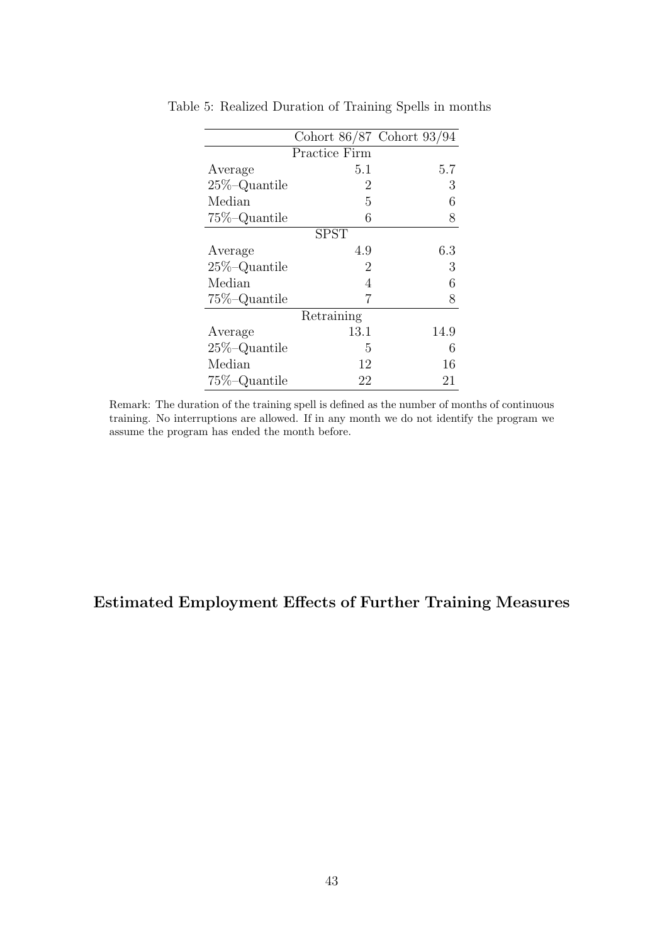|                  |               | Cohort 86/87 Cohort 93/94 |
|------------------|---------------|---------------------------|
|                  | Practice Firm |                           |
| Average          | 5.1           | 5.7                       |
| $25\%$ -Quantile | 2             | 3                         |
| Median           | 5             | 6                         |
| $75\%$ -Quantile | 6             | 8                         |
|                  | <b>SPST</b>   |                           |
| Average          | 4.9           | 6.3                       |
| $25\%$ -Quantile | 2             | 3                         |
| Median           | 4             | 6                         |
| $75\%$ -Quantile | 7             | 8                         |
|                  | Retraining    |                           |
| Average          | 13.1          | 14.9                      |
| $25\%$ -Quantile | 5             | 6                         |
| Median           | 12            | 16                        |
| $75\%$ -Quantile | 22            | 21                        |

Table 5: Realized Duration of Training Spells in months

Remark: The duration of the training spell is defined as the number of months of continuous training. No interruptions are allowed. If in any month we do not identify the program we assume the program has ended the month before.

# Estimated Employment Effects of Further Training Measures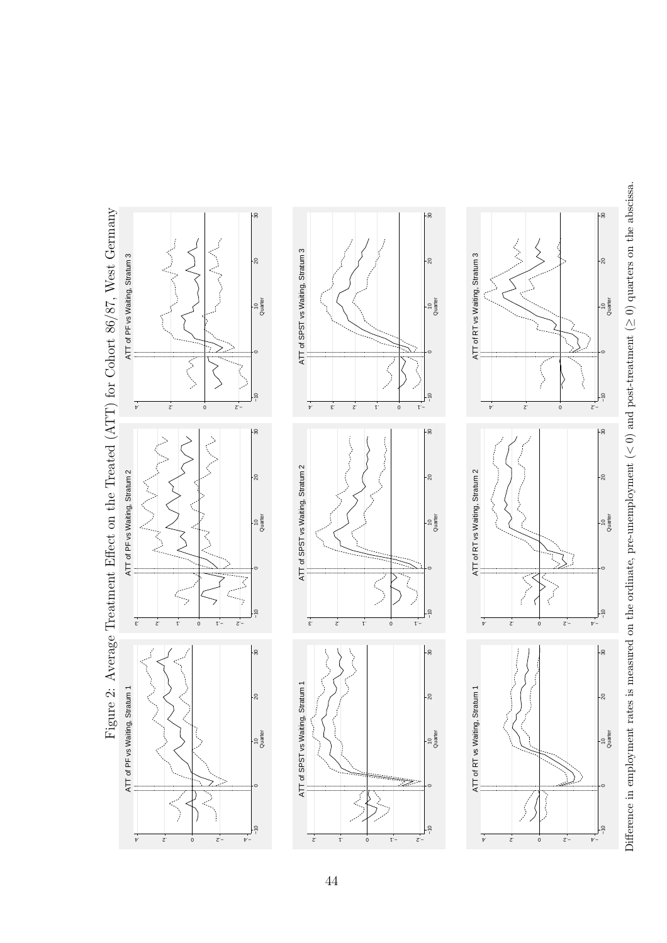



44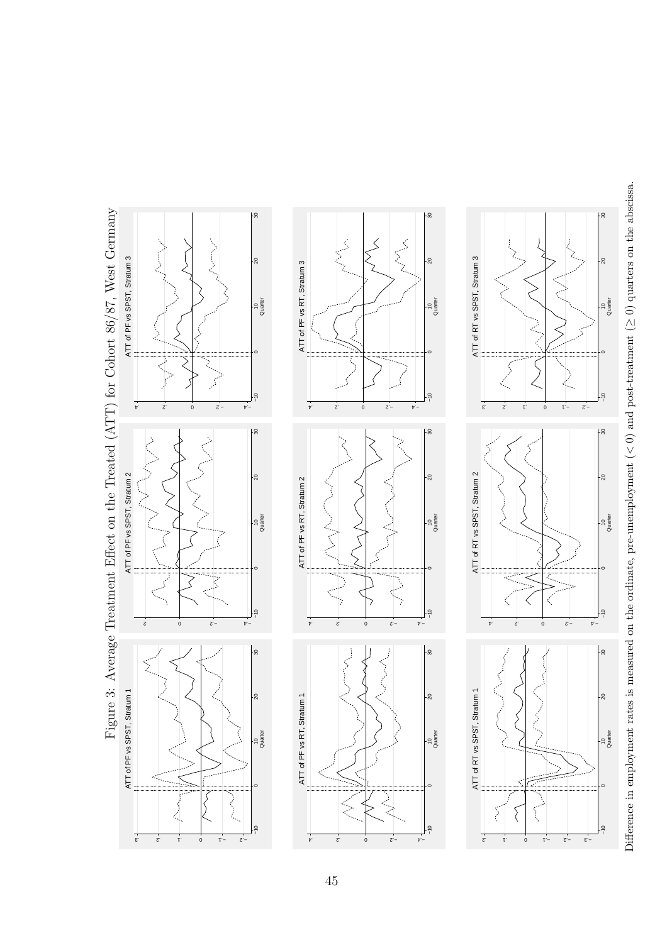Figure 3: Average Treatment Effect on the Treated (ATT) for Cohort 86/87, West Germany Figure 3: Average Treatment Effect on the Treated (ATT) for Cohort 86/87, West Germany −10 10 20 20 30<br>Quarter −10 10 20 20 30<br>Quarter −10 10 20 20 30<br>Quarter R CON  $\overline{\mathcal{L}}$ È ATT of PF vs SPST, Stratum 3 ATT of RT vs SPST, Stratum 3  $\frac{1}{20}$  $-5$ ATT of PF vs SPST, Stratum 3 ATT of RT vs SPST, Stratum 3  $-8$ ATT of PF vs RT, Stratum 3 ATT of PF vs RT, Stratum 3  $\frac{10}{\text{a} \cdot \text{a}}$ -io<br>Quarter 10<br>Quarter  $\overrightarrow{v}$   $\overrightarrow{z}$  $1 - 2$ 0 −.2 −.4 .4 .2 0 −.2 −.4 .3 .2 .1 ٢ŏ ⊦္က −10 10 20 20 30<br>Quarter −10 10 20 20 30<br>Quarter −10 10 20 20 30<br>Quarter Ś ATT of PF vs SPST, Stratum 2 ATT of RT vs SPST, Stratum 2 ATT of PF vs SPST, Stratum 2 ATT of PF vs RT, Stratum 2 ATT of RT vs SPST, Stratum 2 ATT of PF vs RT, Stratum 2  $rac{10}{\text{Quater}}$ 10<br>Quarter 10<br>Quarter  $\leqslant$  $\lesssim$  $\overline{z}$  −  $\overline{v}$  −  $\dot{z}$ .2 0 − <del>Z</del>′− +*i*− 0 −.2 −.4 .4 .2 ⊧န္က ⊧န္က −10 0 10 20 30 −10 10 20 20 30<br>Quarter Quarter −10 10 20 20 30<br>Quarter Quarter Ş ATT of PF vs SPST, Stratum 1 ATT of RT vs SPST, Stratum 1 ATT of PF vs RT, Stratum 1 ATT of PF vs SPST, Stratum 1 ATT of RT vs SPST, Stratum 1  $\frac{1}{20}$  $\overline{20}$  $-20$ ATT of PF vs RT, Stratum 1 10<br>Quarter 10<br>Quarter io<br>Quarter  $\lesssim$ ξ 0 −.1 −.2 −.3 .3 .2 .1 0 − 1 − 2 − .4 .2 0 −.2 −.4 .2 .1

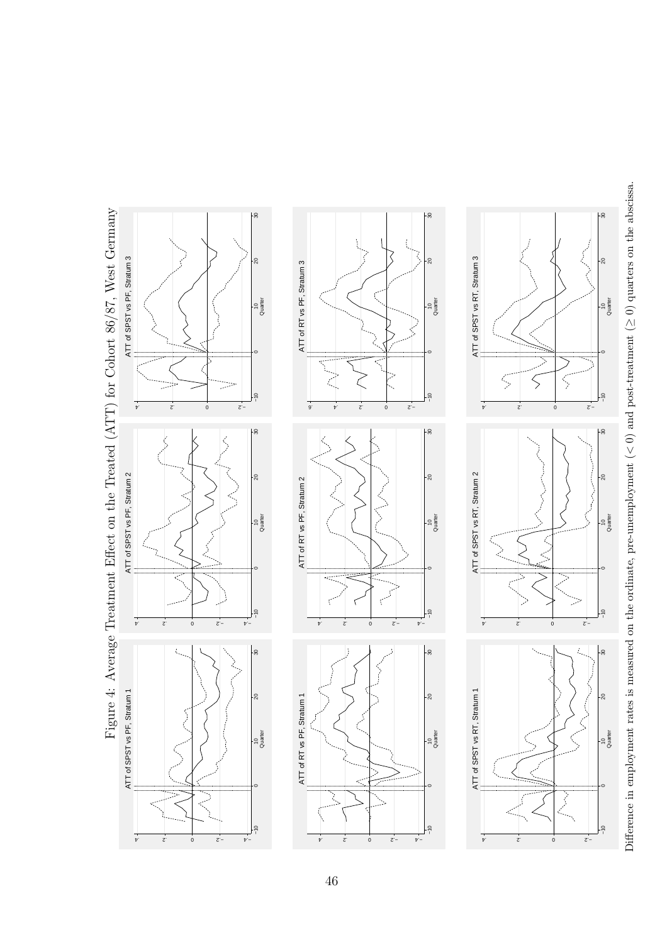

Figure 4: Average Treatment Effect on the Treated (ATT) for Cohort 86/87, West Germany Figure 4: Average Treatment Effect on the Treated (ATT) for Cohort 86/87, West Germany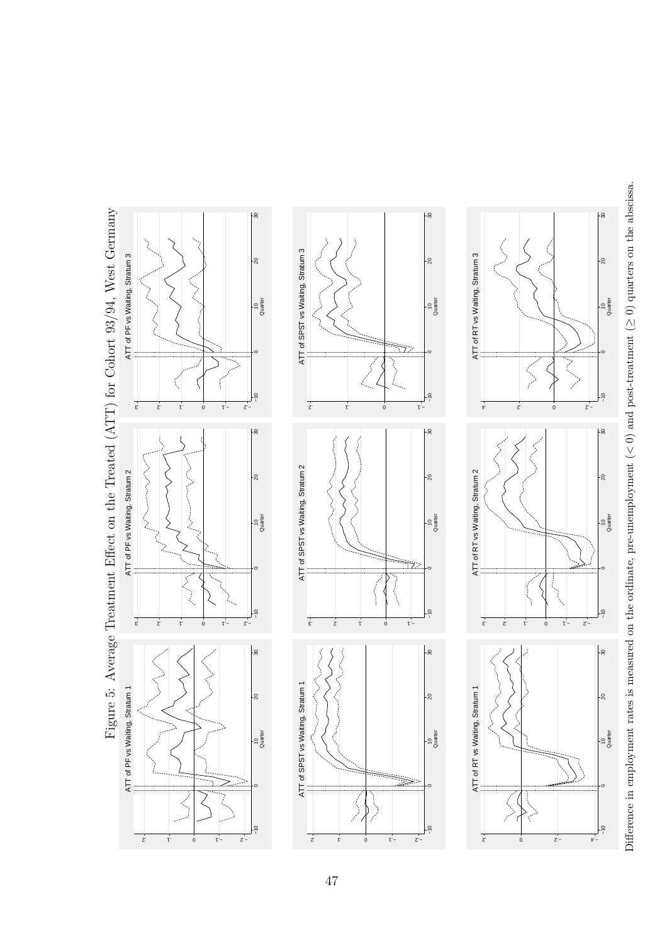

47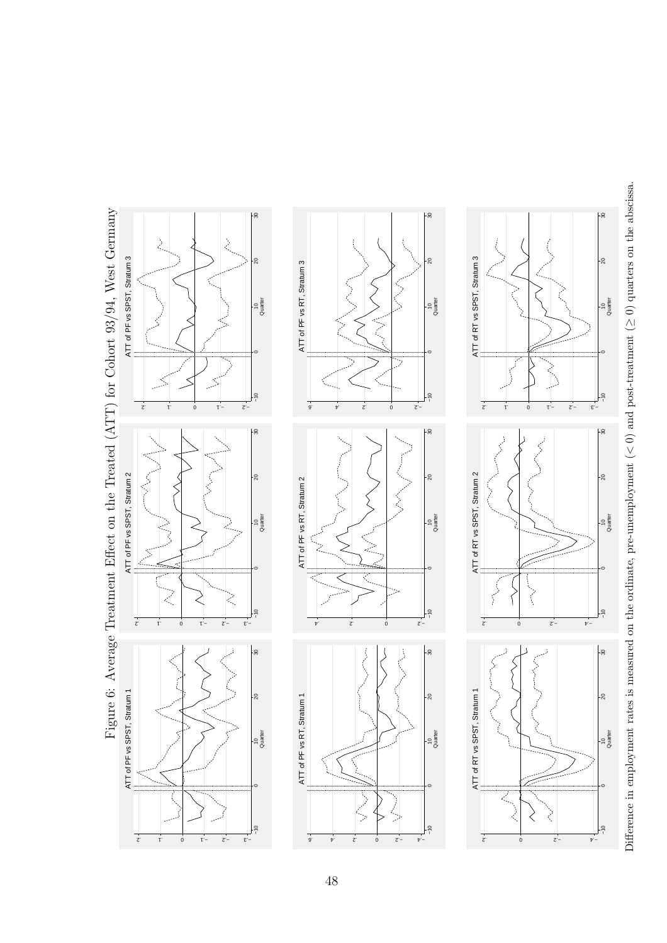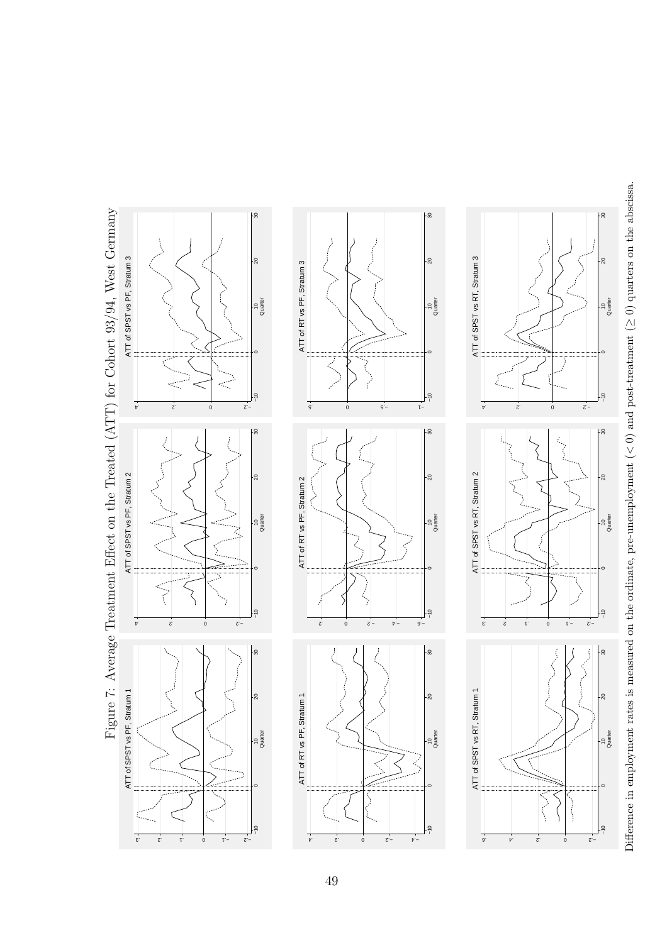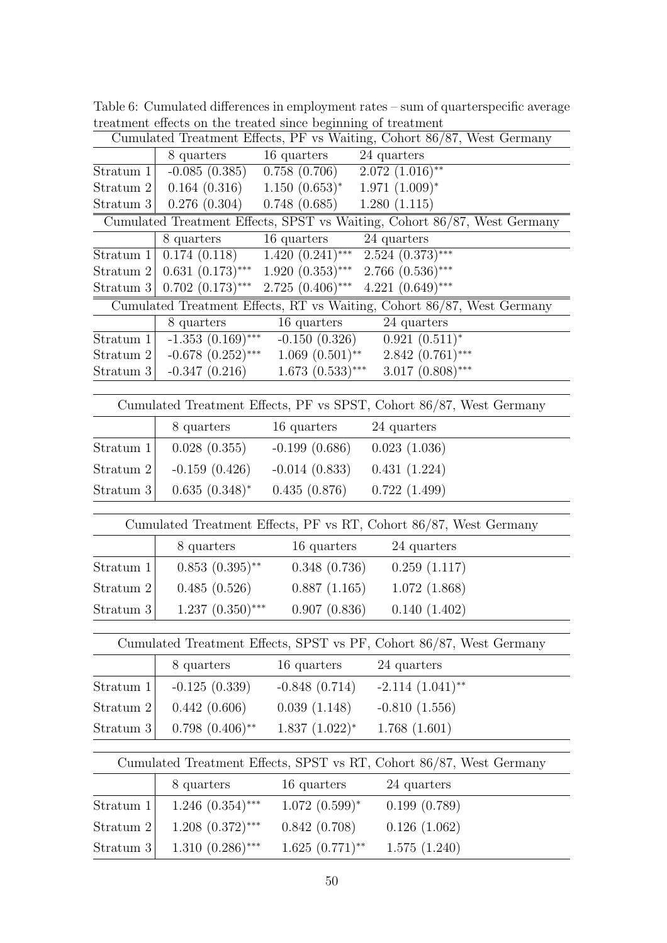|              |                                                                     |                                                                                  | Cumulated Treatment Effects, PF vs Waiting, Cohort 86/87, West Germany   |  |  |
|--------------|---------------------------------------------------------------------|----------------------------------------------------------------------------------|--------------------------------------------------------------------------|--|--|
|              | 8 quarters                                                          | 16 quarters                                                                      | 24 quarters                                                              |  |  |
| Stratum $1$  | $-0.085(0.385)$                                                     | 0.758(0.706)                                                                     | $2.072~(1.016)$ **                                                       |  |  |
| Stratum 2    | $0.164(0.316)$ $1.150(0.653)^*$                                     |                                                                                  | $1.971~(1.009)^*$                                                        |  |  |
| Stratum $3 $ | 0.276(0.304)                                                        | 0.748(0.685)                                                                     | 1.280(1.115)                                                             |  |  |
|              |                                                                     |                                                                                  | Cumulated Treatment Effects, SPST vs Waiting, Cohort 86/87, West Germany |  |  |
|              | 8 quarters                                                          | 16 quarters                                                                      | 24 quarters                                                              |  |  |
| Stratum 1    | 0.174(0.118)                                                        | $1.\overline{420}$ $\overline{(0.241)***}$                                       | $2.524 (0.373)$ ***                                                      |  |  |
| Stratum $2 $ | $0.631(0.173)$ ***                                                  | $1.920~(0.353)$ *** 2.766 $(0.536)$ ***<br>$2.725(0.406)$ *** $4.221(0.649)$ *** |                                                                          |  |  |
|              | Stratum 3   $0.702$ $(0.173)$ ***                                   |                                                                                  | Cumulated Treatment Effects, RT vs Waiting, Cohort 86/87, West Germany   |  |  |
|              | 8 quarters                                                          | 16 quarters                                                                      | 24 quarters                                                              |  |  |
| Stratum $1$  | $-1.353(0.169)$ ***                                                 | $-0.150(0.326)$                                                                  | $0.921~(0.511)^*$                                                        |  |  |
| Stratum 2    |                                                                     | $-0.678$ $(0.252)$ *** 1.069 $(0.501)$ **                                        | $2.842(0.761)$ ***                                                       |  |  |
| Stratum $3$  | $-0.347(0.216)$                                                     | $1.673(0.533)$ ***                                                               | $3.017~(0.808)$ ***                                                      |  |  |
|              |                                                                     |                                                                                  |                                                                          |  |  |
|              |                                                                     |                                                                                  | Cumulated Treatment Effects, PF vs SPST, Cohort 86/87, West Germany      |  |  |
|              | 8 quarters                                                          | 16 quarters                                                                      | 24 quarters                                                              |  |  |
| Stratum 1    | 0.028(0.355)                                                        | $-0.199(0.686)$                                                                  | 0.023(1.036)                                                             |  |  |
| Stratum 2    | $-0.159(0.426)$                                                     | $-0.014(0.833)$                                                                  | 0.431(1.224)                                                             |  |  |
| Stratum 3    | $0.635(0.348)^*$                                                    | 0.435(0.876)                                                                     | 0.722(1.499)                                                             |  |  |
|              |                                                                     |                                                                                  | Cumulated Treatment Effects, PF vs RT, Cohort 86/87, West Germany        |  |  |
|              | 8 quarters                                                          | 16 quarters                                                                      | 24 quarters                                                              |  |  |
| Stratum 1    | $0.853(0.395)$ **                                                   | 0.348(0.736)                                                                     | 0.259(1.117)                                                             |  |  |
| Stratum 2    | 0.485(0.526)                                                        | 0.887(1.165)                                                                     | 1.072(1.868)                                                             |  |  |
| Stratum 3    | $1.237(0.350)$ ***                                                  | 0.907(0.836)                                                                     | 0.140(1.402)                                                             |  |  |
|              |                                                                     |                                                                                  |                                                                          |  |  |
|              |                                                                     |                                                                                  | Cumulated Treatment Effects, SPST vs PF, Cohort 86/87, West Germany      |  |  |
|              | 8 quarters                                                          | 16 quarters                                                                      | 24 quarters                                                              |  |  |
| Stratum 1    | $-0.125(0.339)$                                                     | $-0.848(0.714)$                                                                  | $-2.114$ $(1.041)$ <sup>**</sup>                                         |  |  |
| Stratum 2    | 0.442(0.606)                                                        | 0.039(1.148)                                                                     | $-0.810(1.556)$                                                          |  |  |
| Stratum 3    | $0.798~(0.406)$ **                                                  | $1.837~(1.022)^*$                                                                | 1.768(1.601)                                                             |  |  |
|              | Cumulated Treatment Effects, SPST vs RT, Cohort 86/87, West Germany |                                                                                  |                                                                          |  |  |
|              | 8 quarters                                                          | 16 quarters                                                                      | 24 quarters                                                              |  |  |
| Stratum 1    | $1.246$ $(0.354)$ ***                                               | $1.072~(0.599)^*$                                                                | 0.199(0.789)                                                             |  |  |
| Stratum 2    | $1.208$ $(0.372)$ ***                                               | 0.842(0.708)                                                                     | 0.126(1.062)                                                             |  |  |
| Stratum 3    | $1.310(0.286)$ ***                                                  | $1.625(0.771)$ **                                                                | 1.575(1.240)                                                             |  |  |

Table 6: Cumulated differences in employment rates – sum of quarterspecific average treatment effects on the treated since beginning of treatment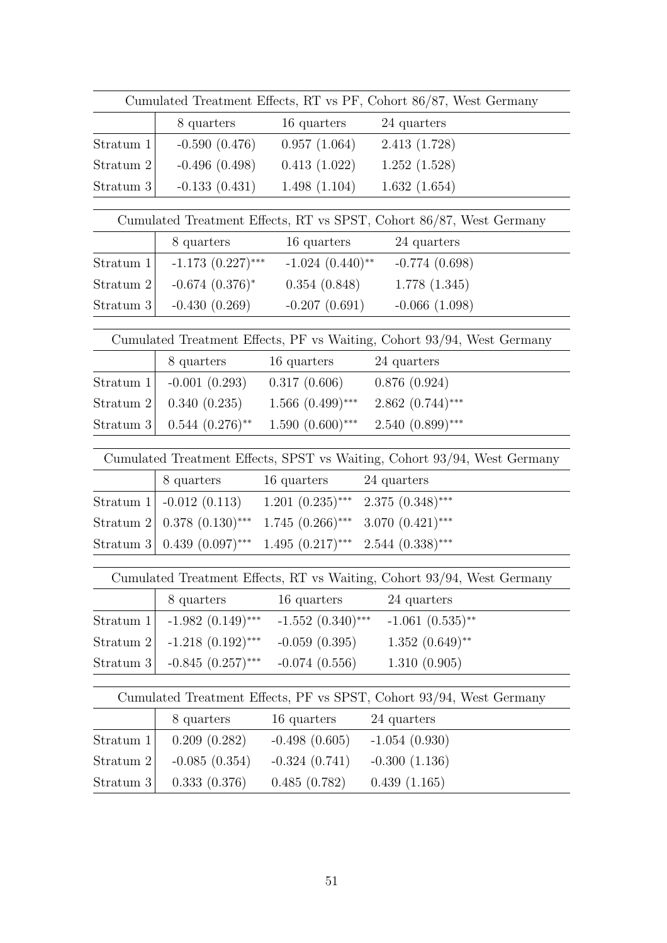| Cumulated Treatment Effects, RT vs PF, Cohort 86/87, West Germany |                                                                                                                               |                                   |                                                                          |  |
|-------------------------------------------------------------------|-------------------------------------------------------------------------------------------------------------------------------|-----------------------------------|--------------------------------------------------------------------------|--|
|                                                                   | 8 quarters                                                                                                                    | 16 quarters                       | 24 quarters                                                              |  |
| Stratum 1                                                         | $-0.590(0.476)$                                                                                                               | 0.957(1.064)                      | 2.413(1.728)                                                             |  |
| Stratum 2                                                         | $-0.496(0.498)$                                                                                                               | 0.413(1.022)                      | 1.252(1.528)                                                             |  |
| Stratum 3                                                         | $-0.133(0.431)$                                                                                                               | 1.498(1.104)                      | 1.632(1.654)                                                             |  |
|                                                                   |                                                                                                                               |                                   |                                                                          |  |
|                                                                   |                                                                                                                               |                                   | Cumulated Treatment Effects, RT vs SPST, Cohort 86/87, West Germany      |  |
|                                                                   | 8 quarters                                                                                                                    | 16 quarters                       | 24 quarters                                                              |  |
| Stratum $1$                                                       | $-1.173$ $(0.227)$ ***                                                                                                        |                                   | $-1.024$ $(0.440)$ <sup>**</sup> $-0.774$ $(0.698)$                      |  |
| Stratum 2                                                         | $-0.674$ $(0.376)^*$                                                                                                          |                                   | $0.354(0.848)$ 1.778 (1.345)                                             |  |
| Stratum 3                                                         | $-0.430(0.269)$                                                                                                               | $-0.207(0.691)$                   | $-0.066(1.098)$                                                          |  |
|                                                                   |                                                                                                                               |                                   | Cumulated Treatment Effects, PF vs Waiting, Cohort 93/94, West Germany   |  |
|                                                                   | 8 quarters                                                                                                                    | 16 quarters                       | 24 quarters                                                              |  |
| Stratum $1$                                                       |                                                                                                                               | $-0.001(0.293)$ $0.317(0.606)$    | 0.876(0.924)                                                             |  |
| Stratum 2                                                         |                                                                                                                               | $0.340(0.235)$ $1.566(0.499)$ *** | $2.862(0.744)$ ***                                                       |  |
| Stratum 3                                                         | $0.544~(0.276)$ **                                                                                                            | $1.590(0.600)$ ***                | $2.540(0.899)$ ***                                                       |  |
|                                                                   |                                                                                                                               |                                   | Cumulated Treatment Effects, SPST vs Waiting, Cohort 93/94, West Germany |  |
|                                                                   | 8 quarters                                                                                                                    | 16 quarters                       | 24 quarters                                                              |  |
|                                                                   |                                                                                                                               |                                   |                                                                          |  |
|                                                                   | Stratum 1   -0.012 (0.113) 1.201 (0.235)*** 2.375 (0.348)***<br>$0.378$ $(0.130)$ *** 1.745 $(0.266)$ *** 3.070 $(0.421)$ *** |                                   |                                                                          |  |
| Stratum $2 $                                                      |                                                                                                                               |                                   |                                                                          |  |
|                                                                   | Stratum 3 0.439 $(0.097)$ *** 1.495 $(0.217)$ *** 2.544 $(0.338)$ ***                                                         |                                   |                                                                          |  |
|                                                                   |                                                                                                                               |                                   | Cumulated Treatment Effects, RT vs Waiting, Cohort 93/94, West Germany   |  |
|                                                                   | 8 quarters                                                                                                                    | 16 quarters                       | 24 quarters                                                              |  |
| Stratum 1                                                         | $-1.982(0.149)$ ***                                                                                                           | $-1.552(0.340)$ ***               | $-1.061(0.535)$ **                                                       |  |
| Stratum 2                                                         | $-1.218(0.192)$ ***                                                                                                           | $-0.059(0.395)$                   | $1.352(0.649)$ **                                                        |  |
| Stratum 3                                                         | $-0.845(0.257)$ ***                                                                                                           | $-0.074(0.556)$                   | 1.310(0.905)                                                             |  |
|                                                                   |                                                                                                                               |                                   |                                                                          |  |
|                                                                   |                                                                                                                               |                                   | Cumulated Treatment Effects, PF vs SPST, Cohort 93/94, West Germany      |  |
|                                                                   | 8 quarters                                                                                                                    | 16 quarters                       | 24 quarters                                                              |  |
| Stratum 1                                                         | 0.209(0.282)                                                                                                                  | $-0.498(0.605)$                   | $-1.054(0.930)$                                                          |  |
| Stratum 2                                                         | $-0.085(0.354)$                                                                                                               | $-0.324(0.741)$                   | $-0.300(1.136)$                                                          |  |
| Stratum 3                                                         | 0.333(0.376)                                                                                                                  | 0.485(0.782)                      | 0.439(1.165)                                                             |  |
|                                                                   |                                                                                                                               |                                   |                                                                          |  |